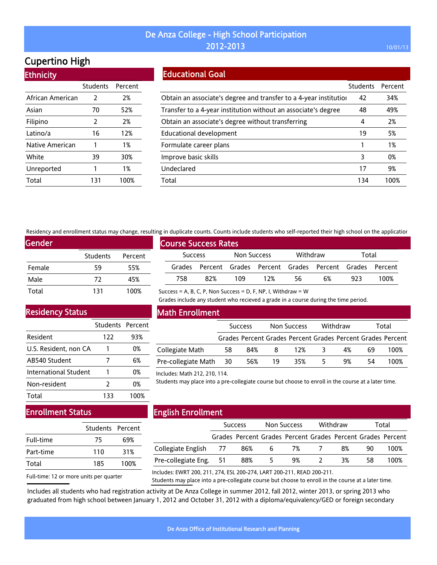# Cupertino High

Ethnicity

| LUINUU           |          |         |
|------------------|----------|---------|
|                  | Students | Percent |
| African American | 2        | 2%      |
| Asian            | 70       | 52%     |
| Filipino         | 2        | 2%      |
| Latino/a         | 16       | 12%     |
| Native American  | 1        | 1%      |
| White            | 39       | 30%     |
| Unreported       | 1        | 1%      |
| Total            | 131      | 100%    |

### Educational Goal

|                                                                   | Students | Percent |
|-------------------------------------------------------------------|----------|---------|
| Obtain an associate's degree and transfer to a 4-year institution | 42       | 34%     |
| Transfer to a 4-year institution without an associate's degree    | 48       | 49%     |
| Obtain an associate's degree without transferring                 | 4        | 2%      |
| Educational development                                           | 19       | 5%      |
| Formulate career plans                                            |          | 1%      |
| Improve basic skills                                              | 3        | 0%      |
| Undeclared                                                        | 17       | 9%      |
| Total                                                             | 134      | 100%    |

Residency and enrollment status may change, resulting in duplicate counts. Counts include students who self-reported their high school on the application

| Gender |                 |         |  |  |  |  |  |
|--------|-----------------|---------|--|--|--|--|--|
|        | <b>Students</b> | Percent |  |  |  |  |  |
| Female | 59              | 55%     |  |  |  |  |  |
| Male   | 72              | 45%     |  |  |  |  |  |
| Total  | 131             | 100%    |  |  |  |  |  |

### Residency Status

|                       | Students Percent |      |
|-----------------------|------------------|------|
| Resident              | 122              | 93%  |
| U.S. Resident, non CA |                  | 0%   |
| AB540 Student         | 7                | 6%   |
| International Student |                  | 0%   |
| Non-resident          | $\mathcal{L}$    | 0%   |
| Total                 | 133              | 100% |

# Course Success Rates Success Non Success Withdraw Total Grades Percent Grades Percent Grades Percent Grades Percent 758 82% 109 12% 56 6% 923 100%

Success = A, B, C, P, Non Success = D, F, NP, I, Withdraw = W

Grades include any student who recieved a grade in a course during the time period.

### Math Enrollment

|                     |      | <b>Success</b> |    | Non Success                                                 |   | Withdraw |    | Total |
|---------------------|------|----------------|----|-------------------------------------------------------------|---|----------|----|-------|
|                     |      |                |    | Grades Percent Grades Percent Grades Percent Grades Percent |   |          |    |       |
| Collegiate Math     | 58   | 84%            | 8  | 12%                                                         |   | 4%       | 69 | 100%  |
| Pre-collegiate Math | - 30 | 56%            | 19 | 35%                                                         | 5 | 9%       | 54 | 100%  |

Includes: Math 212, 210, 114.

Students may place into a pre-collegiate course but choose to enroll in the course at a later time.

## Enrollment Status

|           | Students Percent |      |
|-----------|------------------|------|
| Full-time | 75               | 69%  |
| Part-time | 110              | 31%  |
| Total     | 185              | 100% |
|           |                  |      |

### English Enrollment

|                                                                                                      | <b>Success</b> |     | <b>Non Success</b>                                          |   | Withdraw |     | Total |
|------------------------------------------------------------------------------------------------------|----------------|-----|-------------------------------------------------------------|---|----------|-----|-------|
|                                                                                                      |                |     | Grades Percent Grades Percent Grades Percent Grades Percent |   |          |     |       |
| Collegiate English 77                                                                                | 86%            | - 6 | 7%                                                          |   | 8%       | 90. | 100%  |
| Pre-collegiate Eng. 51                                                                               | 88%            | 5   | 9%                                                          | 2 | 3%       | 58  | 100%  |
| 211_2010 12010 12010 12010 12010 12010 12010 1201 12010 12010 12010 12010 12010 12010 12010 12010 12 |                |     |                                                             |   |          |     |       |

Full-time: 12 or more units per quarter

Includes: EWRT 200, 211, 274, ESL 200-274, LART 200-211, READ 200-211.

Students may place into a pre-collegiate course but choose to enroll in the course at a later time.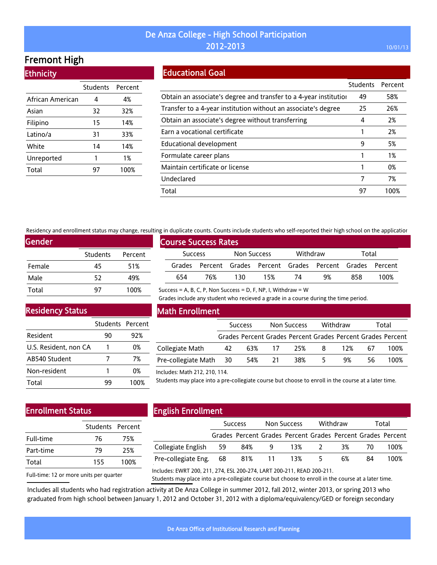# Fremont High

**Ethnicity** 

|                  | Students | Percent |
|------------------|----------|---------|
| African American | 4        | 4%      |
| Asian            | 32       | 32%     |
| Filipino         | 15       | 14%     |
| Latino/a         | 31       | 33%     |
| White            | 14       | 14%     |
| Unreported       | 1        | 1%      |
| Total            | 97       | 100%    |

### Educational Goal

|                                                                   | Students | Percent |
|-------------------------------------------------------------------|----------|---------|
| Obtain an associate's degree and transfer to a 4-year institution | 49       | 58%     |
| Transfer to a 4-year institution without an associate's degree    | 25       | 26%     |
| Obtain an associate's degree without transferring                 | 4        | 2%      |
| Earn a vocational certificate                                     |          | 2%      |
| Educational development                                           | 9        | 5%      |
| Formulate career plans                                            |          | 1%      |
| Maintain certificate or license                                   |          | 0%      |
| Undeclared                                                        | 7        | 7%      |
| Total                                                             | 97       | 100%    |

Residency and enrollment status may change, resulting in duplicate counts. Counts include students who self-reported their high school on the application

Success = A, B, C, P, Non Success = D, F, NP, I, Withdraw =  $W$ 

| Gender |                 |         |  |  |  |  |  |
|--------|-----------------|---------|--|--|--|--|--|
|        | <b>Students</b> | Percent |  |  |  |  |  |
| Female | 45              | 51%     |  |  |  |  |  |
| Male   | 52              | 49%     |  |  |  |  |  |
| Total  | 97              | 100%    |  |  |  |  |  |

| <b>Course Success Rates</b> |     |             |                                                             |          |    |       |      |  |
|-----------------------------|-----|-------------|-------------------------------------------------------------|----------|----|-------|------|--|
| <b>Success</b>              |     | Non Success |                                                             | Withdraw |    | Total |      |  |
|                             |     |             | Grades Percent Grades Percent Grades Percent Grades Percent |          |    |       |      |  |
| 654                         | 76% | 130         | 15%                                                         | 74       | 9% | 858   | 100% |  |

Grades include any student who recieved a grade in a course during the time period.

Residency Status

|                       | Students Percent |      |
|-----------------------|------------------|------|
| Resident              | 90               | 92%  |
| U.S. Resident, non CA |                  | 0%   |
| AB540 Student         |                  | 7%   |
| Non-resident          |                  | 0%   |
| Total                 | 99               | 100% |

### Math Enrollment

|                        | <b>Success</b> |        | Non Success |     | Withdraw |     | Total |                                                             |
|------------------------|----------------|--------|-------------|-----|----------|-----|-------|-------------------------------------------------------------|
|                        |                |        |             |     |          |     |       | Grades Percent Grades Percent Grades Percent Grades Percent |
| Collegiate Math        | 42             |        | 63% 17      | 25% | -8       | 12% | 67    | 100%                                                        |
| Pre-collegiate Math 30 |                | 54% 21 |             | 38% | -5.      | 9%  | 56.   | 100%                                                        |

#### Includes: Math 212, 210, 114.

Students may place into a pre-collegiate course but choose to enroll in the course at a later time.

## Enrollment Status

|           | Students Percent |      |
|-----------|------------------|------|
| Full-time | 76               | 75%  |
| Part-time | 79               | 25%  |
| Total     | 155              | 100% |
|           |                  |      |

# English Enrollment

|                        | <b>Success</b> |            | Non Success |                                                             | Withdraw |    | Total |      |
|------------------------|----------------|------------|-------------|-------------------------------------------------------------|----------|----|-------|------|
|                        |                |            |             | Grades Percent Grades Percent Grades Percent Grades Percent |          |    |       |      |
| Collegiate English 59  |                | 84%        |             | 9 13% 2                                                     |          | 3% | -70   | 100% |
| Pre-collegiate Eng. 68 |                | 81% 11 13% |             |                                                             | 5.       | 6% | 84    | 100% |
|                        |                |            |             |                                                             |          |    |       |      |

Full-time: 12 or more units per quarter

Includes: EWRT 200, 211, 274, ESL 200-274, LART 200-211, READ 200-211.

Students may place into a pre-collegiate course but choose to enroll in the course at a later time.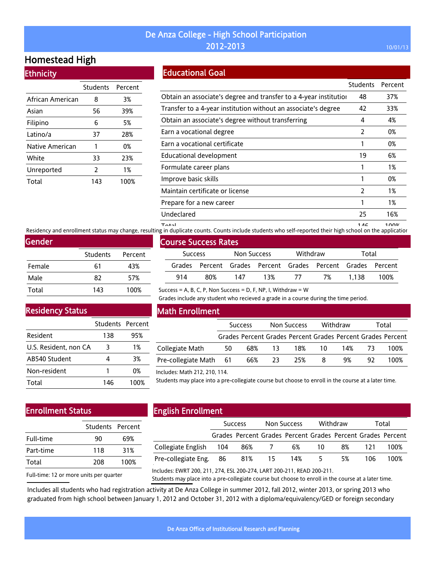# Homestead High

### **Ethnicity**

|                  | <b>Students</b> | Percent |
|------------------|-----------------|---------|
| African American | 8               | 3%      |
| Asian            | 56              | 39%     |
| Filipino         | 6               | 5%      |
| Latino/a         | 37              | 28%     |
| Native American  | 1               | 0%      |
| White            | 33              | 23%     |
| Unreported       | 2               | 1%      |
| Total            | 143             | 100%    |

# Educational Goal

|                                                                   | <b>Students</b> | Percent |
|-------------------------------------------------------------------|-----------------|---------|
| Obtain an associate's degree and transfer to a 4-year institution | 48              | 37%     |
| Transfer to a 4-year institution without an associate's degree    | 42              | 33%     |
| Obtain an associate's degree without transferring                 | 4               | 4%      |
| Earn a vocational degree                                          | 2               | 0%      |
| Earn a vocational certificate                                     |                 | 0%      |
| Educational development                                           | 19              | 6%      |
| Formulate career plans                                            |                 | 1%      |
| Improve basic skills                                              |                 | 0%      |
| Maintain certificate or license                                   | 2               | 1%      |
| Prepare for a new career                                          | 1               | 1%      |
| Undeclared                                                        | 25              | 16%     |
| —                                                                 | .               | 1.001   |

n on 146 1<br>Residency and enrollment status may change, resulting in duplicate counts. Counts include students who self-reported their high school on the applicatior

| Gender |                 |         |
|--------|-----------------|---------|
|        | <b>Students</b> | Percent |
| Female | 61              | 43%     |
| Male   | 82              | 57%     |
| Total  | 143             | 100%    |

### Residency Status

|                       | Students Percent |      |
|-----------------------|------------------|------|
|                       |                  |      |
| Resident              | 138              | 95%  |
| U.S. Resident, non CA | 3                | 1%   |
| AB540 Student         |                  | 3%   |
| Non-resident          |                  | 0%   |
| Total                 | 146              | 100% |

# Course Success Rates Success Non Success Withdraw Total Grades Percent Grades Percent Grades Percent Grades Percent 914 80% 147 13% 77 7% 1,138 100%

Success = A, B, C, P, Non Success = D, F, NP, I, Withdraw = W

Grades include any student who recieved a grade in a course during the time period.

### Math Enrollment

|                        | <b>Success</b> |       | Non Success |        | Withdraw |        | Total |                                                             |
|------------------------|----------------|-------|-------------|--------|----------|--------|-------|-------------------------------------------------------------|
|                        |                |       |             |        |          |        |       | Grades Percent Grades Percent Grades Percent Grades Percent |
| Collegiate Math        | 50             |       | 68% 13      | 18% 10 |          | 14% 73 |       | 100%                                                        |
| Pre-collegiate Math 61 |                | 66%23 |             | 25%    | -8       | 9%     | 92.   | 100%                                                        |

#### Includes: Math 212, 210, 114.

Students may place into a pre-collegiate course but choose to enroll in the course at a later time.

### Enrollment Status

|           | Students Percent |      |
|-----------|------------------|------|
| Full-time | 90               | 69%  |
| Part-time | 118              | 31%  |
| Total     | 208              | 100% |
|           |                  |      |

# English Enrollment

|                        | <b>Success</b> |     | Non Success    |                                                             | Withdraw |    | Total |      |
|------------------------|----------------|-----|----------------|-------------------------------------------------------------|----------|----|-------|------|
|                        |                |     |                | Grades Percent Grades Percent Grades Percent Grades Percent |          |    |       |      |
| Collegiate English     | -- 104         | 86% | $\overline{7}$ | 6%                                                          | 10       | 8% | 121   | 100% |
| Pre-collegiate Eng. 86 |                | 81% | -15            | 14%                                                         | -5.      | 5% | 106.  | 100% |
|                        |                |     |                |                                                             |          |    |       |      |

Full-time: 12 or more units per quarter

Includes: EWRT 200, 211, 274, ESL 200-274, LART 200-211, READ 200-211.

Students may place into a pre-collegiate course but choose to enroll in the course at a later time.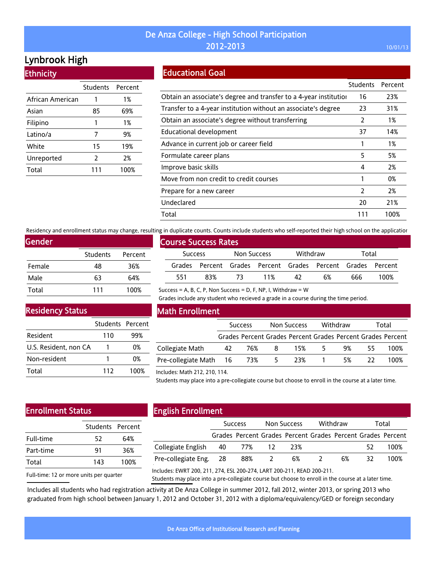# Lynbrook High

**Ethnicity** 

|                  | <b>Students</b> | Percent |
|------------------|-----------------|---------|
| African American | 1               | 1%      |
| Asian            | 85              | 69%     |
| Filipino         | 1               | 1%      |
| Latino/a         | 7               | 9%      |
| White            | 15              | 19%     |
| Unreported       | 2               | 2%      |
| Total            | 111             | 100%    |

# Educational Goal

|                                                                   | <b>Students</b> | Percent |
|-------------------------------------------------------------------|-----------------|---------|
| Obtain an associate's degree and transfer to a 4-year institution | 16              | 23%     |
| Transfer to a 4-year institution without an associate's degree    | 23              | 31%     |
| Obtain an associate's degree without transferring                 | 2               | 1%      |
| Educational development                                           | 37              | 14%     |
| Advance in current job or career field                            |                 | 1%      |
| Formulate career plans                                            | 5               | 5%      |
| Improve basic skills                                              | 4               | 2%      |
| Move from non credit to credit courses                            |                 | 0%      |
| Prepare for a new career                                          | $\overline{2}$  | 2%      |
| Undeclared                                                        | 20              | 21%     |
| Total                                                             | 111             | 100%    |

Residency and enrollment status may change, resulting in duplicate counts. Counts include students who self-reported their high school on the application

| Gender |          |         |
|--------|----------|---------|
|        | Students | Percent |
| Female | 48       | 36%     |
| Male   | 63       | 64%     |
| Total  | 111      | 100%    |

# Course Success Rates Success Non Success Withdraw Total Grades Percent Grades Percent Grades Percent Grades Percent 551 83% 73 11% 42 6% 666 100%

Success = A, B, C, P, Non Success = D, F, NP, I, Withdraw =  $W$ 

Grades include any student who recieved a grade in a course during the time period.

### Residency Status

|                       | Students Percent |      |
|-----------------------|------------------|------|
| Resident              | 110              | 99%  |
| U.S. Resident, non CA |                  | በ%   |
| Non-resident          |                  | በ%   |
| Total                 | 112              | 100% |

### Math Enrollment

|                            | <b>Success</b> |      | Non Success |     | Withdraw |    | Total |                                                             |
|----------------------------|----------------|------|-------------|-----|----------|----|-------|-------------------------------------------------------------|
|                            |                |      |             |     |          |    |       | Grades Percent Grades Percent Grades Percent Grades Percent |
| Collegiate Math            | 42             | 76%8 |             | 15% | 5.       | 9% | 55.   | 100%                                                        |
| Pre-collegiate Math 16 73% |                |      | 5           | 23% |          | 5% | -22.  | 100%                                                        |

#### Includes: Math 212, 210, 114.

Students may place into a pre-collegiate course but choose to enroll in the course at a later time.

### Enrollment Status

|           | Students Percent |      |  |  |
|-----------|------------------|------|--|--|
| Full-time | 52               | 64%  |  |  |
| Part-time | 91               | 36%  |  |  |
| Total     | 143              | 100% |  |  |
|           |                  |      |  |  |

# English Enrollment

|                        | <b>Success</b> |        | Non Success |                                                             | Withdraw       |    | Total |      |
|------------------------|----------------|--------|-------------|-------------------------------------------------------------|----------------|----|-------|------|
|                        |                |        |             | Grades Percent Grades Percent Grades Percent Grades Percent |                |    |       |      |
| Collegiate English 40  |                | 77% 12 |             | 23%                                                         |                |    | 52    | 100% |
| Pre-collegiate Eng. 28 |                | 88% 2  |             | 6%                                                          | $\overline{2}$ | 6% | 32.   | 100% |
|                        |                |        |             |                                                             |                |    |       |      |

Full-time: 12 or more units per quarter

Includes: EWRT 200, 211, 274, ESL 200-274, LART 200-211, READ 200-211.

Students may place into a pre-collegiate course but choose to enroll in the course at a later time.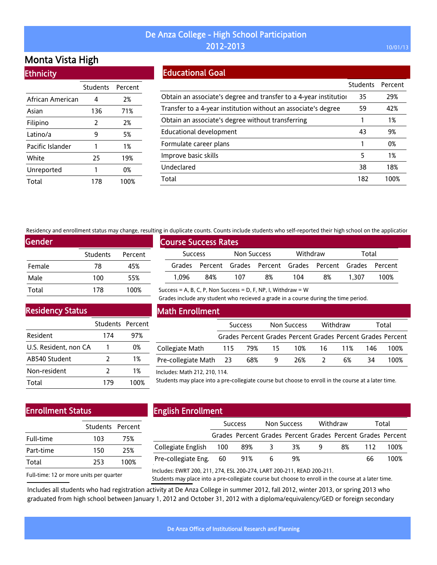# Monta Vista High

**Ethnicity** 

|                  | <b>Students</b> | Percent |
|------------------|-----------------|---------|
| African American | 4               | 2%      |
| Asian            | 136             | 71%     |
| Filipino         | 2               | 2%      |
| Latino/a         | 9               | 5%      |
| Pacific Islander | 1               | 1%      |
| White            | 25              | 19%     |
| Unreported       | 1               | 0%      |
| Total            | 178             | 100%    |

### Educational Goal

|                                                                   | <b>Students</b> | Percent |
|-------------------------------------------------------------------|-----------------|---------|
| Obtain an associate's degree and transfer to a 4-year institution | 35              | 29%     |
| Transfer to a 4-year institution without an associate's degree    | 59              | 42%     |
| Obtain an associate's degree without transferring                 |                 | 1%      |
| Educational development                                           | 43              | 9%      |
| Formulate career plans                                            |                 | 0%      |
| Improve basic skills                                              | 5               | 1%      |
| Undeclared                                                        | 38              | 18%     |
| Total                                                             | 182             | 100%    |

Residency and enrollment status may change, resulting in duplicate counts. Counts include students who self-reported their high school on the application

Success = A, B, C, P, Non Success = D, F, NP, I, Withdraw =  $W$ 

| Gender |                 |         |
|--------|-----------------|---------|
|        | <b>Students</b> | Percent |
| Female | 78              | 45%     |
| Male   | 100             | 55%     |
| Total  | 178             | 100%    |

| <b>Course Success Rates</b> |     |             |                                                             |          |    |       |      |
|-----------------------------|-----|-------------|-------------------------------------------------------------|----------|----|-------|------|
| <b>Success</b>              |     | Non Success |                                                             | Withdraw |    | Total |      |
|                             |     |             | Grades Percent Grades Percent Grades Percent Grades Percent |          |    |       |      |
| 1.096                       | 84% | 107         | 8%                                                          | 104      | 8% | 1.307 | 100% |

Grades include any student who recieved a grade in a course during the time period.

Residency Status

|                       | Students Percent |      |
|-----------------------|------------------|------|
| Resident              | 174              | 97%  |
| U.S. Resident, non CA |                  | 0%   |
| AB540 Student         | 2                | 1%   |
| Non-resident          | $\mathcal{P}$    | 1%   |
| Total                 | 179              | 100% |

### Math Enrollment

|                        | <b>Success</b> |            | Non Success |                                                             | Withdraw |     | Total |      |
|------------------------|----------------|------------|-------------|-------------------------------------------------------------|----------|-----|-------|------|
|                        |                |            |             | Grades Percent Grades Percent Grades Percent Grades Percent |          |     |       |      |
| Collegiate Math        |                | 115 79% 15 |             | 10%                                                         | 16       | 11% | 146.  | 100% |
| Pre-collegiate Math 23 |                | 68%        | -9          | 26%                                                         |          | 6%  | 34    | 100% |

#### Includes: Math 212, 210, 114.

Students may place into a pre-collegiate course but choose to enroll in the course at a later time.

# Enrollment Status

|           | Students Percent |      |
|-----------|------------------|------|
| Full-time | 103              | 75%  |
| Part-time | 150              | 25%  |
| Total     | 253              | 100% |
|           |                  |      |

# English Enrollment

|                        | <b>Success</b> |                                                             | Non Success |    | Withdraw |    | Total |      |
|------------------------|----------------|-------------------------------------------------------------|-------------|----|----------|----|-------|------|
|                        |                | Grades Percent Grades Percent Grades Percent Grades Percent |             |    |          |    |       |      |
| Collegiate English 100 |                | 89%                                                         | - 3         | 3% | q        | 8% | 112   | 100% |
| Pre-collegiate Eng. 60 |                | 91%                                                         |             | 9% |          |    | 66    | 100% |
|                        |                |                                                             |             |    |          |    |       |      |

Full-time: 12 or more units per quarter Includes: EWRT 200, 211, 274, ESL 200-274, LART 200-211, READ 200-211.

Students may place into a pre-collegiate course but choose to enroll in the course at a later time.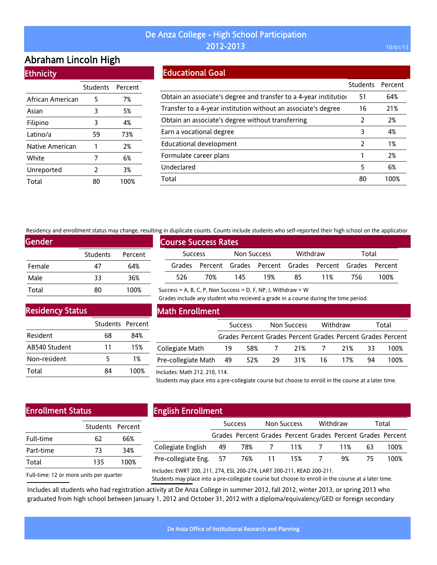# Abraham Lincoln High **Ethnicity**

|                  | Students Percent |      |
|------------------|------------------|------|
| African American | 5                | 7%   |
| Asian            | 3                | 5%   |
| Filipino         | 3                | 4%   |
| Latino/a         | 59               | 73%  |
| Native American  | 1                | 2%   |
| White            | 7                | 6%   |
| Unreported       | 2                | 3%   |
| Total            |                  | 100% |

### Educational Goal

|                                                                   | <b>Students</b> | Percent |
|-------------------------------------------------------------------|-----------------|---------|
| Obtain an associate's degree and transfer to a 4-year institution | 51              | 64%     |
| Transfer to a 4-year institution without an associate's degree    | 16              | 21%     |
| Obtain an associate's degree without transferring                 | 2               | 2%      |
| Earn a vocational degree                                          | 3               | 4%      |
| Educational development                                           | $\mathcal{P}$   | 1%      |
| Formulate career plans                                            |                 | 2%      |
| Undeclared                                                        | 5               | 6%      |
| Total                                                             | 80              | 100%    |

Residency and enrollment status may change, resulting in duplicate counts. Counts include students who self-reported their high school on the application

Success = A, B, C, P, Non Success = D, F, NP, I, Withdraw =  $W$ 

| Gender |          |         |
|--------|----------|---------|
|        | Students | Percent |
| Female | 47       | 64%     |
| Male   | 33       | 36%     |
| Total  | 80       | 100%    |

| <b>Course Success Rates</b> |                |     |             |     |          |                                                             |       |      |
|-----------------------------|----------------|-----|-------------|-----|----------|-------------------------------------------------------------|-------|------|
|                             | <b>Success</b> |     | Non Success |     | Withdraw |                                                             | Total |      |
|                             |                |     |             |     |          | Grades Percent Grades Percent Grades Percent Grades Percent |       |      |
|                             | 526            | 70% | 145         | 19% | 85       | 11%                                                         | 756.  | 100% |

Grades include any student who recieved a grade in a course during the time period.

Residency Status

|               | Students Percent |      |
|---------------|------------------|------|
| Resident      | 68               | 84%  |
| AB540 Student | 11               | 15%  |
| Non-resident  | 5                | 1%   |
| Total         | 84               | 100% |

### Math Enrollment

|                        | <b>Success</b> |     | Non Success    |                                                             | Withdraw  |     | Total |      |
|------------------------|----------------|-----|----------------|-------------------------------------------------------------|-----------|-----|-------|------|
|                        |                |     |                | Grades Percent Grades Percent Grades Percent Grades Percent |           |     |       |      |
| Collegiate Math        | 19             | 58% | $\overline{7}$ |                                                             | 21% 7 21% |     | - 33  | 100% |
| Pre-collegiate Math 49 |                | 52% | 29             | 31%                                                         | 16        | 17% | 94    | 100% |

Includes: Math 212, 210, 114.

Students may place into a pre-collegiate course but choose to enroll in the course at a later time.

# Enrollment Status

|           | Students Percent |      |
|-----------|------------------|------|
| Full-time | 62               | 66%  |
| Part-time | 73               | 34%  |
| Total     | 135              | 100% |
|           |                  |      |

# English Enrollment

|                        | <b>Success</b> |                                                             | Non Success |                 | Withdraw |    | Total |      |
|------------------------|----------------|-------------------------------------------------------------|-------------|-----------------|----------|----|-------|------|
|                        |                | Grades Percent Grades Percent Grades Percent Grades Percent |             |                 |          |    |       |      |
| Collegiate English 49  |                |                                                             |             | 78% 7 11% 7 11% |          |    | 63.   | 100% |
| Pre-collegiate Eng. 57 |                |                                                             | 76% 11      | 15% 7           |          | 9% | 75.   | 100% |
|                        |                |                                                             |             |                 |          |    |       |      |

Full-time: 12 or more units per quarter

Includes: EWRT 200, 211, 274, ESL 200-274, LART 200-211, READ 200-211.

Students may place into a pre-collegiate course but choose to enroll in the course at a later time.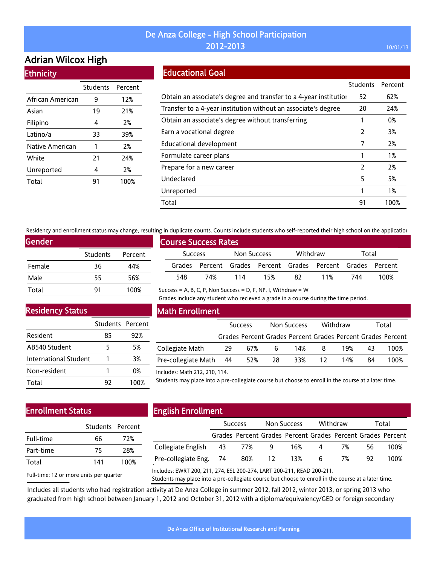# Adrian Wilcox High

**Ethnicity** 

|                  | <b>Students</b> | Percent |
|------------------|-----------------|---------|
| African American | 9               | 12%     |
| Asian            | 19              | 21%     |
| Filipino         | 4               | 2%      |
| Latino/a         | 33              | 39%     |
| Native American  | 1               | 2%      |
| White            | 21              | 24%     |
| Unreported       | 4               | 2%      |
| Total            | 91              | 100%    |

## Educational Goal

|                                                                   | <b>Students</b> | Percent |
|-------------------------------------------------------------------|-----------------|---------|
| Obtain an associate's degree and transfer to a 4-year institution | 52              | 62%     |
| Transfer to a 4-year institution without an associate's degree    | 20              | 24%     |
| Obtain an associate's degree without transferring                 |                 | 0%      |
| Earn a vocational degree                                          | 2               | 3%      |
| Educational development                                           |                 | 2%      |
| Formulate career plans                                            |                 | 1%      |
| Prepare for a new career                                          | 2               | 2%      |
| Undeclared                                                        | 5               | 5%      |
| Unreported                                                        |                 | 1%      |
| Total                                                             | 91              | 100%    |

Residency and enrollment status may change, resulting in duplicate counts. Counts include students who self-reported their high school on the application

Success = A, B, C, P, Non Success = D, F, NP, I, Withdraw =  $W$ 

| Gender |                 |         |
|--------|-----------------|---------|
|        | <b>Students</b> | Percent |
| Female | 36              | 44%     |
| Male   | 55              | 56%     |
| Total  | 91              | 100%    |

|                | <b>Course Success Rates</b> |             |                                                             |          |     |       |      |
|----------------|-----------------------------|-------------|-------------------------------------------------------------|----------|-----|-------|------|
| <b>Success</b> |                             | Non Success |                                                             | Withdraw |     | Total |      |
|                |                             |             | Grades Percent Grades Percent Grades Percent Grades Percent |          |     |       |      |
| 548            | 74%                         | 114         | 15%                                                         | 87       | 11% | 744   | 100% |

Grades include any student who recieved a grade in a course during the time period.

Residency Status

|                       | Students Percent |      |
|-----------------------|------------------|------|
| Resident              | 85               | 92%  |
| AB540 Student         | 5                | 5%   |
| International Student |                  | 3%   |
| Non-resident          |                  | 0%   |
| Total                 | 97               | 100% |

### Math Enrollment

|                     | <b>Success</b> |     | Non Success |                                                             | Withdraw |     | Total |      |
|---------------------|----------------|-----|-------------|-------------------------------------------------------------|----------|-----|-------|------|
|                     |                |     |             | Grades Percent Grades Percent Grades Percent Grades Percent |          |     |       |      |
| Collegiate Math     | 29             | 67% | 6.          | 14%                                                         | 8        | 19% | 43    | 100% |
| Pre-collegiate Math | - 44           | 52% | 28          | 33%                                                         | 12       | 14% | 84    | 100% |

#### Includes: Math 212, 210, 114.

Students may place into a pre-collegiate course but choose to enroll in the course at a later time.

# Enrollment Status

|           | Students Percent |      |
|-----------|------------------|------|
| Full-time | 66               | 72%  |
| Part-time | 75               | 28%  |
| Total     | 141              | 100% |
|           |                  |      |

# English Enrollment

|                                                     | <b>Success</b> |  | Non Success |                                                             | Withdraw       |    | Total |      |
|-----------------------------------------------------|----------------|--|-------------|-------------------------------------------------------------|----------------|----|-------|------|
|                                                     |                |  |             | Grades Percent Grades Percent Grades Percent Grades Percent |                |    |       |      |
| Collegiate English       43          77%          9 |                |  |             | 16%                                                         | $\overline{4}$ | 7% | 56.   | 100% |
| Pre-collegiate Eng. 74                              |                |  |             | 80% 12 13% 6                                                |                | 7% | 92.   | 100% |
|                                                     |                |  |             |                                                             |                |    |       |      |

Full-time: 12 or more units per quarter

Includes: EWRT 200, 211, 274, ESL 200-274, LART 200-211, READ 200-211.

Students may place into a pre-collegiate course but choose to enroll in the course at a later time.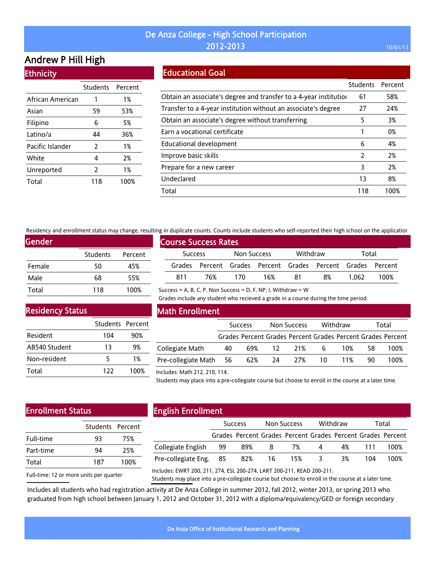# Andrew P Hill High

|  | <b>Ethnicity</b> |
|--|------------------|
|  |                  |

|                  | Students | Percent |
|------------------|----------|---------|
| African American | 1        | 1%      |
| Asian            | 59       | 53%     |
| Filipino         | 6        | 5%      |
| Latino/a         | 44       | 36%     |
| Pacific Islander | 2        | 1%      |
| White            | 4        | 2%      |
| Unreported       | 2        | 1%      |
| Total            | 118      | 100%    |

# Educational Goal

|                                                                   | <b>Students</b> | Percent |
|-------------------------------------------------------------------|-----------------|---------|
| Obtain an associate's degree and transfer to a 4-year institution | 61              | 58%     |
| Transfer to a 4-year institution without an associate's degree    | 27              | 24%     |
| Obtain an associate's degree without transferring                 | 5               | 3%      |
| Earn a vocational certificate                                     |                 | 0%      |
| Educational development                                           | 6               | 4%      |
| Improve basic skills                                              | $\mathcal{P}$   | 2%      |
| Prepare for a new career                                          | 3               | 2%      |
| Undeclared                                                        | 13              | 8%      |
| Total                                                             | 118             | 100%    |

Residency and enrollment status may change, resulting in duplicate counts. Counts include students who self-reported their high school on the application

| Gender |                 |         |
|--------|-----------------|---------|
|        | <b>Students</b> | Percent |
| Female | 50              | 45%     |
| Male   | 68              | 55%     |
| Total  | 118             | 100%    |

# Course Success Rates Success Non Success Withdraw Total Grades Percent Grades Percent Grades Percent Grades Percent 811 76% 170 16% 81 8% 1,062 100%

Success = A, B, C, P, Non Success = D, F, NP, I, Withdraw =  $W$ 

Grades include any student who recieved a grade in a course during the time period.

### Residency Status

|               | Students Percent |      |
|---------------|------------------|------|
| Resident      | 104              | 90%  |
| AB540 Student | 13               | 9%   |
| Non-resident  | 5                | 1%   |
| Total         | 122              | 100% |

## Math Enrollment

|                        |    | <b>Success</b> |        | Non Success |        | Withdraw |    | Total                                                       |
|------------------------|----|----------------|--------|-------------|--------|----------|----|-------------------------------------------------------------|
|                        |    |                |        |             |        |          |    | Grades Percent Grades Percent Grades Percent Grades Percent |
| Collegiate Math        | 40 |                |        | 69% 12 21%  | 6      | 10%      | 58 | 100%                                                        |
| Pre-collegiate Math 56 |    |                | 62% 24 |             | 27% 10 | 11%      | 90 | 100%                                                        |

#### Includes: Math 212, 210, 114.

Students may place into a pre-collegiate course but choose to enroll in the course at a later time.

## Enrollment Status

| 93  | 75%              |  |  |
|-----|------------------|--|--|
| 94  | 25%              |  |  |
| 187 | 100%             |  |  |
|     | Students Percent |  |  |

# English Enrollment

|                        | <b>Success</b> |     | Non Success |                                                             | Withdraw       |    | Total |      |
|------------------------|----------------|-----|-------------|-------------------------------------------------------------|----------------|----|-------|------|
|                        |                |     |             | Grades Percent Grades Percent Grades Percent Grades Percent |                |    |       |      |
| Collegiate English 99  |                | 89% | -8          | 7%                                                          | $\overline{4}$ | 4% | 111   | 100% |
| Pre-collegiate Eng. 85 |                | 82% |             | 16 15%                                                      | - 3            | 3% | 104   | 100% |
|                        |                |     |             |                                                             |                |    |       |      |

Full-time: 12 or more units per quarter

Includes: EWRT 200, 211, 274, ESL 200-274, LART 200-211, READ 200-211.

Students may place into a pre-collegiate course but choose to enroll in the course at a later time.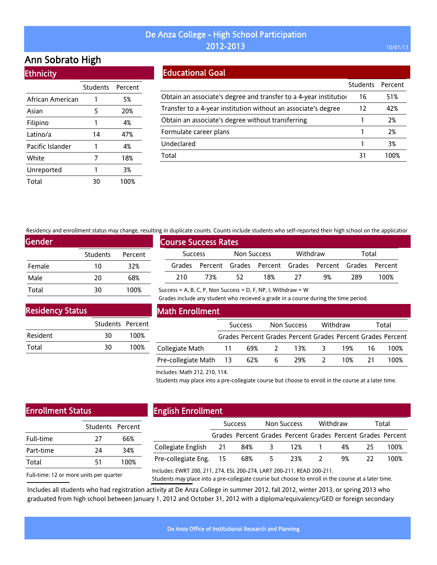# Ann Sobrato High

**Ethnicity** 

|                  | Students Percent |      |
|------------------|------------------|------|
| African American |                  | 5%   |
| Asian            | 5                | 20%  |
| Filipino         | 1                | 4%   |
| Latino/a         | 14               | 47%  |
| Pacific Islander | 1                | 4%   |
| White            | 7                | 18%  |
| Unreported       | 1                | 3%   |
| Total            | 30               | 100% |

## Educational Goal

|                                                                   | <b>Students</b> | Percent |
|-------------------------------------------------------------------|-----------------|---------|
| Obtain an associate's degree and transfer to a 4-year institution | 16              | 51%     |
| Transfer to a 4-year institution without an associate's degree    | 12              | 42%     |
| Obtain an associate's degree without transferring                 |                 | 2%      |
| Formulate career plans                                            |                 | 2%      |
| Undeclared                                                        |                 | 3%      |
| Total                                                             | 31              | 1በበ%    |

Residency and enrollment status may change, resulting in duplicate counts. Counts include students who self-reported their high school on the application

Success = A, B, C, P, Non Success = D, F, NP, I, Withdraw =  $W$ 

| <b>Gender</b> |                 |         |
|---------------|-----------------|---------|
|               | <b>Students</b> | Percent |
| Female        | 10              | 32%     |
| Male          | 20              | 68%     |
| Total         | 30              | 100%    |

|                             | , ווי סטאונטנג כסטוונז. כסטוונז וווכוטטכ זנטטכוונז אווס זכנו דכאסונכט נווכוו ווואָוו זכווסטנ סודנוג טאאונטנוסו |     |             |     |          |                                                             |       |      |  |
|-----------------------------|----------------------------------------------------------------------------------------------------------------|-----|-------------|-----|----------|-------------------------------------------------------------|-------|------|--|
| <b>Course Success Rates</b> |                                                                                                                |     |             |     |          |                                                             |       |      |  |
|                             | <b>Success</b>                                                                                                 |     | Non Success |     | Withdraw |                                                             | Total |      |  |
|                             |                                                                                                                |     |             |     |          | Grades Percent Grades Percent Grades Percent Grades Percent |       |      |  |
|                             | 210.                                                                                                           | 73% | 52          | 18% | -27      | 9%                                                          | 289   | 100% |  |

Residency Status

|          | Students Percent |      |
|----------|------------------|------|
| Resident | 30               | 100% |
| Total    | 30               | 100% |

### Math Enrollment

|                        | <b>Success</b> |     | Non Success  |     | Withdraw |     | Total |                                                             |
|------------------------|----------------|-----|--------------|-----|----------|-----|-------|-------------------------------------------------------------|
|                        |                |     |              |     |          |     |       | Grades Percent Grades Percent Grades Percent Grades Percent |
| Collegiate Math        | 11             | 69% | <sup>2</sup> | 13% | - 3      | 19% |       | 100%                                                        |
| Pre-collegiate Math 13 |                | 62% | 6            | 29% |          | 10% |       | 100%                                                        |

Grades include any student who recieved a grade in a course during the time period.

Includes: Math 212, 210, 114.

Students may place into a pre-collegiate course but choose to enroll in the course at a later time.

# Enrollment Status

|           | Students Percent |      |
|-----------|------------------|------|
| Full-time | 27               | 66%  |
| Part-time | 24               | 34%  |
| Total     | 51               | 100% |
|           |                  |      |

# English Enrollment

|                        | <b>Success</b> |                                                             | Non Success    |             | Withdraw |    | Total |      |
|------------------------|----------------|-------------------------------------------------------------|----------------|-------------|----------|----|-------|------|
|                        |                | Grades Percent Grades Percent Grades Percent Grades Percent |                |             |          |    |       |      |
| Collegiate English 21  |                |                                                             |                | 84% 3 12% 1 |          | 4% | -25.  | 100% |
| Pre-collegiate Eng. 15 |                | 68%                                                         | 5 <sup>5</sup> | 23% 2       |          | 9% | 22.   | 100% |
|                        |                |                                                             |                |             |          |    |       |      |

Full-time: 12 or more units per quarter

Includes: EWRT 200, 211, 274, ESL 200-274, LART 200-211, READ 200-211.

Students may place into a pre-collegiate course but choose to enroll in the course at a later time.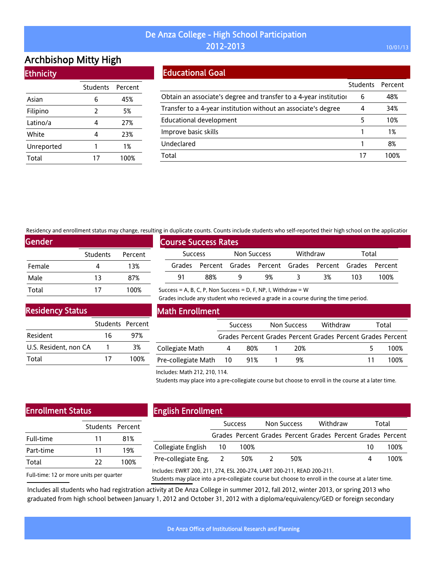# Archbishop Mitty High **Ethnicity**

|            | <b>Students</b> | Percent |
|------------|-----------------|---------|
| Asian      | 6               | 45%     |
| Filipino   | 2               | 5%      |
| Latino/a   | 4               | 27%     |
| White      | 4               | 23%     |
| Unreported | 1               | 1%      |
| Total      | 17              | 100%    |

## Educational Goal

|                                                                   | Students Percent |      |
|-------------------------------------------------------------------|------------------|------|
| Obtain an associate's degree and transfer to a 4-year institution | 6                | 48%  |
| Transfer to a 4-year institution without an associate's degree    | 4                | 34%  |
| Educational development                                           | 5                | 10%  |
| Improve basic skills                                              |                  | 1%   |
| Undeclared                                                        |                  | 8%   |
| Total                                                             |                  | 1በበ% |

Residency and enrollment status may change, resulting in duplicate counts. Counts include students who self-reported their high school on the application

Success = A, B, C, P, Non Success = D, F, NP, I, Withdraw =  $W$ 

| Gender |                 |         |
|--------|-----------------|---------|
|        | <b>Students</b> | Percent |
| Female |                 | 13%     |
| Male   | 13              | 87%     |
| Total  | 17              | 100%    |

|                |                             |             |                                                             |          |    |       | <u>u in aabirease eodinus oodinu instaas staasinto inio sen Tebortea tiren indir senoot on tire abbireati</u> |
|----------------|-----------------------------|-------------|-------------------------------------------------------------|----------|----|-------|---------------------------------------------------------------------------------------------------------------|
|                | <b>Course Success Rates</b> |             |                                                             |          |    |       |                                                                                                               |
| <b>Success</b> |                             | Non Success |                                                             | Withdraw |    | Total |                                                                                                               |
|                |                             |             | Grades Percent Grades Percent Grades Percent Grades Percent |          |    |       |                                                                                                               |
| 91             | 88%                         |             | 9%                                                          |          | 3% | 103   | 100%                                                                                                          |

Grades include any student who recieved a grade in a course during the time period.

### Residency Status

|                       | Students Percent |      |
|-----------------------|------------------|------|
| Resident              | 16               | 97%  |
| U.S. Resident, non CA |                  | 3%   |
| Total                 | 17               | 100% |

### Math Enrollment

|                            | <b>Success</b> |     | Withdraw<br>Non Success |                                                             | Total |  |
|----------------------------|----------------|-----|-------------------------|-------------------------------------------------------------|-------|--|
|                            |                |     |                         | Grades Percent Grades Percent Grades Percent Grades Percent |       |  |
| Collegiate Math            | 4              | 80% | 20%                     |                                                             | 100%  |  |
| Pre-collegiate Math 10 91% |                |     | 9%                      |                                                             | 100%  |  |

#### Includes: Math 212, 210, 114.

Students may place into a pre-collegiate course but choose to enroll in the course at a later time.

# Enrollment Status

| Students Percent |      |
|------------------|------|
|                  |      |
| 11               | 81%  |
| 11               | 19%  |
| 77               | 100% |
|                  |      |

# English Enrollment

|                       | <b>Success</b> |                                                             | Non Success |     | Withdraw |  | Total |      |
|-----------------------|----------------|-------------------------------------------------------------|-------------|-----|----------|--|-------|------|
|                       |                | Grades Percent Grades Percent Grades Percent Grades Percent |             |     |          |  |       |      |
| Collegiate English 10 |                | 100%                                                        |             |     |          |  | 10    | 100% |
| Pre-collegiate Eng. 2 |                | 50%                                                         |             | 50% |          |  |       | 100% |
|                       |                |                                                             |             |     |          |  |       |      |

Full-time: 12 or more units per quarter Includes: EWRT 200, 211, 274, ESL 200-274, LART 200-211, READ 200-211.

Students may place into a pre-collegiate course but choose to enroll in the course at a later time.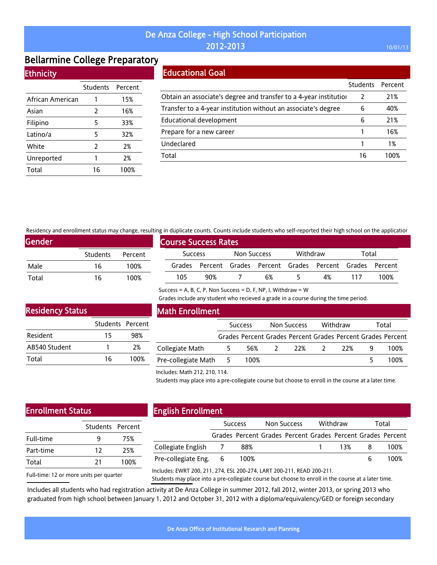# Bellarmine College Preparatory

### **Ethnicity**

|                  | Students Percent |      |
|------------------|------------------|------|
| African American | 1                | 15%  |
| Asian            | 2                | 16%  |
| Filipino         | 5                | 33%  |
| Latino/a         | 5                | 32%  |
| White            | 2                | 2%   |
| Unreported       | 1                | 2%   |
| Total            | 16               | 100% |

### Educational Goal

|                                                                   | <b>Students</b> | Percent |
|-------------------------------------------------------------------|-----------------|---------|
| Obtain an associate's degree and transfer to a 4-year institution |                 | 21%     |
| Transfer to a 4-year institution without an associate's degree    | 6               | 40%     |
| <b>Educational development</b>                                    | 6               | 21%     |
| Prepare for a new career                                          |                 | 16%     |
| Undeclared                                                        |                 | 1%      |
| Total                                                             | 16              | 100%    |

Residency and enrollment status may change, resulting in duplicate counts. Counts include students who self-reported their high school on the application

Success = A, B, C, P, Non Success = D, F, NP, I, Withdraw =  $W$ 

| <b>Gender</b> |                 |         |  |  |  |  |  |
|---------------|-----------------|---------|--|--|--|--|--|
|               | <b>Students</b> | Percent |  |  |  |  |  |
| Male          | 16              | 100%    |  |  |  |  |  |
| Total         | 16              | 100%    |  |  |  |  |  |

| <b>Course Success Rates</b> |     |             |                                                             |                   |    |     |      |
|-----------------------------|-----|-------------|-------------------------------------------------------------|-------------------|----|-----|------|
| <b>Success</b>              |     | Non Success |                                                             | Withdraw<br>Total |    |     |      |
|                             |     |             | Grades Percent Grades Percent Grades Percent Grades Percent |                   |    |     |      |
| 105                         | 90% |             | 6%                                                          |                   | 4% | 117 | 100% |

Grades include any student who recieved a grade in a course during the time period.

### Residency Status

|               | Students Percent |      |
|---------------|------------------|------|
| Resident      | 15               | 98%  |
| AB540 Student |                  | 2%   |
| Total         | 16               | 100% |

### Math Enrollment

|                       | <b>Success</b> |      | Non Success   |     | Withdraw |      | Total |                                                             |
|-----------------------|----------------|------|---------------|-----|----------|------|-------|-------------------------------------------------------------|
|                       |                |      |               |     |          |      |       | Grades Percent Grades Percent Grades Percent Grades Percent |
| Collegiate Math       | b.             | 56%  | $\mathcal{L}$ | 22% |          | -22% |       | 100%                                                        |
| Pre-collegiate Math 5 |                | 100% |               |     |          |      |       | 100%                                                        |

#### Includes: Math 212, 210, 114.

Students may place into a pre-collegiate course but choose to enroll in the course at a later time.

# Enrollment Status

| Students Percent |      |  |
|------------------|------|--|
| q                | 75%  |  |
| 12               | 25%  |  |
| 21               | 100% |  |
|                  |      |  |

# English Enrollment

|                       | <b>Success</b> |                                                             | Non Success |  | Withdraw |     | Total |      |
|-----------------------|----------------|-------------------------------------------------------------|-------------|--|----------|-----|-------|------|
|                       |                | Grades Percent Grades Percent Grades Percent Grades Percent |             |  |          |     |       |      |
| Collegiate English 7  |                | 88%                                                         |             |  |          | 13% |       | 100% |
| Pre-collegiate Eng. 6 |                | 100%                                                        |             |  |          |     |       | 100% |
|                       |                |                                                             |             |  |          |     |       |      |

Full-time: 12 or more units per quarter Includes: EWRT 200, 211, 274, ESL 200-274, LART 200-211, READ 200-211.

Students may place into a pre-collegiate course but choose to enroll in the course at a later time.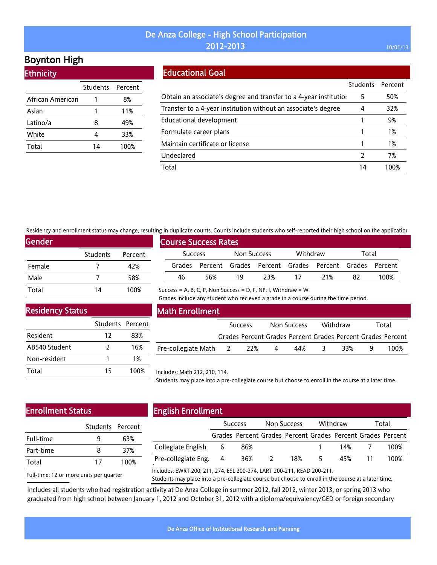# Boynton High

**Ethnicity** 

|                  | Students Percent |      |
|------------------|------------------|------|
| African American |                  | 8%   |
| Asian            |                  | 11%  |
| Latino/a         | 8                | 49%  |
| White            | 4                | 33%  |
| Total            | 14               | 100% |

### Educational Goal

|                                                                   | <b>Students</b> | Percent |
|-------------------------------------------------------------------|-----------------|---------|
| Obtain an associate's degree and transfer to a 4-year institution | 5               | 50%     |
| Transfer to a 4-year institution without an associate's degree    | 4               | 32%     |
| Educational development                                           |                 | 9%      |
| Formulate career plans                                            |                 | 1%      |
| Maintain certificate or license                                   |                 | 1%      |
| Undeclared                                                        |                 | 7%      |
| Total                                                             | 14              | 1በበ%    |

Residency and enrollment status may change, resulting in duplicate counts. Counts include students who self-reported their high school on the application

Success = A, B, C, P, Non Success = D, F, NP, I, Withdraw =  $W$ 

| <b>Gender</b> |          |         |
|---------------|----------|---------|
|               | Students | Percent |
| Female        |          | 42%     |
| Male          |          | 58%     |
| Total         | 14       | 100%    |

| <b>Course Success Rates</b> |                |     |             |     |          |                                                             |       |      |  |
|-----------------------------|----------------|-----|-------------|-----|----------|-------------------------------------------------------------|-------|------|--|
|                             | <b>Success</b> |     | Non Success |     | Withdraw |                                                             | Total |      |  |
|                             |                |     |             |     |          | Grades Percent Grades Percent Grades Percent Grades Percent |       |      |  |
|                             | 46             | 56% | 19          | 23% | -17      | 21%                                                         | 82    | 100% |  |

Residency Status

|                 | Students Percent |      |
|-----------------|------------------|------|
| <b>Resident</b> | 12               | 83%  |
| AB540 Student   | 7                | 16%  |
| Non-resident    |                  | 1%   |
| Total           | 15               | 100% |

#### Math Enrollment

|                       | <b>Success</b> |   | Non Success | Withdraw |     | Total                                                       |
|-----------------------|----------------|---|-------------|----------|-----|-------------------------------------------------------------|
|                       |                |   |             |          |     | Grades Percent Grades Percent Grades Percent Grades Percent |
| Pre-collegiate Math 2 | - 22%          | 4 | 44%         | ≺        | 33% | 100%                                                        |

Grades include any student who recieved a grade in a course during the time period.

#### Includes: Math 212, 210, 114.

Students may place into a pre-collegiate course but choose to enroll in the course at a later time.

# Enrollment Status

| Students Percent |      |
|------------------|------|
| q                | 63%  |
| Զ                | 37%  |
| 17               | 100% |
|                  |      |

### English Enrollment

| .                     |                |                                                             |                |     |          |       |       |      |
|-----------------------|----------------|-------------------------------------------------------------|----------------|-----|----------|-------|-------|------|
|                       | <b>Success</b> |                                                             | Non Success    |     | Withdraw |       | Total |      |
|                       |                | Grades Percent Grades Percent Grades Percent Grades Percent |                |     |          |       |       |      |
| Collegiate English 6  |                | 86%                                                         |                |     |          | 14% 7 |       | 100% |
| Pre-collegiate Eng. 4 |                | 36%                                                         | $\overline{2}$ | 18% | -5.      | 45%   |       | 100% |
|                       |                |                                                             |                |     |          |       |       |      |

Full-time: 12 or more units per quarter

Includes: EWRT 200, 211, 274, ESL 200-274, LART 200-211, READ 200-211.

Students may place into a pre-collegiate course but choose to enroll in the course at a later time.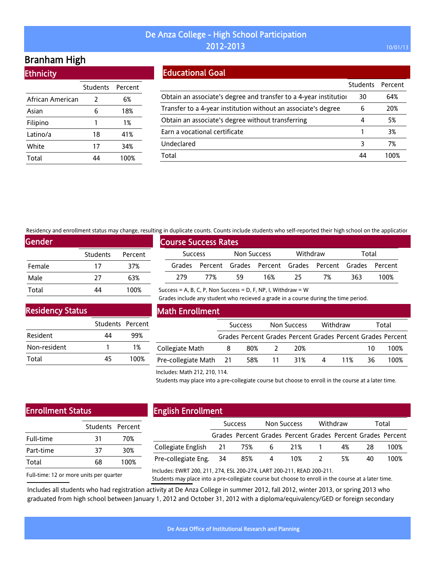# Branham High

**Ethnicity** 

|                  | Students | Percent |
|------------------|----------|---------|
| African American | 2        | 6%      |
| Asian            | 6        | 18%     |
| Filipino         | 1        | 1%      |
| Latino/a         | 18       | 41%     |
| White            | 17       | 34%     |
| Total            |          | 100%    |

### Educational Goal

|                                                                   | Students Percent |      |
|-------------------------------------------------------------------|------------------|------|
| Obtain an associate's degree and transfer to a 4-year institution | 30               | 64%  |
| Transfer to a 4-year institution without an associate's degree    | 6                | 20%  |
| Obtain an associate's degree without transferring                 | 4                | 5%   |
| Earn a vocational certificate                                     |                  | 3%   |
| Undeclared                                                        | 3                | 7%   |
| Total                                                             | 44               | 100% |

Residency and enrollment status may change, resulting in duplicate counts. Counts include students who self-reported their high school on the application

Success = A, B, C, P, Non Success = D, F, NP, I, Withdraw =  $W$ 

| <b>Gender</b> |          |         |
|---------------|----------|---------|
|               | Students | Percent |
| Female        | 17       | 37%     |
| Male          | 77       | 63%     |
| Total         | 14       | 100%    |

|                |     | <b>Course Success Rates</b> |                                                             |     |    |     |      |  |
|----------------|-----|-----------------------------|-------------------------------------------------------------|-----|----|-----|------|--|
|                |     |                             | Withdraw<br>Total                                           |     |    |     |      |  |
| <b>Success</b> |     | Non Success                 |                                                             |     |    |     |      |  |
|                |     |                             | Grades Percent Grades Percent Grades Percent Grades Percent |     |    |     |      |  |
| 279            | 77% | 59                          | 16%                                                         | -25 | 7% | 363 | 100% |  |

Grades include any student who recieved a grade in a course during the time period.

Residency Status

|              | Students Percent |       |
|--------------|------------------|-------|
| Resident     | 44               | 99%   |
| Non-resident |                  | $1\%$ |
| Total        | 45               | 100%  |

### Math Enrollment

|                        | <b>Success</b> |     | Non Success     |     | Withdraw |     | Total |                                                             |
|------------------------|----------------|-----|-----------------|-----|----------|-----|-------|-------------------------------------------------------------|
|                        |                |     |                 |     |          |     |       | Grades Percent Grades Percent Grades Percent Grades Percent |
| Collegiate Math        | 8              | 80% |                 | 20% |          |     | 10    | 100%                                                        |
| Pre-collegiate Math 21 |                | 58% | $\overline{11}$ | 31% | $\sim$ 4 | 11% | 36    | 100%                                                        |

#### Includes: Math 212, 210, 114.

Students may place into a pre-collegiate course but choose to enroll in the course at a later time.

# Enrollment Status

|           | Students Percent |      |  |
|-----------|------------------|------|--|
| Full-time | 31               | 70%  |  |
| Part-time | 37               | 30%  |  |
| Total     | 68               | 100% |  |
|           |                  |      |  |

# English Enrollment

|                           | <b>Success</b> |                                                             |     | Non Success |                | Withdraw |    | Total |  |
|---------------------------|----------------|-------------------------------------------------------------|-----|-------------|----------------|----------|----|-------|--|
|                           |                | Grades Percent Grades Percent Grades Percent Grades Percent |     |             |                |          |    |       |  |
| Collegiate English 21 75% |                |                                                             | - 6 |             | 21% 1          | 4%       | 28 | 100%  |  |
| Pre-collegiate Eng. 34    |                | 85%                                                         | 4   | 10%         | $\overline{2}$ | 5%       | 40 | 100%  |  |
|                           |                |                                                             |     |             |                |          |    |       |  |

Full-time: 12 or more units per quarter

Includes: EWRT 200, 211, 274, ESL 200-274, LART 200-211, READ 200-211.

Students may place into a pre-collegiate course but choose to enroll in the course at a later time.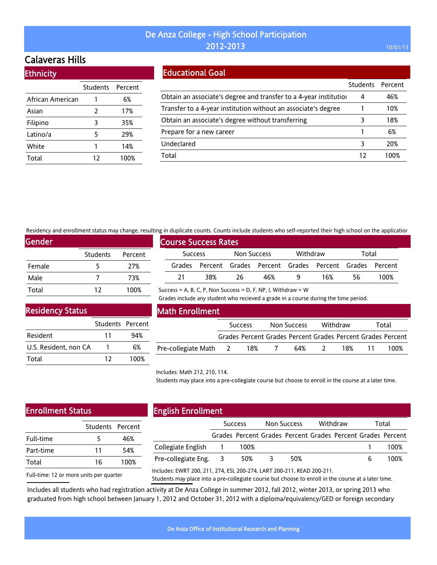# Calaveras Hills

| <b>Ethnicity</b> |                  |      |  |  |  |  |  |  |
|------------------|------------------|------|--|--|--|--|--|--|
|                  | Students Percent |      |  |  |  |  |  |  |
| African American |                  | 6%   |  |  |  |  |  |  |
| Asian            | 2                | 17%  |  |  |  |  |  |  |
| Filipino         | 3                | 35%  |  |  |  |  |  |  |
| Latino/a         | 5                | 29%  |  |  |  |  |  |  |
| White            | 1                | 14%  |  |  |  |  |  |  |
| Total            | 12               | 100% |  |  |  |  |  |  |

### Educational Goal

|                                                                   | Students Percent |      |
|-------------------------------------------------------------------|------------------|------|
| Obtain an associate's degree and transfer to a 4-year institution | 4                | 46%  |
| Transfer to a 4-year institution without an associate's degree    |                  | 10%  |
| Obtain an associate's degree without transferring                 | 3                | 18%  |
| Prepare for a new career                                          |                  | 6%   |
| Undeclared                                                        | 3                | 20%  |
| Total                                                             |                  | 100% |

Residency and enrollment status may change, resulting in duplicate counts. Counts include students who self-reported their high school on the application

| Gender |                 |         |  |  |  |  |  |
|--------|-----------------|---------|--|--|--|--|--|
|        | <b>Students</b> | Percent |  |  |  |  |  |
| Female | 5               | 27%     |  |  |  |  |  |
| Male   |                 | 73%     |  |  |  |  |  |
| Total  | 12              | 100%    |  |  |  |  |  |

| <b>Course Success Rates</b> |                |     |             |     |          |                                                             |       |      |
|-----------------------------|----------------|-----|-------------|-----|----------|-------------------------------------------------------------|-------|------|
|                             | <b>Success</b> |     | Non Success |     | Withdraw |                                                             | Total |      |
|                             |                |     |             |     |          | Grades Percent Grades Percent Grades Percent Grades Percent |       |      |
|                             | -21            | 38% | 26          | 46% |          | 16%                                                         | 56    | 100% |

Success = A, B, C, P, Non Success = D, F, NP, I, Withdraw =  $W$ 

Grades include any student who recieved a grade in a course during the time period.

## Residency Status

|                       | Students Percent |      |
|-----------------------|------------------|------|
| Resident              | 11               | 94%  |
| U.S. Resident, non CA |                  | 6%   |
| Total                 | 17               | 100% |

### Math Enrollment

|                     | <b>Success</b> |                                                             | Non Success |     | Withdraw |     | Total |      |
|---------------------|----------------|-------------------------------------------------------------|-------------|-----|----------|-----|-------|------|
|                     |                | Grades Percent Grades Percent Grades Percent Grades Percent |             |     |          |     |       |      |
| Pre-collegiate Math | <sup>2</sup>   | 18%                                                         |             | 64% |          | 18% | 11.   | 100% |

#### Includes: Math 212, 210, 114.

Students may place into a pre-collegiate course but choose to enroll in the course at a later time.

### Enrollment Status

| 5  | 46%              |
|----|------------------|
| 11 | 54%              |
| 16 | 100%             |
|    | Students Percent |

Full-time: 12 or more units per quarter

# English Enrollment

|                       | <b>Success</b> |                                                             | Non Success |     | Withdraw |  | Total |      |
|-----------------------|----------------|-------------------------------------------------------------|-------------|-----|----------|--|-------|------|
|                       |                | Grades Percent Grades Percent Grades Percent Grades Percent |             |     |          |  |       |      |
| Collegiate English 1  |                | 100%                                                        |             |     |          |  |       | 100% |
| Pre-collegiate Eng. 3 |                | 50%                                                         | $\prec$     | 50% |          |  |       | 100% |
|                       |                |                                                             |             |     |          |  |       |      |

Includes: EWRT 200, 211, 274, ESL 200-274, LART 200-211, READ 200-211.

Students may place into a pre-collegiate course but choose to enroll in the course at a later time.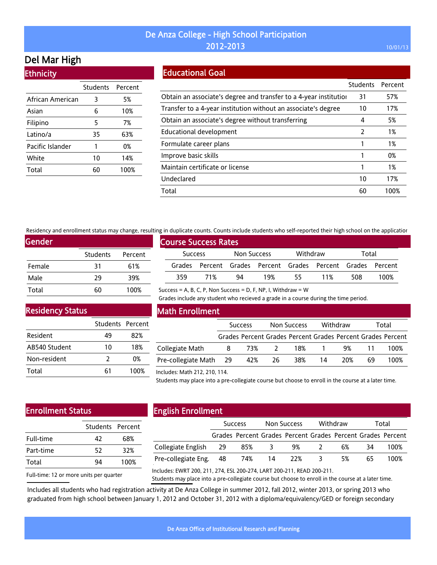# Del Mar High

**Ethnicity** 

|                  | Students | Percent |
|------------------|----------|---------|
| African American | 3        | 5%      |
| Asian            | 6        | 10%     |
| Filipino         | 5        | 7%      |
| Latino/a         | 35       | 63%     |
| Pacific Islander | 1        | 0%      |
| White            | 10       | 14%     |
| Total            | 60       | 100%    |

## Educational Goal

|                                                                   | Students | Percent |
|-------------------------------------------------------------------|----------|---------|
| Obtain an associate's degree and transfer to a 4-year institution | 31       | 57%     |
| Transfer to a 4-year institution without an associate's degree    | 10       | 17%     |
| Obtain an associate's degree without transferring                 | 4        | 5%      |
| Educational development                                           | 2        | 1%      |
| Formulate career plans                                            |          | 1%      |
| Improve basic skills                                              |          | 0%      |
| Maintain certificate or license                                   |          | 1%      |
| Undeclared                                                        | 10       | 17%     |
| Total                                                             | 60       | 100%    |

Residency and enrollment status may change, resulting in duplicate counts. Counts include students who self-reported their high school on the application

Success = A, B, C, P, Non Success = D, F, NP, I, Withdraw =  $W$ 

| <b>Gender</b> |                 |         |
|---------------|-----------------|---------|
|               | <b>Students</b> | Percent |
| Female        | 31              | 61%     |
| Male          | 29              | 39%     |
| Total         | 60              | 100%    |

| <b>Course Success Rates</b> |     |             |                                                             |          |     |       |      |
|-----------------------------|-----|-------------|-------------------------------------------------------------|----------|-----|-------|------|
| <b>Success</b>              |     | Non Success |                                                             | Withdraw |     | Total |      |
|                             |     |             | Grades Percent Grades Percent Grades Percent Grades Percent |          |     |       |      |
| 359                         | 71% | 94          | 19%                                                         | 55       | 11% | 508   | 100% |

Grades include any student who recieved a grade in a course during the time period.

Residency Status

|               | Students Percent |      |
|---------------|------------------|------|
| Resident      | 49               | 82%  |
| AB540 Student | 10               | 18%  |
| Non-resident  | 7                | 0%   |
| Total         | 61               | 100% |

### Math Enrollment

|                        | <b>Success</b> |       | Non Success |     | Withdraw |     | Total |                                                             |
|------------------------|----------------|-------|-------------|-----|----------|-----|-------|-------------------------------------------------------------|
|                        |                |       |             |     |          |     |       | Grades Percent Grades Percent Grades Percent Grades Percent |
| Collegiate Math        | 8              | 73% 2 |             | 18% |          | 9%  | -11   | 100%                                                        |
| Pre-collegiate Math 29 |                | 42%   | -26         | 38% | 14       | 20% | 69    | 100%                                                        |
|                        |                |       |             |     |          |     |       |                                                             |

#### Includes: Math 212, 210, 114.

Students may place into a pre-collegiate course but choose to enroll in the course at a later time.

### Enrollment Status

| 47 | 68%              |
|----|------------------|
| 52 | 32%              |
| ٩4 | 100%             |
|    | Students Percent |

# English Enrollment

|                        | <b>Success</b> |     | Non Success |                                                             | Withdraw       |    | Total |      |
|------------------------|----------------|-----|-------------|-------------------------------------------------------------|----------------|----|-------|------|
|                        |                |     |             | Grades Percent Grades Percent Grades Percent Grades Percent |                |    |       |      |
| Collegiate English 29  |                | 85% | -3          | 9%                                                          | $\overline{2}$ | 6% | -34   | 100% |
| Pre-collegiate Eng. 48 |                | 74% | -14         | 22%                                                         | -3             | 5% | 65    | 100% |
|                        |                |     |             |                                                             |                |    |       |      |

Full-time: 12 or more units per quarter

Includes: EWRT 200, 211, 274, ESL 200-274, LART 200-211, READ 200-211.

Students may place into a pre-collegiate course but choose to enroll in the course at a later time.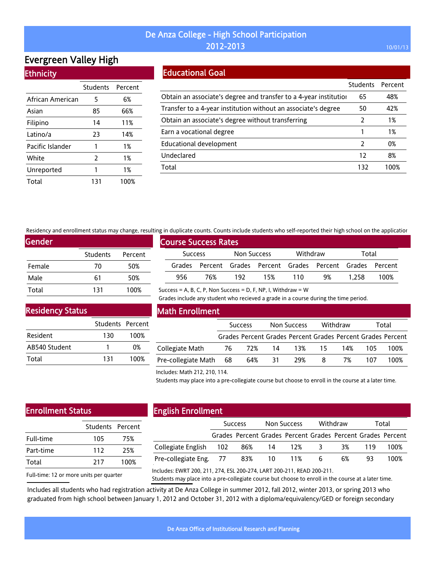# Evergreen Valley High **Ethnicity**

|                  | Students Percent |      |
|------------------|------------------|------|
| African American | 5                | 6%   |
| Asian            | 85               | 66%  |
| Filipino         | 14               | 11%  |
| Latino/a         | 23               | 14%  |
| Pacific Islander | 1                | 1%   |
| White            | $\overline{2}$   | 1%   |
| Unreported       | 1                | 1%   |
| Total            | 131              | 100% |

### Educational Goal

|                                                                   | <b>Students</b> | Percent |
|-------------------------------------------------------------------|-----------------|---------|
| Obtain an associate's degree and transfer to a 4-year institution | 65              | 48%     |
| Transfer to a 4-year institution without an associate's degree    | 50              | 42%     |
| Obtain an associate's degree without transferring                 | 2               | 1%      |
| Earn a vocational degree                                          |                 | 1%      |
| <b>Educational development</b>                                    | $\mathcal{P}$   | 0%      |
| Undeclared                                                        | 12              | 8%      |
| Total                                                             | 132             | 100%    |

Residency and enrollment status may change, resulting in duplicate counts. Counts include students who self-reported their high school on the application

Success = A, B, C, P, Non Success = D, F, NP, I, Withdraw =  $W$ 

| <b>Gender</b> |                 |         |
|---------------|-----------------|---------|
|               | <b>Students</b> | Percent |
| Female        | 70              | 50%     |
| Male          | 61              | 50%     |
| Total         | 131             | 100%    |

|                             |     |             |     |          |                                                             |       | an additioned coming, codition include seagence this sent reported enem infirmation on the applicatio |  |
|-----------------------------|-----|-------------|-----|----------|-------------------------------------------------------------|-------|-------------------------------------------------------------------------------------------------------|--|
| <b>Course Success Rates</b> |     |             |     |          |                                                             |       |                                                                                                       |  |
| <b>Success</b>              |     | Non Success |     | Withdraw |                                                             | Total |                                                                                                       |  |
|                             |     |             |     |          | Grades Percent Grades Percent Grades Percent Grades Percent |       |                                                                                                       |  |
| 956.                        | 76% | 192         | 15% | 110      | 9%                                                          | 1.258 | 100%                                                                                                  |  |

### Residency Status

|               | Students Percent |      |
|---------------|------------------|------|
| Resident      | 130              | 100% |
| AB540 Student |                  | 0%   |
| Total         | 131              | 100% |

### Math Enrollment

|                     | <b>Success</b> |           | Non Success |                                                             | Withdraw |     | Total |      |
|---------------------|----------------|-----------|-------------|-------------------------------------------------------------|----------|-----|-------|------|
|                     |                |           |             | Grades Percent Grades Percent Grades Percent Grades Percent |          |     |       |      |
| Collegiate Math     |                | 76 72% 14 |             | 13% 15                                                      |          | 14% | 105.  | 100% |
| Pre-collegiate Math | - 68           | 64%       | 31          | 29%                                                         | 8        | 7%  | 107   | 100% |

Grades include any student who recieved a grade in a course during the time period.

#### Includes: Math 212, 210, 114.

Students may place into a pre-collegiate course but choose to enroll in the course at a later time.

# Enrollment Status

| 105 | 75%              |
|-----|------------------|
| 112 | 25%              |
| 217 | 100%             |
|     | Students Percent |

# English Enrollment

|                                                                   | <b>Success</b> |                                                             | Non Success |  | Withdraw |    | Total |      |
|-------------------------------------------------------------------|----------------|-------------------------------------------------------------|-------------|--|----------|----|-------|------|
|                                                                   |                | Grades Percent Grades Percent Grades Percent Grades Percent |             |  |          |    |       |      |
| Collegiate English 102 86% 14 12% 3                               |                |                                                             |             |  |          | 3% | 119   | 100% |
| Pre-collegiate Eng.        77          83%         10         11% |                |                                                             |             |  | 6        | 6% | 93.   | 100% |
|                                                                   |                |                                                             |             |  |          |    |       |      |

Full-time: 12 or more units per quarter

Includes: EWRT 200, 211, 274, ESL 200-274, LART 200-211, READ 200-211.

Students may place into a pre-collegiate course but choose to enroll in the course at a later time.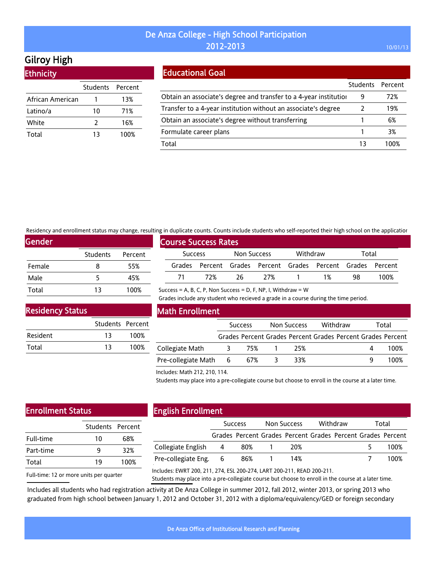# Gilroy High

**Ethnicity** 

|                  | Students Percent |      |
|------------------|------------------|------|
| African American |                  | 13%  |
| Latino/a         | 10               | 71%  |
| White            | 2                | 16%  |
| Total            | 13               | 100% |
|                  |                  |      |

### Educational Goal

|                                                                   | Students Percent |      |
|-------------------------------------------------------------------|------------------|------|
| Obtain an associate's degree and transfer to a 4-year institution | 9                | 72%  |
| Transfer to a 4-year institution without an associate's degree    |                  | 19%  |
| Obtain an associate's degree without transferring                 |                  | 6%   |
| Formulate career plans                                            |                  | 3%   |
| Total                                                             | 13               | 1በበ% |

Residency and enrollment status may change, resulting in duplicate counts. Counts include students who self-reported their high school on the application

Success = A, B, C, P, Non Success = D, F, NP, I, Withdraw =  $W$ 

| <b>Gender</b> |          |         |  |  |  |  |  |
|---------------|----------|---------|--|--|--|--|--|
|               | Students | Percent |  |  |  |  |  |
| Female        | 8        | 55%     |  |  |  |  |  |
| Male          | 5        | 45%     |  |  |  |  |  |
| Total         | 13       | 100%    |  |  |  |  |  |

|                |                             |             |       |          |                                                             |       | an additioned coming, codition include seagence this sent reported enem infirmation on the applicatio |  |
|----------------|-----------------------------|-------------|-------|----------|-------------------------------------------------------------|-------|-------------------------------------------------------------------------------------------------------|--|
|                | <b>Course Success Rates</b> |             |       |          |                                                             |       |                                                                                                       |  |
| <b>Success</b> |                             | Non Success |       | Withdraw |                                                             | Total |                                                                                                       |  |
|                |                             |             |       |          | Grades Percent Grades Percent Grades Percent Grades Percent |       |                                                                                                       |  |
| 71             | 72%                         | -26         | - 27% |          | 1%                                                          | 98    | 100%                                                                                                  |  |

### Residency Status

|          | Students Percent |      |
|----------|------------------|------|
| Resident | 13               | 100% |
| Total    | 13               | 100% |

### Math Enrollment

|                       | <b>Success</b> |     | Non Success |     | Withdraw |  | Total |                                                             |
|-----------------------|----------------|-----|-------------|-----|----------|--|-------|-------------------------------------------------------------|
|                       |                |     |             |     |          |  |       | Grades Percent Grades Percent Grades Percent Grades Percent |
| Collegiate Math       | -3             | 75% |             | 25% |          |  |       | 100%                                                        |
| Pre-collegiate Math 6 |                | 67% |             | 33% |          |  | Q     | 100%                                                        |

Grades include any student who recieved a grade in a course during the time period.

#### Includes: Math 212, 210, 114.

Students may place into a pre-collegiate course but choose to enroll in the course at a later time.

# Enrollment Status

| 10 | 68%              |
|----|------------------|
| q  | 32%              |
| 19 | 100%             |
|    | Students Percent |

## English Enrollment

|                       | <b>Success</b>                                              | Non Success | Withdraw | Total |
|-----------------------|-------------------------------------------------------------|-------------|----------|-------|
|                       | Grades Percent Grades Percent Grades Percent Grades Percent |             |          |       |
| Collegiate English 4  | 80%                                                         | 20%         |          | 100%  |
| Pre-collegiate Eng. 6 | 86%                                                         | 14%         |          | 100%  |
|                       |                                                             |             |          |       |

Full-time: 12 or more units per quarter

Includes: EWRT 200, 211, 274, ESL 200-274, LART 200-211, READ 200-211.

Students may place into a pre-collegiate course but choose to enroll in the course at a later time.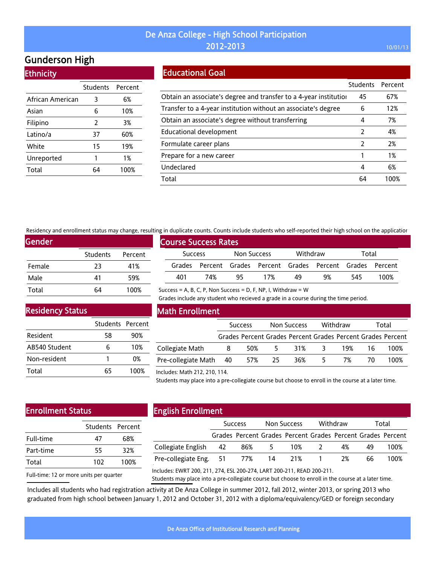# Gunderson High

**Ethnicity** 

|                  | <b>Students</b> | Percent |
|------------------|-----------------|---------|
| African American | 3               | 6%      |
| Asian            | 6               | 10%     |
| Filipino         | 2               | 3%      |
| Latino/a         | 37              | 60%     |
| White            | 15              | 19%     |
| Unreported       | 1               | 1%      |
| Total            | 64              | 100%    |

### Educational Goal

|                                                                   | <b>Students</b> | Percent |
|-------------------------------------------------------------------|-----------------|---------|
| Obtain an associate's degree and transfer to a 4-year institution | 45              | 67%     |
| Transfer to a 4-year institution without an associate's degree    | 6               | 12%     |
| Obtain an associate's degree without transferring                 | 4               | 7%      |
| Educational development                                           | $\mathcal{P}$   | 4%      |
| Formulate career plans                                            | 2               | 2%      |
| Prepare for a new career                                          |                 | 1%      |
| Undeclared                                                        | 4               | 6%      |
| Total                                                             | 64              | 100%    |

Residency and enrollment status may change, resulting in duplicate counts. Counts include students who self-reported their high school on the application

Success = A, B, C, P, Non Success = D, F, NP, I, Withdraw =  $W$ 

| Gender |                 |         |
|--------|-----------------|---------|
|        | <b>Students</b> | Percent |
| Female | 23              | 41%     |
| Male   | 41              | 59%     |
| Total  | 64              | 100%    |

|                | <b>Course Success Rates</b> |             |                                                             |          |    |       |      |
|----------------|-----------------------------|-------------|-------------------------------------------------------------|----------|----|-------|------|
| <b>Success</b> |                             | Non Success |                                                             | Withdraw |    | Total |      |
|                |                             |             | Grades Percent Grades Percent Grades Percent Grades Percent |          |    |       |      |
| 401            | 74%                         | 95          | 17%                                                         | 49       | 9% | 545   | 100% |

Grades include any student who recieved a grade in a course during the time period.

Residency Status

|               | Students Percent |      |
|---------------|------------------|------|
| Resident      | 58               | 90%  |
| AB540 Student |                  | 10%  |
| Non-resident  |                  | 0%   |
| Total         | 65               | 100% |

### Math Enrollment

|                        | <b>Success</b> |     |     | Non Success |    | Withdraw | Total |                                                             |
|------------------------|----------------|-----|-----|-------------|----|----------|-------|-------------------------------------------------------------|
|                        |                |     |     |             |    |          |       | Grades Percent Grades Percent Grades Percent Grades Percent |
| Collegiate Math        | 8              | 50% | 5   | 31%         | -3 | 19%      | 16.   | 100%                                                        |
| Pre-collegiate Math 40 |                | 57% | -25 | 36%         | 5  | 7%       | 70    | 100%                                                        |
|                        |                |     |     |             |    |          |       |                                                             |

#### Includes: Math 212, 210, 114.

Students may place into a pre-collegiate course but choose to enroll in the course at a later time.

# Enrollment Status

| 47  | 68%              |
|-----|------------------|
| 55  | 32%              |
| 102 | 100%             |
|     | Students Percent |

# English Enrollment

|                               | <b>Success</b>                                              |      | Non Success |       | Withdraw |     | Total |
|-------------------------------|-------------------------------------------------------------|------|-------------|-------|----------|-----|-------|
|                               | Grades Percent Grades Percent Grades Percent Grades Percent |      |             |       |          |     |       |
| Collegiate English 42         | 86%                                                         | $-5$ |             | 10% 2 | 4%       | 49  | 100%  |
| Pre-collegiate Eng. 51 77% 14 |                                                             |      | 21% 1       |       | 2%       | 66. | 100%  |
|                               |                                                             |      |             |       |          |     |       |

Full-time: 12 or more units per quarter

Includes: EWRT 200, 211, 274, ESL 200-274, LART 200-211, READ 200-211.

Students may place into a pre-collegiate course but choose to enroll in the course at a later time.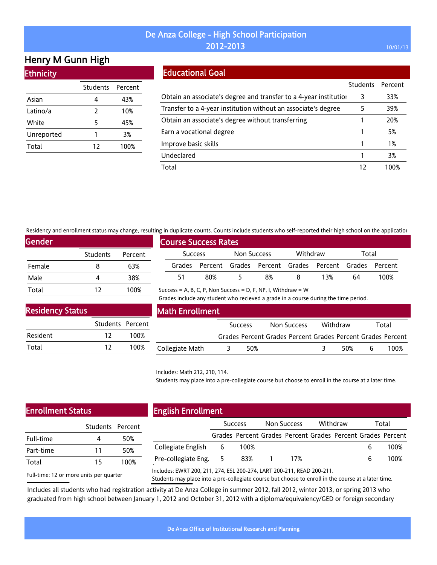# Henry M Gunn High

**Ethnicity** 

| 4             | 43%              |
|---------------|------------------|
| $\mathcal{P}$ | 10%              |
| 5             | 45%              |
| 1             | 3%               |
| 12            | 100%             |
|               | Students Percent |

## Educational Goal

|                                                                   | <b>Students</b> | Percent |
|-------------------------------------------------------------------|-----------------|---------|
| Obtain an associate's degree and transfer to a 4-year institution | 3               | 33%     |
| Transfer to a 4-year institution without an associate's degree    | 5               | 39%     |
| Obtain an associate's degree without transferring                 |                 | 20%     |
| Earn a vocational degree                                          |                 | 5%      |
| Improve basic skills                                              |                 | 1%      |
| Undeclared                                                        |                 | 3%      |
| Total                                                             | 12              | 100%    |

Residency and enrollment status may change, resulting in duplicate counts. Counts include students who self-reported their high school on the application

| <b>Gender</b> |                 |         |
|---------------|-----------------|---------|
|               | <b>Students</b> | Percent |
| Female        | 8               | 63%     |
| Male          | 4               | 38%     |
| Total         | 12              | 100%    |

| <b>Course Success Rates</b> |                |     |             |    |          |                                                             |       |      |  |
|-----------------------------|----------------|-----|-------------|----|----------|-------------------------------------------------------------|-------|------|--|
|                             | <b>Success</b> |     | Non Success |    | Withdraw |                                                             | Total |      |  |
|                             |                |     |             |    |          | Grades Percent Grades Percent Grades Percent Grades Percent |       |      |  |
|                             | 51             | 80% | ь.          | 8% |          | 13%                                                         | 64    | 100% |  |

Success = A, B, C, P, Non Success = D, F, NP, I, Withdraw =  $W$ 

Grades include any student who recieved a grade in a course during the time period.

### Residency Status

|          | Students Percent |      |
|----------|------------------|------|
| Resident | 12               | 100% |
| Total    | 12               | 100% |

### Math Enrollment

|                 | <b>Success</b> | Non Success | Withdraw |     |     | Total                                                       |
|-----------------|----------------|-------------|----------|-----|-----|-------------------------------------------------------------|
|                 |                |             |          |     |     | Grades Percent Grades Percent Grades Percent Grades Percent |
| Collegiate Math | 50%            |             |          | 50% | - 6 | 100%                                                        |

#### Includes: Math 212, 210, 114.

Students may place into a pre-collegiate course but choose to enroll in the course at a later time.

# Enrollment Status

|    | 50%              |
|----|------------------|
| 11 | 50%              |
| 15 | 100%             |
|    | Students Percent |

### English Enrollment

|                       | <b>Success</b> |                                                             |  | Withdraw<br>Non Success |  |  | Total |      |
|-----------------------|----------------|-------------------------------------------------------------|--|-------------------------|--|--|-------|------|
|                       |                | Grades Percent Grades Percent Grades Percent Grades Percent |  |                         |  |  |       |      |
| Collegiate English 6  |                | 100%                                                        |  |                         |  |  |       | 100% |
| Pre-collegiate Eng. 5 |                | 83%                                                         |  | 17%                     |  |  |       | 100% |
|                       |                |                                                             |  |                         |  |  |       |      |

Full-time: 12 or more units per quarter

Includes: EWRT 200, 211, 274, ESL 200-274, LART 200-211, READ 200-211.

Students may place into a pre-collegiate course but choose to enroll in the course at a later time.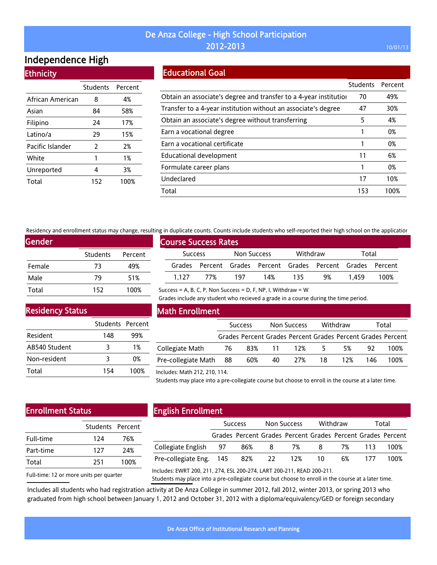# Independence High

**Ethnicity** 

|                  | <b>Students</b> | Percent |
|------------------|-----------------|---------|
| African American | 8               | 4%      |
| Asian            | 84              | 58%     |
| Filipino         | 24              | 17%     |
| Latino/a         | 29              | 15%     |
| Pacific Islander | 2               | 2%      |
| White            | 1               | 1%      |
| Unreported       | 4               | 3%      |
| Total            | 152             | 100%    |

### Educational Goal

|                                                                   | Students | Percent |
|-------------------------------------------------------------------|----------|---------|
| Obtain an associate's degree and transfer to a 4-year institution | 70       | 49%     |
| Transfer to a 4-year institution without an associate's degree    | 47       | 30%     |
| Obtain an associate's degree without transferring                 | 5        | 4%      |
| Earn a vocational degree                                          |          | 0%      |
| Earn a vocational certificate                                     |          | 0%      |
| Educational development                                           | 11       | 6%      |
| Formulate career plans                                            |          | 0%      |
| Undeclared                                                        | 17       | 10%     |
| Total                                                             | 153      | 100%    |

Residency and enrollment status may change, resulting in duplicate counts. Counts include students who self-reported their high school on the application

Success = A, B, C, P, Non Success = D, F, NP, I, Withdraw =  $W$ 

| Gender, |                 |         |  |  |  |  |  |  |
|---------|-----------------|---------|--|--|--|--|--|--|
|         | <b>Students</b> | Percent |  |  |  |  |  |  |
| Female  | 73              | 49%     |  |  |  |  |  |  |
| Male    | 79              | 51%     |  |  |  |  |  |  |
| Total   | 152             | 100%    |  |  |  |  |  |  |

|                | <b>Course Success Rates</b> |             |                                                             |          |    |       |      |
|----------------|-----------------------------|-------------|-------------------------------------------------------------|----------|----|-------|------|
| <b>Success</b> |                             | Non Success |                                                             | Withdraw |    | Total |      |
|                |                             |             | Grades Percent Grades Percent Grades Percent Grades Percent |          |    |       |      |
| 1.127          | 77%                         | 197         | 14%                                                         | -135     | 9% | 1.459 | 100% |

Grades include any student who recieved a grade in a course during the time period.

Residency Status

|               | Students Percent |      |
|---------------|------------------|------|
| Resident      | 148              | 99%  |
| AB540 Student | ર                | 1%   |
| Non-resident  | ঽ                | 0%   |
| Total         | 154              | 100% |

### Math Enrollment

|                     | <b>Success</b> |     | Non Success |                                                             | Withdraw |     | Total |      |
|---------------------|----------------|-----|-------------|-------------------------------------------------------------|----------|-----|-------|------|
|                     |                |     |             | Grades Percent Grades Percent Grades Percent Grades Percent |          |     |       |      |
| Collegiate Math     | -76            |     | 83% 11 12%  |                                                             | .5.      | 5%  | 92.   | 100% |
| Pre-collegiate Math | - 88           | 60% | 40          | 27%                                                         | 18       | 12% | 146.  | 100% |

#### Includes: Math 212, 210, 114.

Students may place into a pre-collegiate course but choose to enroll in the course at a later time.

## Enrollment Status

|           | Students Percent |      |
|-----------|------------------|------|
| Full-time | 174              | 76%  |
| Part-time | 127              | 24%  |
| Total     | 251              | 100% |
|           |                  |      |

# English Enrollment

|                         | <b>Success</b> |        | Non Success |                                                             | Withdraw |    | Total |      |
|-------------------------|----------------|--------|-------------|-------------------------------------------------------------|----------|----|-------|------|
|                         |                |        |             | Grades Percent Grades Percent Grades Percent Grades Percent |          |    |       |      |
| Collegiate English 97   |                | 86%    | -8          | 7%                                                          | - 8      | 7% | 113   | 100% |
| Pre-collegiate Eng. 145 |                | 82% 22 |             | 12%                                                         | -10      | 6% | 177   | 100% |
|                         |                |        |             |                                                             |          |    |       |      |

Full-time: 12 or more units per quarter

Includes: EWRT 200, 211, 274, ESL 200-274, LART 200-211, READ 200-211.

Students may place into a pre-collegiate course but choose to enroll in the course at a later time.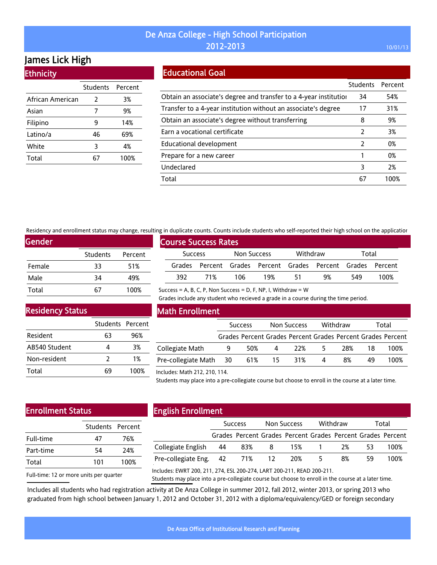# James Lick High

**Ethnicity** 

|                  | <b>Students</b> | Percent |
|------------------|-----------------|---------|
| African American | 2               | 3%      |
| Asian            | 7               | 9%      |
| Filipino         | 9               | 14%     |
| Latino/a         | 46              | 69%     |
| White            | 3               | 4%      |
| Total            |                 | 100%    |

## Educational Goal

|                                                                   | <b>Students</b> | Percent |
|-------------------------------------------------------------------|-----------------|---------|
| Obtain an associate's degree and transfer to a 4-year institution | 34              | 54%     |
| Transfer to a 4-year institution without an associate's degree    | 17              | 31%     |
| Obtain an associate's degree without transferring                 | 8               | 9%      |
| Earn a vocational certificate                                     | $\mathcal{P}$   | 3%      |
| Educational development                                           | 2               | 0%      |
| Prepare for a new career                                          |                 | 0%      |
| Undeclared                                                        | 3               | 2%      |
| Total                                                             | 67              | 100%    |

Residency and enrollment status may change, resulting in duplicate counts. Counts include students who self-reported their high school on the application

Success = A, B, C, P, Non Success = D, F, NP, I, Withdraw =  $W$ 

| Gender |          |         |
|--------|----------|---------|
|        | Students | Percent |
| Female | 33       | 51%     |
| Male   | 34       | 49%     |
| Total  |          | 100%    |

|                | <b>Course Success Rates</b> |             |                                                             |          |    |       |      |
|----------------|-----------------------------|-------------|-------------------------------------------------------------|----------|----|-------|------|
| <b>Success</b> |                             | Non Success |                                                             | Withdraw |    | Total |      |
|                |                             |             | Grades Percent Grades Percent Grades Percent Grades Percent |          |    |       |      |
| 392.           | 71%                         | -106        | 19%                                                         | 51       | 9% | 549   | 100% |

Grades include any student who recieved a grade in a course during the time period.

Residency Status

|               | Students Percent |      |
|---------------|------------------|------|
| Resident      | 63               | 96%  |
| AB540 Student |                  | 3%   |
| Non-resident  | כ                | 1%   |
| Total         | 69               | 100% |

### Math Enrollment

|                        | <b>Success</b> |     | Non Success    |     | Withdraw |     | Total |                                                             |
|------------------------|----------------|-----|----------------|-----|----------|-----|-------|-------------------------------------------------------------|
|                        |                |     |                |     |          |     |       | Grades Percent Grades Percent Grades Percent Grades Percent |
| Collegiate Math        | 9              | 50% | 4 <sup>1</sup> | 22% | 5        | 28% | 18    | 100%                                                        |
| Pre-collegiate Math 30 |                | 61% | $-15$          | 31% | 4        | 8%  | 49    | 100%                                                        |

#### Includes: Math 212, 210, 114.

Students may place into a pre-collegiate course but choose to enroll in the course at a later time.

# Enrollment Status

|           | Students Percent |      |
|-----------|------------------|------|
| Full-time | 47               | 76%  |
| Part-time | 54               | 24%  |
| Total     | 101              | 100% |
|           |                  |      |

# English Enrollment

|                               | <b>Success</b> |      | Non Success |                                                             | Withdraw |    | Total |      |
|-------------------------------|----------------|------|-------------|-------------------------------------------------------------|----------|----|-------|------|
|                               |                |      |             | Grades Percent Grades Percent Grades Percent Grades Percent |          |    |       |      |
| Collegiate English 44         |                | -83% | - 8         |                                                             | 15% 1    | 2% | 53.   | 100% |
| Pre-collegiate Eng. 42 71% 12 |                |      |             | -20%                                                        | 5.       | 8% | 59    | 100% |
|                               |                |      |             |                                                             |          |    |       |      |

Full-time: 12 or more units per quarter

Includes: EWRT 200, 211, 274, ESL 200-274, LART 200-211, READ 200-211.

Students may place into a pre-collegiate course but choose to enroll in the course at a later time.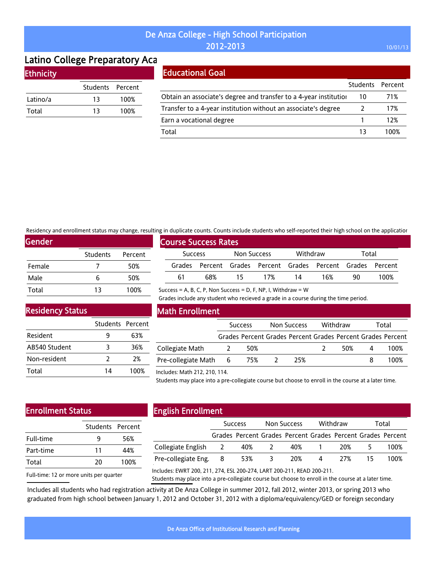# Latino College Preparatory Aca

|  | <b>Ethnicity</b> |
|--|------------------|
|  |                  |
|  |                  |

|          | Students Percent |      |
|----------|------------------|------|
| Latino/a | 13               | 100% |
| Total    | 13               | 100% |

# Educational Goal

|                                                                   | Students Percent |      |
|-------------------------------------------------------------------|------------------|------|
| Obtain an associate's degree and transfer to a 4-year institution | 10               | 71%  |
| Transfer to a 4-year institution without an associate's degree    |                  | 17%  |
| Earn a vocational degree                                          |                  | 12%  |
| Total                                                             | 13               | 100% |

Residency and enrollment status may change, resulting in duplicate counts. Counts include students who self-reported their high school on the application

Success = A, B, C, P, Non Success = D, F, NP, I, Withdraw =  $W$ 

| Gender |                 |         |
|--------|-----------------|---------|
|        | <b>Students</b> | Percent |
| Female |                 | 50%     |
| Male   | 6               | 50%     |
| Total  | 13              | 100%    |

|         |                             |             |                                                             |          |     |       | ה הו שמאווכמנכ כסמות:. כסמות: הוכנמטכ גנמטכות: זהוס גכנו דכאסו נכמ נותנו חוקו גכווסטנ סודנות מאאווכמנוכ |  |
|---------|-----------------------------|-------------|-------------------------------------------------------------|----------|-----|-------|---------------------------------------------------------------------------------------------------------|--|
|         | <b>Course Success Rates</b> |             |                                                             |          |     |       |                                                                                                         |  |
| Success |                             | Non Success |                                                             | Withdraw |     | Total |                                                                                                         |  |
|         |                             |             | Grades Percent Grades Percent Grades Percent Grades Percent |          |     |       |                                                                                                         |  |
| 61      | 68%                         | 15          | 17%                                                         | 14       | 16% | 90.   | 100%                                                                                                    |  |

Grades include any student who recieved a grade in a course during the time period.

Residency Status

|               | Students Percent |      |
|---------------|------------------|------|
| Resident      | q                | 63%  |
| AB540 Student | 3                | 36%  |
| Non-resident  | 7                | 2%   |
| Total         | 14               | 100% |

### Math Enrollment

|                           | <b>Success</b> |     | Non Success |     | Withdraw |     | Total |                                                             |
|---------------------------|----------------|-----|-------------|-----|----------|-----|-------|-------------------------------------------------------------|
|                           |                |     |             |     |          |     |       | Grades Percent Grades Percent Grades Percent Grades Percent |
| Collegiate Math           |                | 50% |             |     |          | 50% | 4     | 100%                                                        |
| Pre-collegiate Math 6 75% |                |     |             | 25% |          |     |       | 100%                                                        |

Includes: Math 212, 210, 114.

Students may place into a pre-collegiate course but choose to enroll in the course at a later time.

# Enrollment Status

|           | Students Percent |      |
|-----------|------------------|------|
| Full-time | q                | 56%  |
| Part-time | 11               | 44%  |
| Total     | 20               | 100% |
|           |                  |      |

# English Enrollment

|                       | <b>Success</b> |                                                             | <b>Non Success</b> |     | Withdraw |     | Total |      |
|-----------------------|----------------|-------------------------------------------------------------|--------------------|-----|----------|-----|-------|------|
|                       |                | Grades Percent Grades Percent Grades Percent Grades Percent |                    |     |          |     |       |      |
| Collegiate English 2  |                | 40%                                                         |                    | 40% |          | 20% |       | 100% |
| Pre-collegiate Eng. 8 |                | 53%                                                         | 3                  | 20% | 4        | 27% |       | 100% |
|                       |                |                                                             |                    |     |          |     |       |      |

Full-time: 12 or more units per quarter

Includes: EWRT 200, 211, 274, ESL 200-274, LART 200-211, READ 200-211.

Students may place into a pre-collegiate course but choose to enroll in the course at a later time.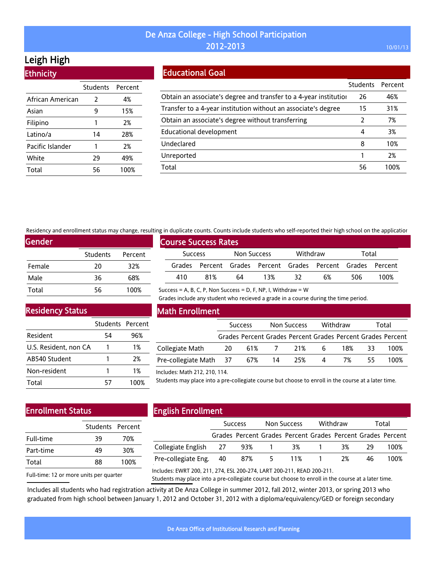# Leigh High

| <b>Ethnicity</b> |                  |      |
|------------------|------------------|------|
|                  | Students Percent |      |
| African American | 2                | 4%   |
| Asian            | 9                | 15%  |
| Filipino         | 1                | 2%   |
| Latino/a         | 14               | 28%  |
| Pacific Islander | 1                | 2%   |
| White            | 29               | 49%  |
| Total            | 56               | 100% |

### Educational Goal

|                                                                   | <b>Students</b> | Percent |
|-------------------------------------------------------------------|-----------------|---------|
| Obtain an associate's degree and transfer to a 4-year institution | 26              | 46%     |
| Transfer to a 4-year institution without an associate's degree    | 15              | 31%     |
| Obtain an associate's degree without transferring                 |                 | 7%      |
| <b>Educational development</b>                                    | 4               | 3%      |
| Undeclared                                                        | 8               | 10%     |
| Unreported                                                        |                 | 2%      |
| Total                                                             | 56              | 100%    |

Residency and enrollment status may change, resulting in duplicate counts. Counts include students who self-reported their high school on the application

Success = A, B, C, P, Non Success = D, F, NP, I, Withdraw =  $W$ 

| Gender |                 |         |
|--------|-----------------|---------|
|        | <b>Students</b> | Percent |
| Female | 20              | 32%     |
| Male   | 36              | 68%     |
| Total  | 56              | 100%    |

|                |     |                             |             |     |          |                                                             |       | <u>u ili aabilaasa aballisti aballist liisimaa senaallee lilla sati labaleen eleli liibil sellaat all ele abbilaasia</u> |  |
|----------------|-----|-----------------------------|-------------|-----|----------|-------------------------------------------------------------|-------|--------------------------------------------------------------------------------------------------------------------------|--|
|                |     | <b>Course Success Rates</b> |             |     |          |                                                             |       |                                                                                                                          |  |
| <b>Success</b> |     |                             | Non Success |     | Withdraw |                                                             | Total |                                                                                                                          |  |
|                |     |                             |             |     |          | Grades Percent Grades Percent Grades Percent Grades Percent |       |                                                                                                                          |  |
|                | 410 | 81%                         | 64          | 13% |          | 6%                                                          | 506.  | 100%                                                                                                                     |  |

Grades include any student who recieved a grade in a course during the time period.

Residency Status

|                       | Students Percent |      |
|-----------------------|------------------|------|
| Resident              | 54               | 96%  |
| U.S. Resident, non CA |                  | 1%   |
| AB540 Student         |                  | 2%   |
| Non-resident          |                  | 1%   |
| Total                 | 57               | 100% |

### Math Enrollment

|                               | <b>Success</b> |  | Non Success |                                                             | Withdraw       |     | Total |      |
|-------------------------------|----------------|--|-------------|-------------------------------------------------------------|----------------|-----|-------|------|
|                               |                |  |             | Grades Percent Grades Percent Grades Percent Grades Percent |                |     |       |      |
| Collegiate Math               | - 20           |  | 61% 7 21%   |                                                             | 6              | 18% | -33   | 100% |
| Pre-collegiate Math 37 67% 14 |                |  |             | 25%                                                         | $\overline{4}$ | 7%  | 55.   | 100% |

#### Includes: Math 212, 210, 114.

Students may place into a pre-collegiate course but choose to enroll in the course at a later time.

# Enrollment Status

|           | Students Percent |      |
|-----------|------------------|------|
| Full-time | 39               | 70%  |
| Part-time | 49               | 30%  |
| Total     | 88               | 100% |
|           |                  |      |

# English Enrollment

|                        | <b>Success</b> |                                                             | Non Success |    | Withdraw |    | Total |      |
|------------------------|----------------|-------------------------------------------------------------|-------------|----|----------|----|-------|------|
|                        |                | Grades Percent Grades Percent Grades Percent Grades Percent |             |    |          |    |       |      |
| Collegiate English 27  |                | 93% 1                                                       |             | 3% |          | 3% | - 29  | 100% |
| Pre-collegiate Eng. 40 |                | 87%                                                         | $-5$        |    | 11% 1    | 2% | 46    | 100% |

Full-time: 12 or more units per quarter

Includes: EWRT 200, 211, 274, ESL 200-274, LART 200-211, READ 200-211.

Students may place into a pre-collegiate course but choose to enroll in the course at a later time.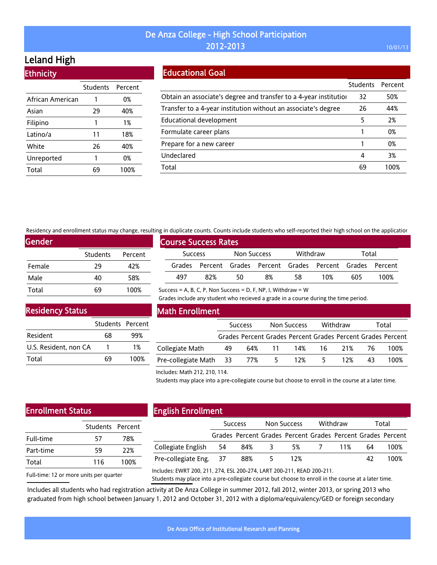# Leland High

**Ethnicity** 

|                  | Students | Percent |
|------------------|----------|---------|
| African American | 1        | 0%      |
| Asian            | 29       | 40%     |
| Filipino         | 1        | 1%      |
| Latino/a         | 11       | 18%     |
| White            | 26       | 40%     |
| Unreported       | 1        | 0%      |
| Total            |          | 100%    |

### Educational Goal

|                                                                   | <b>Students</b> | Percent |
|-------------------------------------------------------------------|-----------------|---------|
| Obtain an associate's degree and transfer to a 4-year institution | 32              | 50%     |
| Transfer to a 4-year institution without an associate's degree    | 26              | 44%     |
| <b>Educational development</b>                                    | 5               | 2%      |
| Formulate career plans                                            |                 | 0%      |
| Prepare for a new career                                          |                 | 0%      |
| Undeclared                                                        | 4               | 3%      |
| Total                                                             | 69              | 100%    |

Residency and enrollment status may change, resulting in duplicate counts. Counts include students who self-reported their high school on the application

Success = A, B, C, P, Non Success = D, F, NP, I, Withdraw =  $W$ 

| Gender |          |         |
|--------|----------|---------|
|        | Students | Percent |
| Female | 29       | 42%     |
| Male   | 40       | 58%     |
| Total  | 69       | 100%    |

|                | <b>Course Success Rates</b> |             |    |          |                                                             |       |      |  |
|----------------|-----------------------------|-------------|----|----------|-------------------------------------------------------------|-------|------|--|
| <b>Success</b> |                             | Non Success |    | Withdraw |                                                             | Total |      |  |
|                |                             |             |    |          | Grades Percent Grades Percent Grades Percent Grades Percent |       |      |  |
| 497            | 82%                         | 50          | 8% | 58       | 10%                                                         | 605   | 100% |  |

Grades include any student who recieved a grade in a course during the time period.

Residency Status

|                       | Students Percent |      |
|-----------------------|------------------|------|
| Resident              | 68               | 99%  |
| U.S. Resident, non CA |                  | 1%   |
| Total                 | 69               | 100% |

### Math Enrollment

|                        |    | <b>Success</b> |    | Non Success |    | Withdraw |     | Total                                                       |
|------------------------|----|----------------|----|-------------|----|----------|-----|-------------------------------------------------------------|
|                        |    |                |    |             |    |          |     | Grades Percent Grades Percent Grades Percent Grades Percent |
| Collegiate Math        | 49 | 64% 11         |    | 14%         | 16 | 21%      | -76 | 100%                                                        |
| Pre-collegiate Math 33 |    | 77%            | 5. | 12%         |    | 12%      | 43. | 100%                                                        |

#### Includes: Math 212, 210, 114.

Students may place into a pre-collegiate course but choose to enroll in the course at a later time.

# Enrollment Status

|           | Students Percent |      |
|-----------|------------------|------|
| Full-time | 57               | 78%  |
| Part-time | 59               | 22%  |
| Total     | 116              | 100% |
|           |                  |      |

# English Enrollment

|                        | <b>Success</b>                                              |       | Non Success |       | Withdraw |    | Total |
|------------------------|-------------------------------------------------------------|-------|-------------|-------|----------|----|-------|
|                        | Grades Percent Grades Percent Grades Percent Grades Percent |       |             |       |          |    |       |
| Collegiate English 54  | 84%                                                         | - 3-  | 5%          | 7 11% |          | 64 | 100%  |
| Pre-collegiate Eng. 37 | 88%                                                         | $5 -$ | 12%         |       |          | 42 | 100%  |
|                        |                                                             |       |             |       |          |    |       |

Full-time: 12 or more units per quarter

Includes: EWRT 200, 211, 274, ESL 200-274, LART 200-211, READ 200-211.

Students may place into a pre-collegiate course but choose to enroll in the course at a later time.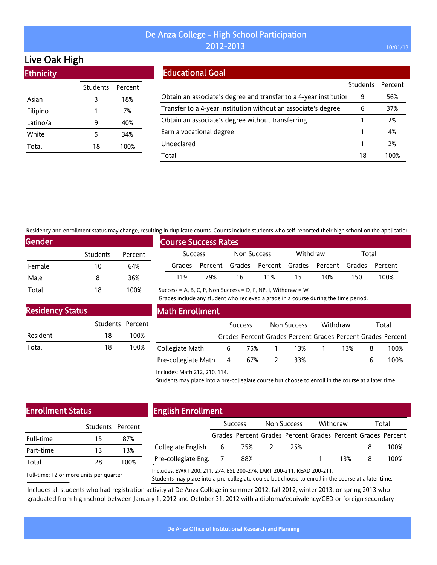# Live Oak High

**Ethnicity** 

| Students Percent |      |
|------------------|------|
| 3                | 18%  |
| 1                | 7%   |
| q                | 40%  |
| 5                | 34%  |
| 18               | 100% |
|                  |      |

### Educational Goal

|                                                                   | <b>Students</b> | Percent |
|-------------------------------------------------------------------|-----------------|---------|
| Obtain an associate's degree and transfer to a 4-year institution | 9               | 56%     |
| Transfer to a 4-year institution without an associate's degree    | 6               | 37%     |
| Obtain an associate's degree without transferring                 |                 | 2%      |
| Earn a vocational degree                                          |                 | 4%      |
| Undeclared                                                        |                 | 2%      |
| Total                                                             | 18              | 100%    |

Residency and enrollment status may change, resulting in duplicate counts. Counts include students who self-reported their high school on the application

Success = A, B, C, P, Non Success = D, F, NP, I, Withdraw =  $W$ 

| <b>Gender</b> |                 |         |
|---------------|-----------------|---------|
|               | <b>Students</b> | Percent |
| Female        | 10              | 64%     |
| Male          | 8               | 36%     |
| Total         | 18              | 100%    |

|                |     | <b>Course Success Rates</b> |             |        |          |                                                             |       |      |  |
|----------------|-----|-----------------------------|-------------|--------|----------|-------------------------------------------------------------|-------|------|--|
| <b>Success</b> |     |                             | Non Success |        | Withdraw |                                                             | Total |      |  |
|                |     |                             |             |        |          | Grades Percent Grades Percent Grades Percent Grades Percent |       |      |  |
|                | 119 | 79%                         |             | 16 11% | -15      | 10%                                                         | 150.  | 100% |  |

### Residency Status

|          | Students Percent |      |
|----------|------------------|------|
| Resident | 18               | 100% |
| Total    | 18               | 100% |

### Math Enrollment

|                       | <b>Success</b> |       | Non Success |       | Withdraw |     | Total |                                                             |
|-----------------------|----------------|-------|-------------|-------|----------|-----|-------|-------------------------------------------------------------|
|                       |                |       |             |       |          |     |       | Grades Percent Grades Percent Grades Percent Grades Percent |
| Collegiate Math       | 6              | 75% 1 |             | 13% 1 |          | 13% |       | 100%                                                        |
| Pre-collegiate Math 4 |                | 67%   |             | 33%   |          |     |       | 100%                                                        |

Grades include any student who recieved a grade in a course during the time period.

#### Includes: Math 212, 210, 114.

Students may place into a pre-collegiate course but choose to enroll in the course at a later time.

# Enrollment Status

| 15 | 87%              |
|----|------------------|
| 13 | 13%              |
| 28 | 100%             |
|    | Students Percent |

#### English Enrollment

|                          | <b>Success</b> |     | Non Success |                                                             | Withdraw |     | Total |      |  |
|--------------------------|----------------|-----|-------------|-------------------------------------------------------------|----------|-----|-------|------|--|
|                          |                |     |             | Grades Percent Grades Percent Grades Percent Grades Percent |          |     |       |      |  |
| Collegiate English 6 75% |                |     |             | 25%                                                         |          |     |       | 100% |  |
| Pre-collegiate Eng. 7    |                | 88% |             |                                                             |          | 13% | 8     | 100% |  |
|                          |                |     |             |                                                             |          |     |       |      |  |

Full-time: 12 or more units per quarter

Includes: EWRT 200, 211, 274, ESL 200-274, LART 200-211, READ 200-211.

Students may place into a pre-collegiate course but choose to enroll in the course at a later time.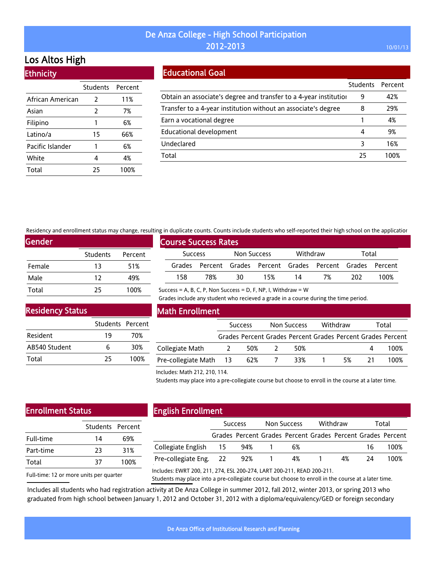# Los Altos High

**Ethnicity** 

|                  | Students      | Percent |
|------------------|---------------|---------|
| African American | $\mathcal{L}$ | 11%     |
| Asian            | 2             | 7%      |
| Filipino         | 1             | 6%      |
| Latino/a         | 15            | 66%     |
| Pacific Islander | 1             | 6%      |
| White            | 4             | 4%      |
| Total            | 25            | 100%    |

## Educational Goal

|                                                                   | Students Percent |      |
|-------------------------------------------------------------------|------------------|------|
| Obtain an associate's degree and transfer to a 4-year institution | 9                | 42%  |
| Transfer to a 4-year institution without an associate's degree    | 8                | 29%  |
| Earn a vocational degree                                          |                  | 4%   |
| <b>Educational development</b>                                    | 4                | 9%   |
| Undeclared                                                        | 3                | 16%  |
| Total                                                             | 25               | 100% |

Residency and enrollment status may change, resulting in duplicate counts. Counts include students who self-reported their high school on the application

Success = A, B, C, P, Non Success = D, F, NP, I, Withdraw =  $W$ 

| Gender |                 |         |
|--------|-----------------|---------|
|        | <b>Students</b> | Percent |
| Female | 13              | 51%     |
| Male   | 12              | 49%     |
| Total  | 25              | 100%    |

|                | <b>Course Success Rates</b> |             |                                                             |          |    |       |      |  |
|----------------|-----------------------------|-------------|-------------------------------------------------------------|----------|----|-------|------|--|
| <b>Success</b> |                             | Non Success |                                                             | Withdraw |    | Total |      |  |
|                |                             |             | Grades Percent Grades Percent Grades Percent Grades Percent |          |    |       |      |  |
| 158            | 78%                         | 30          | 15%                                                         | 14       | 7% | 202   | 100% |  |

Grades include any student who recieved a grade in a course during the time period.

Residency Status

|               | Students Percent |      |
|---------------|------------------|------|
| Resident      | 19               | 70%  |
| AB540 Student | 6                | 30%  |
| Total         | 25               | 100% |

### Math Enrollment

|                        | <b>Success</b> |     | Non Success |  | Withdraw |           | Total                                                       |  |
|------------------------|----------------|-----|-------------|--|----------|-----------|-------------------------------------------------------------|--|
|                        |                |     |             |  |          |           | Grades Percent Grades Percent Grades Percent Grades Percent |  |
| Collegiate Math        |                | 50% | 50%         |  |          | $\Lambda$ | 100%                                                        |  |
| Pre-collegiate Math 13 |                | 62% | 33%         |  | 5%       | 21        | 100%                                                        |  |

#### Includes: Math 212, 210, 114.

Students may place into a pre-collegiate course but choose to enroll in the course at a later time.

# Enrollment Status

| Students Percent |      |
|------------------|------|
| 14               | 69%  |
| 23               | 31%  |
| 37               | 100% |
|                  |      |

# English Enrollment

|                        | <b>Success</b>                                              | Non Success | Withdraw |    | Total |
|------------------------|-------------------------------------------------------------|-------------|----------|----|-------|
|                        | Grades Percent Grades Percent Grades Percent Grades Percent |             |          |    |       |
| Collegiate English 15  | 94%                                                         | 6%          |          | 16 | 100%  |
| Pre-collegiate Eng. 22 | 92%                                                         | 4%          | 4%       | 74 | 100%  |
|                        |                                                             |             |          |    |       |

Full-time: 12 or more units per quarter

Includes: EWRT 200, 211, 274, ESL 200-274, LART 200-211, READ 200-211.

Students may place into a pre-collegiate course but choose to enroll in the course at a later time.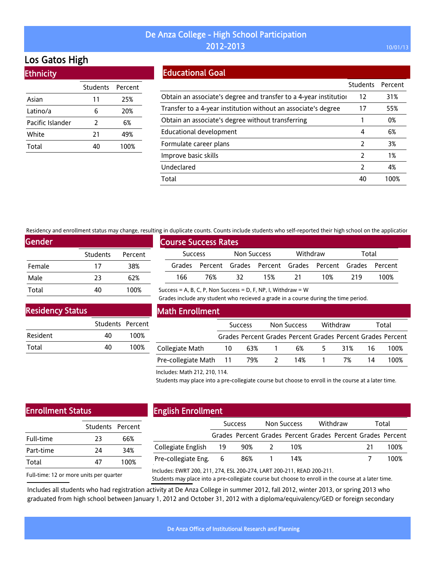# Los Gatos High

**Ethnicity** 

|                  | Students | Percent |
|------------------|----------|---------|
| Asian            | 11       | 25%     |
| Latino/a         | 6        | 20%     |
| Pacific Islander | 2        | 6%      |
| White            | 21       | 49%     |
| Total            | 40       | 100%    |
|                  |          |         |

## Educational Goal

|                                                                   | Students      | Percent |
|-------------------------------------------------------------------|---------------|---------|
| Obtain an associate's degree and transfer to a 4-year institution | 12            | 31%     |
| Transfer to a 4-year institution without an associate's degree    | 17            | 55%     |
| Obtain an associate's degree without transferring                 |               | 0%      |
| Educational development                                           | 4             | 6%      |
| Formulate career plans                                            | 2             | 3%      |
| Improve basic skills                                              | 2             | 1%      |
| Undeclared                                                        | $\mathcal{P}$ | 4%      |
| Total                                                             | 40            | 100%    |

Residency and enrollment status may change, resulting in duplicate counts. Counts include students who self-reported their high school on the application

Success = A, B, C, P, Non Success = D, F, NP, I, Withdraw =  $W$ 

| <b>Gender</b> |                 |         |
|---------------|-----------------|---------|
|               | <b>Students</b> | Percent |
| Female        | 17              | 38%     |
| Male          | 23              | 62%     |
| Total         | 40              | 100%    |

|                |                             |             |     |          |                                                             |       | an aabheers counts, counts member stadents milo sen reported them majn sendor on the apprease. |  |
|----------------|-----------------------------|-------------|-----|----------|-------------------------------------------------------------|-------|------------------------------------------------------------------------------------------------|--|
|                | <b>Course Success Rates</b> |             |     |          |                                                             |       |                                                                                                |  |
| <b>Success</b> |                             | Non Success |     | Withdraw |                                                             | Total |                                                                                                |  |
|                |                             |             |     |          | Grades Percent Grades Percent Grades Percent Grades Percent |       |                                                                                                |  |
| 166            | 76%                         | - 32        | 15% | - 21     | 10%                                                         | 219   | 100%                                                                                           |  |

### Residency Status

|          | Students Percent |      |
|----------|------------------|------|
| Resident | 40               | 100% |
| Total    | 40               | 100% |

### Math Enrollment

|                            |    | <b>Success</b> | Non Success |    | Withdraw |    | Total                                                       |
|----------------------------|----|----------------|-------------|----|----------|----|-------------------------------------------------------------|
|                            |    |                |             |    |          |    | Grades Percent Grades Percent Grades Percent Grades Percent |
| Collegiate Math            | 10 | 63%            | 6%          | 5. | 31%      |    | 100%                                                        |
| Pre-collegiate Math 11 79% |    |                | 14%         |    | 7%       | 14 | 100%                                                        |

Grades include any student who recieved a grade in a course during the time period.

#### Includes: Math 212, 210, 114.

Students may place into a pre-collegiate course but choose to enroll in the course at a later time.

# Enrollment Status

| Students Percent |
|------------------|
|                  |
| 66%              |
| 34%              |
| 100%             |
|                  |

### English Enrollment

|                       |      | <b>Success</b>                                              | Non Success | Withdraw |    | Total |
|-----------------------|------|-------------------------------------------------------------|-------------|----------|----|-------|
|                       |      | Grades Percent Grades Percent Grades Percent Grades Percent |             |          |    |       |
| Collegiate English    | - 19 | 90%                                                         | 10%         |          | 21 | 100%  |
| Pre-collegiate Eng. 6 |      | 86%                                                         | 14%         |          |    | 100%  |

Full-time: 12 or more units per quarter

Includes: EWRT 200, 211, 274, ESL 200-274, LART 200-211, READ 200-211.

Students may place into a pre-collegiate course but choose to enroll in the course at a later time.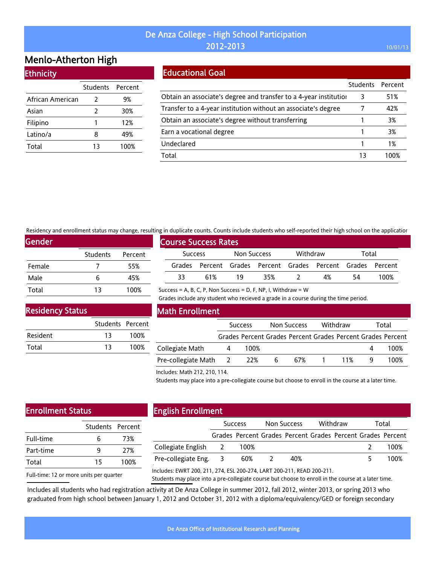# Menlo-Atherton High

| <b>Ethnicity</b> |  |  |
|------------------|--|--|
|                  |  |  |

|                  | Students Percent |      |
|------------------|------------------|------|
| African American | 2                | 9%   |
| Asian            | 2                | 30%  |
| Filipino         |                  | 12%  |
| Latino/a         | 8                | 49%  |
| Total            | 13               | 100% |

# Educational Goal

|                                                                   | Students | Percent |
|-------------------------------------------------------------------|----------|---------|
| Obtain an associate's degree and transfer to a 4-year institution | 3        | 51%     |
| Transfer to a 4-year institution without an associate's degree    |          | 42%     |
| Obtain an associate's degree without transferring                 |          | 3%      |
| Earn a vocational degree                                          |          | 3%      |
| Undeclared                                                        |          | 1%      |
| Total                                                             | 13       | 100%    |

Residency and enrollment status may change, resulting in duplicate counts. Counts include students who self-reported their high school on the application

| <b>Gender</b> |          |         |
|---------------|----------|---------|
|               | Students | Percent |
| Female        |          | 55%     |
| Male          | 6        | 45%     |
| Total         | 13       | 100%    |

| יווי שמאווכמנכ כסמות:. כסמות: וווכתמים הממכות: ווווס הכתי וכאסו נכמי חוקו הכווסטת סודנות מאאווכמנוסו |                             |             |     |          |                                                             |       |      |  |
|------------------------------------------------------------------------------------------------------|-----------------------------|-------------|-----|----------|-------------------------------------------------------------|-------|------|--|
|                                                                                                      | <b>Course Success Rates</b> |             |     |          |                                                             |       |      |  |
| <b>Success</b>                                                                                       |                             | Non Success |     | Withdraw |                                                             | Total |      |  |
|                                                                                                      |                             |             |     |          | Grades Percent Grades Percent Grades Percent Grades Percent |       |      |  |
| 33.                                                                                                  | 61%                         | 19          | 35% |          | 4%                                                          | 54    | 100% |  |

Success = A, B, C, P, Non Success = D, F, NP, I, Withdraw =  $W$ 

Grades include any student who recieved a grade in a course during the time period.

### Residency Status

|          | Students Percent |      |
|----------|------------------|------|
| Resident | 13               | 100% |
| Total    | 13               | 100% |

### Math Enrollment

|                           | <b>Success</b> |   | Non Success | Withdraw | Total                                                       |
|---------------------------|----------------|---|-------------|----------|-------------------------------------------------------------|
|                           |                |   |             |          | Grades Percent Grades Percent Grades Percent Grades Percent |
| Collegiate Math           | 100%           |   |             |          | 100%                                                        |
| Pre-collegiate Math 2 22% |                | 6 | 67%         | 11%      | 100%                                                        |

Includes: Math 212, 210, 114.

Students may place into a pre-collegiate course but choose to enroll in the course at a later time.

## Enrollment Status

| 6  | 73%              |
|----|------------------|
| q  | 27%              |
| 15 | 100%             |
|    | Students Percent |

# English Enrollment

|                      |      | <b>Success</b>                                              | Non Success | Withdraw | Total |
|----------------------|------|-------------------------------------------------------------|-------------|----------|-------|
|                      |      | Grades Percent Grades Percent Grades Percent Grades Percent |             |          |       |
| Collegiate English 2 |      | 100%                                                        |             |          | 100%  |
| Pre-collegiate Eng.  | - 3- | 60%                                                         | 40%         |          | 100%  |
|                      |      |                                                             |             |          |       |

Full-time: 12 or more units per quarter Includes: EWRT 200, 211, 274, ESL 200-274, LART 200-211, READ 200-211.

Students may place into a pre-collegiate course but choose to enroll in the course at a later time.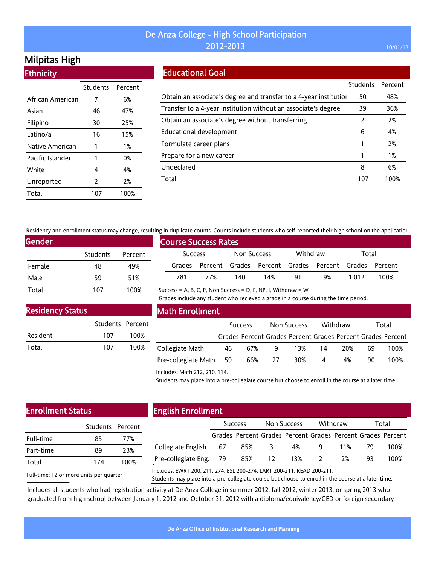# Milpitas High

**Ethnicity** 

|                  | Students Percent |      |
|------------------|------------------|------|
| African American | 7                | 6%   |
| Asian            | 46               | 47%  |
| Filipino         | 30               | 25%  |
| Latino/a         | 16               | 15%  |
| Native American  | 1                | 1%   |
| Pacific Islander | 1                | 0%   |
| White            | 4                | 4%   |
| Unreported       | $\overline{2}$   | 2%   |
| Total            | 107              | 100% |

### Educational Goal

|                                                                   | <b>Students</b> | Percent |
|-------------------------------------------------------------------|-----------------|---------|
| Obtain an associate's degree and transfer to a 4-year institution | 50              | 48%     |
| Transfer to a 4-year institution without an associate's degree    | 39              | 36%     |
| Obtain an associate's degree without transferring                 | 2               | 2%      |
| Educational development                                           | 6               | 4%      |
| Formulate career plans                                            |                 | 2%      |
| Prepare for a new career                                          |                 | 1%      |
| Undeclared                                                        | 8               | 6%      |
| Total                                                             | 107             | 100%    |

Residency and enrollment status may change, resulting in duplicate counts. Counts include students who self-reported their high school on the application

Success = A, B, C, P, Non Success = D, F, NP, I, Withdraw =  $W$ 

| <b>Gender</b> |          |         |
|---------------|----------|---------|
|               | Students | Percent |
| Female        | 48       | 49%     |
| Male          | 59       | 51%     |
| Total         | 107      | 100%    |

|                | <b>Course Success Rates</b> |             |     |          |                                                             |       |      |  |
|----------------|-----------------------------|-------------|-----|----------|-------------------------------------------------------------|-------|------|--|
| <b>Success</b> |                             | Non Success |     | Withdraw |                                                             | Total |      |  |
|                |                             |             |     |          | Grades Percent Grades Percent Grades Percent Grades Percent |       |      |  |
| 781            | 77%                         | 140         | 14% | -91      | 9%                                                          | 1.012 | 100% |  |

### Residency Status

|          | Students Percent |      |
|----------|------------------|------|
| Resident | 107              | 100% |
| Total    | 107              | 100% |

### Math Enrollment

|                        | <b>Success</b> |     | Non Success |     | Withdraw |     | Total |                                                             |
|------------------------|----------------|-----|-------------|-----|----------|-----|-------|-------------------------------------------------------------|
|                        |                |     |             |     |          |     |       | Grades Percent Grades Percent Grades Percent Grades Percent |
| Collegiate Math        | 46             | 67% | -9          | 13% | 14       | 20% | 69    | 100%                                                        |
| Pre-collegiate Math 59 |                | 66% | -27         | 30% | 4        | 4%  | 90    | 100%                                                        |

Grades include any student who recieved a grade in a course during the time period.

#### Includes: Math 212, 210, 114.

Students may place into a pre-collegiate course but choose to enroll in the course at a later time.

# Enrollment Status

|     | Students Percent |  |  |
|-----|------------------|--|--|
| 85  | 77%              |  |  |
| 89  | 23%              |  |  |
| 174 | 100%             |  |  |
|     |                  |  |  |

# English Enrollment

|                        | <b>Success</b> |       | Non Success |                                                             | Withdraw |       | Total |      |
|------------------------|----------------|-------|-------------|-------------------------------------------------------------|----------|-------|-------|------|
|                        |                |       |             | Grades Percent Grades Percent Grades Percent Grades Percent |          |       |       |      |
| Collegiate English 67  |                | 85% 3 |             | 4%                                                          |          | 9 11% | - 79  | 100% |
| Pre-collegiate Eng. 79 |                |       |             | 85% 12 13% 2                                                |          | 2%    | 93.   | 100% |
|                        |                |       |             |                                                             |          |       |       |      |

Full-time: 12 or more units per quarter

Includes: EWRT 200, 211, 274, ESL 200-274, LART 200-211, READ 200-211.

Students may place into a pre-collegiate course but choose to enroll in the course at a later time.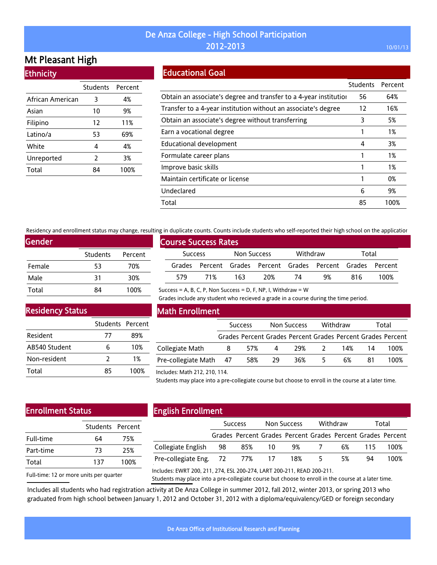# Mt Pleasant High

| <b>Ethnicity</b> |
|------------------|
|                  |
|                  |

|                  | <b>Students</b> | Percent |
|------------------|-----------------|---------|
| African American | 3               | 4%      |
| Asian            | 10              | 9%      |
| Filipino         | 12              | 11%     |
| Latino/a         | 53              | 69%     |
| White            | 4               | 4%      |
| Unreported       | $\overline{2}$  | 3%      |
| Total            |                 | 100%    |

## Educational Goal

|                                                                   | <b>Students</b> | Percent |
|-------------------------------------------------------------------|-----------------|---------|
| Obtain an associate's degree and transfer to a 4-year institution | 56              | 64%     |
| Transfer to a 4-year institution without an associate's degree    | 12              | 16%     |
| Obtain an associate's degree without transferring                 | 3               | 5%      |
| Earn a vocational degree                                          |                 | 1%      |
| <b>Educational development</b>                                    | 4               | 3%      |
| Formulate career plans                                            |                 | 1%      |
| Improve basic skills                                              |                 | 1%      |
| Maintain certificate or license                                   |                 | 0%      |
| Undeclared                                                        | 6               | 9%      |
| Total                                                             | 85              | 100%    |

Residency and enrollment status may change, resulting in duplicate counts. Counts include students who self-reported their high school on the application

Success = A, B, C, P, Non Success = D, F, NP, I, Withdraw =  $W$ 

| Gender |                 |         |
|--------|-----------------|---------|
|        | <b>Students</b> | Percent |
| Female | 53              | 70%     |
| Male   | 31              | 30%     |
| Total  | RΔ              | 100%    |

| <b>Course Success Rates</b> |     |             |                                                             |          |    |       |      |  |  |
|-----------------------------|-----|-------------|-------------------------------------------------------------|----------|----|-------|------|--|--|
| <b>Success</b>              |     | Non Success |                                                             | Withdraw |    | Total |      |  |  |
|                             |     |             | Grades Percent Grades Percent Grades Percent Grades Percent |          |    |       |      |  |  |
| 579                         | 71% | 163.        | 20%                                                         | 74       | 9% | 816   | 100% |  |  |

Grades include any student who recieved a grade in a course during the time period.

Residency Status

|               | Students Percent |      |
|---------------|------------------|------|
| Resident      | 77               | 89%  |
| AB540 Student | 6                | 10%  |
| Non-resident  | 7                | 1%   |
| Total         | 85               | 100% |

### Math Enrollment

|                        | <b>Success</b> |     | Non Success |     | Withdraw |     | Total |                                                             |
|------------------------|----------------|-----|-------------|-----|----------|-----|-------|-------------------------------------------------------------|
|                        |                |     |             |     |          |     |       | Grades Percent Grades Percent Grades Percent Grades Percent |
| Collegiate Math        | 8              | 57% | 4           | 29% |          | 14% | 14    | 100%                                                        |
| Pre-collegiate Math 47 |                | 58% | - 29        | 36% | ↖        | 6%  | 81    | 100%                                                        |

#### Includes: Math 212, 210, 114.

Students may place into a pre-collegiate course but choose to enroll in the course at a later time.

# Enrollment Status

|     | Students Percent |  |  |
|-----|------------------|--|--|
| 64  | 75%              |  |  |
| 73  | 25%              |  |  |
| 137 | 100%             |  |  |
|     |                  |  |  |

# English Enrollment

|                               | <b>Success</b> |     | Non Success |     | Withdraw |    | Total |                                                             |
|-------------------------------|----------------|-----|-------------|-----|----------|----|-------|-------------------------------------------------------------|
|                               |                |     |             |     |          |    |       | Grades Percent Grades Percent Grades Percent Grades Percent |
| Collegiate English 98         |                | 85% | -10         | 9%  |          | 6% | 115.  | 100%                                                        |
| Pre-collegiate Eng. 72 77% 17 |                |     |             | 18% | -5       | 5% | 94    | 100%                                                        |
|                               |                |     |             |     |          |    |       |                                                             |

Full-time: 12 or more units per quarter

Includes: EWRT 200, 211, 274, ESL 200-274, LART 200-211, READ 200-211.

Students may place into a pre-collegiate course but choose to enroll in the course at a later time.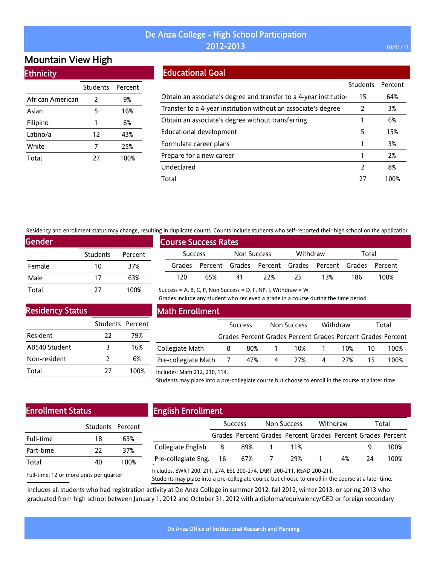# Mountain View High

### **Ethnicity**

|                  | Students | Percent |
|------------------|----------|---------|
| African American | 2        | 9%      |
| Asian            | 5        | 16%     |
| Filipino         | 1        | 6%      |
| Latino/a         | 12       | 43%     |
| White            | 7        | 25%     |
| Total            | 27       | 100%    |

## Educational Goal

|                                                                   | Students | Percent |
|-------------------------------------------------------------------|----------|---------|
| Obtain an associate's degree and transfer to a 4-year institution | 15       | 64%     |
| Transfer to a 4-year institution without an associate's degree    | 2        | 3%      |
| Obtain an associate's degree without transferring                 |          | 6%      |
| <b>Educational development</b>                                    | 5        | 15%     |
| Formulate career plans                                            |          | 3%      |
| Prepare for a new career                                          |          | 2%      |
| Undeclared                                                        | 2        | 8%      |
| Total                                                             | 27       | 100%    |

Residency and enrollment status may change, resulting in duplicate counts. Counts include students who self-reported their high school on the application

Success = A, B, C, P, Non Success = D, F, NP, I, Withdraw =  $W$ 

| <b>Gender</b> |                 |         |
|---------------|-----------------|---------|
|               | <b>Students</b> | Percent |
| Female        | 10              | 37%     |
| Male          | 17              | 63%     |
| Total         | 77              | 100%    |

|                | <b>Course Success Rates</b> |             |     |          |                                                             |       |      |
|----------------|-----------------------------|-------------|-----|----------|-------------------------------------------------------------|-------|------|
| <b>Success</b> |                             | Non Success |     | Withdraw |                                                             | Total |      |
|                |                             |             |     |          | Grades Percent Grades Percent Grades Percent Grades Percent |       |      |
| 120            | 65%                         | 41          | 22% | 25       | 13%                                                         | 186   | 100% |

Grades include any student who recieved a grade in a course during the time period.

### Residency Status

| 22 | 79%              |  |  |  |
|----|------------------|--|--|--|
| 3  | 16%              |  |  |  |
| 2  | 6%               |  |  |  |
| 77 | 100%             |  |  |  |
|    | Students Percent |  |  |  |

### Math Enrollment

|                           | <b>Success</b> |       | Non Success    |                                                             | Withdraw |      | Total |      |
|---------------------------|----------------|-------|----------------|-------------------------------------------------------------|----------|------|-------|------|
|                           |                |       |                | Grades Percent Grades Percent Grades Percent Grades Percent |          |      |       |      |
| Collegiate Math           | 8              | 80% 1 |                | 10% 1                                                       |          | 10%  |       | 100% |
| Pre-collegiate Math 7 47% |                |       | $\overline{4}$ | 27%                                                         | 4        | -27% |       | 100% |

#### Includes: Math 212, 210, 114.

Students may place into a pre-collegiate course but choose to enroll in the course at a later time.

# Enrollment Status

|           | Students Percent |      |
|-----------|------------------|------|
| Full-time | 18               | 63%  |
| Part-time | 77               | 37%  |
| Total     | 40               | 100% |
|           |                  |      |

# English Enrollment

|                        | <b>Success</b> |     | Non Success |                                                             | Withdraw |    | Total |      |
|------------------------|----------------|-----|-------------|-------------------------------------------------------------|----------|----|-------|------|
|                        |                |     |             | Grades Percent Grades Percent Grades Percent Grades Percent |          |    |       |      |
| Collegiate English     | - 8            | 89% |             | 11%                                                         |          |    |       | 100% |
| Pre-collegiate Eng. 16 |                | 67% |             | 29%                                                         |          | 4% | 24    | 100% |
|                        |                |     |             |                                                             |          |    |       |      |

Full-time: 12 or more units per quarter

Includes: EWRT 200, 211, 274, ESL 200-274, LART 200-211, READ 200-211.

Students may place into a pre-collegiate course but choose to enroll in the course at a later time.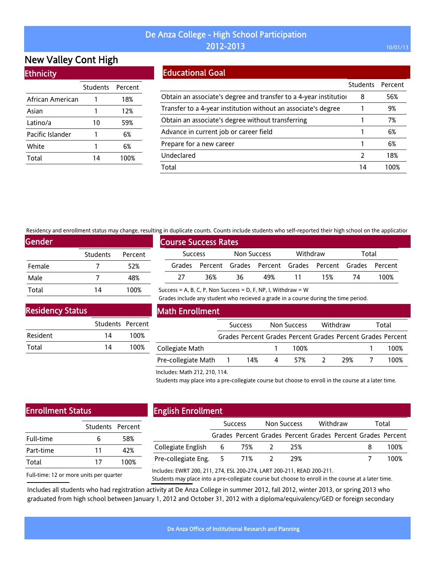# New Valley Cont High

### **Ethnicity**

|                  | Students Percent |      |
|------------------|------------------|------|
| African American |                  | 18%  |
| Asian            |                  | 12%  |
| Latino/a         | 10               | 59%  |
| Pacific Islander |                  | 6%   |
| White            |                  | 6%   |
| Total            | 14               | 100% |

# Educational Goal

|                                                                   | <b>Students</b> | Percent |
|-------------------------------------------------------------------|-----------------|---------|
| Obtain an associate's degree and transfer to a 4-year institution | 8               | 56%     |
| Transfer to a 4-year institution without an associate's degree    |                 | 9%      |
| Obtain an associate's degree without transferring                 |                 | 7%      |
| Advance in current job or career field                            |                 | 6%      |
| Prepare for a new career                                          |                 | 6%      |
| Undeclared                                                        | 2               | 18%     |
| Total                                                             | 14              | 1በበ%    |

Residency and enrollment status may change, resulting in duplicate counts. Counts include students who self-reported their high school on the application

Success = A, B, C, P, Non Success = D, F, NP, I, Withdraw =  $W$ 

| Gender |                 |         |
|--------|-----------------|---------|
|        | <b>Students</b> | Percent |
| Female |                 | 52%     |
| Male   |                 | 48%     |
| Total  | 14              | 100%    |

|                | <b>Course Success Rates</b> |             |                                                             |          |     |       |      |  |  |
|----------------|-----------------------------|-------------|-------------------------------------------------------------|----------|-----|-------|------|--|--|
| <b>Success</b> |                             | Non Success |                                                             | Withdraw |     | Total |      |  |  |
|                |                             |             | Grades Percent Grades Percent Grades Percent Grades Percent |          |     |       |      |  |  |
| 77             | 36%                         | 36          | 49%                                                         | 11       | 15% | 74    | 100% |  |  |

Grades include any student who recieved a grade in a course during the time period.

Residency Status

|          | Students Percent |      |
|----------|------------------|------|
| Resident | 14               | 100% |
| Total    | 14               | 100% |

### Math Enrollment

|                     | <b>Success</b>   |     | Non Success |      | Withdraw | Total |  |                                                             |
|---------------------|------------------|-----|-------------|------|----------|-------|--|-------------------------------------------------------------|
|                     |                  |     |             |      |          |       |  | Grades Percent Grades Percent Grades Percent Grades Percent |
| Collegiate Math     |                  |     |             | 100% |          |       |  | 100%                                                        |
| Pre-collegiate Math | $\blacksquare$ 1 | 14% | 4           | 57%  |          | 29%   |  | 100%                                                        |

Includes: Math 212, 210, 114.

Students may place into a pre-collegiate course but choose to enroll in the course at a later time.

# Enrollment Status

| ь  | 58%              |
|----|------------------|
| 11 | 42%              |
| 17 | 100%             |
|    | Students Percent |

## English Enrollment

| <b>Success</b> |  | Non Success                                       |       | Withdraw |  | Total |                                                             |
|----------------|--|---------------------------------------------------|-------|----------|--|-------|-------------------------------------------------------------|
|                |  |                                                   |       |          |  |       |                                                             |
|                |  |                                                   | 25%   |          |  |       | 100%                                                        |
|                |  |                                                   | 29%   |          |  |       | 100%                                                        |
|                |  | Collegiate English 6<br>Pre-collegiate Eng. 5 71% | 75% 2 |          |  |       | Grades Percent Grades Percent Grades Percent Grades Percent |

Full-time: 12 or more units per quarter

Includes: EWRT 200, 211, 274, ESL 200-274, LART 200-211, READ 200-211.

Students may place into a pre-collegiate course but choose to enroll in the course at a later time.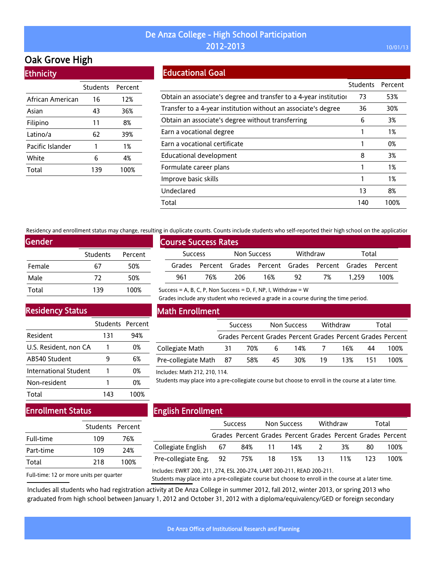# Oak Grove High

|  | <b>Ethnicity</b> |  |
|--|------------------|--|
|  |                  |  |
|  |                  |  |
|  |                  |  |

|                  | <b>Students</b> | Percent |
|------------------|-----------------|---------|
| African American | 16              | 12%     |
| Asian            | 43              | 36%     |
| Filipino         | 11              | 8%      |
| Latino/a         | 62              | 39%     |
| Pacific Islander | 1               | 1%      |
| White            | 6               | 4%      |
| Total            | 139             | 100%    |

### Educational Goal

|                                                                   | Students | Percent |
|-------------------------------------------------------------------|----------|---------|
| Obtain an associate's degree and transfer to a 4-year institution | 73       | 53%     |
| Transfer to a 4-year institution without an associate's degree    | 36       | 30%     |
| Obtain an associate's degree without transferring                 | 6        | 3%      |
| Earn a vocational degree                                          |          | 1%      |
| Earn a vocational certificate                                     |          | 0%      |
| Educational development                                           | 8        | 3%      |
| Formulate career plans                                            |          | 1%      |
| Improve basic skills                                              |          | 1%      |
| Undeclared                                                        | 13       | 8%      |
| Total                                                             | 140      | 100%    |

Residency and enrollment status may change, resulting in duplicate counts. Counts include students who self-reported their high school on the application

| <b>Gender</b> |                 |         |
|---------------|-----------------|---------|
|               | <b>Students</b> | Percent |
| Female        | 67              | 50%     |
| Male          | 72              | 50%     |
| Total         | 139             | 100%    |

# Course Success Rates Success Non Success Withdraw Total Grades Percent Grades Percent Grades Percent Grades Percent 961 76% 206 16% 92 7% 1,259 100%

Success = A, B, C, P, Non Success = D, F, NP, I, Withdraw =  $W$ 

Grades include any student who recieved a grade in a course during the time period.

### Residency Status

|                       | Students Percent |      |
|-----------------------|------------------|------|
| Resident              | 131              | 94%  |
| U.S. Resident, non CA |                  | 0%   |
| AB540 Student         | 9                | 6%   |
| International Student |                  | 0%   |
| Non-resident          |                  | 0%   |
| Total                 | 143              | 100% |

### Math Enrollment

|                        | <b>Success</b> |     | Non Success |       |    | Withdraw |     | Total                                                       |  |
|------------------------|----------------|-----|-------------|-------|----|----------|-----|-------------------------------------------------------------|--|
|                        |                |     |             |       |    |          |     | Grades Percent Grades Percent Grades Percent Grades Percent |  |
| Collegiate Math        | 31             | 70% | 6           | 14% 7 |    | 16%      | 44  | 100%                                                        |  |
| Pre-collegiate Math 87 |                | 58% | 45          | 30%   | 19 | 13%      | 151 | 100%                                                        |  |

#### Includes: Math 212, 210, 114.

Students may place into a pre-collegiate course but choose to enroll in the course at a later time.

## Enrollment Status

|           | Students Percent |      |
|-----------|------------------|------|
| Full-time | 109              | 76%  |
| Part-time | 109              | 24%  |
| Total     | 218              | 100% |

# English Enrollment

|                       | <b>Success</b> |  | Non Success |                                                             | Withdraw |    | Total |      |
|-----------------------|----------------|--|-------------|-------------------------------------------------------------|----------|----|-------|------|
|                       |                |  |             | Grades Percent Grades Percent Grades Percent Grades Percent |          |    |       |      |
| Collegiate English 67 |                |  |             | 84% 11 14% 2                                                |          | 3% | 80    | 100% |
|                       |                |  |             |                                                             |          |    |       | 100% |
|                       |                |  |             |                                                             |          |    |       |      |

Full-time: 12 or more units per quarter

Includes: EWRT 200, 211, 274, ESL 200-274, LART 200-211, READ 200-211.

Students may place into a pre-collegiate course but choose to enroll in the course at a later time.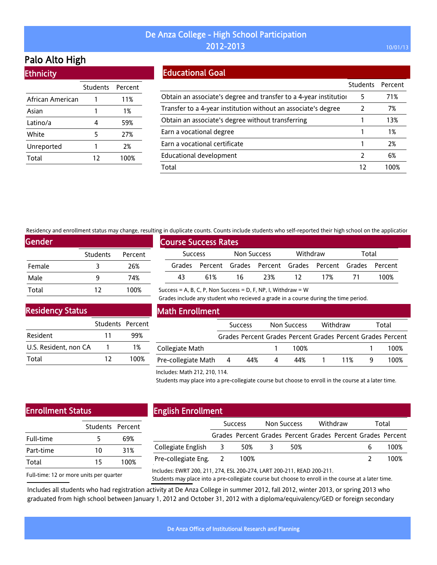# Palo Alto High

**Ethnicity** 

|                  | Students Percent |      |
|------------------|------------------|------|
| African American |                  | 11%  |
| Asian            |                  | 1%   |
| Latino/a         | 4                | 59%  |
| White            | 5                | 27%  |
| Unreported       | 1                | 2%   |
| Total            | 12               | 100% |

## Educational Goal

|                                                                   | <b>Students</b> | Percent |
|-------------------------------------------------------------------|-----------------|---------|
| Obtain an associate's degree and transfer to a 4-year institution | 5               | 71%     |
| Transfer to a 4-year institution without an associate's degree    | 2               | 7%      |
| Obtain an associate's degree without transferring                 |                 | 13%     |
| Earn a vocational degree                                          |                 | 1%      |
| Earn a vocational certificate                                     |                 | 2%      |
| Educational development                                           |                 | 6%      |
| Total                                                             | 17              | 1በበ%    |

Residency and enrollment status may change, resulting in duplicate counts. Counts include students who self-reported their high school on the application

Success = A, B, C, P, Non Success = D, F, NP, I, Withdraw =  $W$ 

| <b>Gender</b> |                 |         |  |  |  |  |  |  |  |
|---------------|-----------------|---------|--|--|--|--|--|--|--|
|               | <b>Students</b> | Percent |  |  |  |  |  |  |  |
| Female        | 3               | 26%     |  |  |  |  |  |  |  |
| Male          | q               | 74%     |  |  |  |  |  |  |  |
| Total         | 12              | 100%    |  |  |  |  |  |  |  |

| <b>Course Success Rates</b> |                |     |             |                                                             |          |     |       |      |  |  |
|-----------------------------|----------------|-----|-------------|-------------------------------------------------------------|----------|-----|-------|------|--|--|
|                             | <b>Success</b> |     | Non Success |                                                             | Withdraw |     | Total |      |  |  |
|                             |                |     |             | Grades Percent Grades Percent Grades Percent Grades Percent |          |     |       |      |  |  |
|                             | 43             | 61% | 16          | 23%                                                         | 12.      | 17% |       | 100% |  |  |

Grades include any student who recieved a grade in a course during the time period.

### Residency Status

|                       | Students Percent |      |
|-----------------------|------------------|------|
| Resident              | 11               | 99%  |
| U.S. Resident, non CA |                  | 1%   |
| Total                 | 17               | 100% |

### Math Enrollment

|                     | <b>Success</b> |     |   | Withdraw<br>Non Success |  |     | Total                                                       |  |
|---------------------|----------------|-----|---|-------------------------|--|-----|-------------------------------------------------------------|--|
|                     |                |     |   |                         |  |     | Grades Percent Grades Percent Grades Percent Grades Percent |  |
| Collegiate Math     |                |     |   | 100%                    |  |     | 100%                                                        |  |
| Pre-collegiate Math | - 4            | 44% | 4 | 44%                     |  | 11% | 100%                                                        |  |

#### Includes: Math 212, 210, 114.

Students may place into a pre-collegiate course but choose to enroll in the course at a later time.

### Enrollment Status

| Students Percent |      |
|------------------|------|
| 5                | 69%  |
| 10               | 31%  |
| 15               | 100% |
|                  |      |

Full-time: 12 or more units per quarter

# English Enrollment

|                       | <b>Success</b> |      | Non Success |                                                             | Withdraw |  | Total |      |
|-----------------------|----------------|------|-------------|-------------------------------------------------------------|----------|--|-------|------|
|                       |                |      |             | Grades Percent Grades Percent Grades Percent Grades Percent |          |  |       |      |
| Collegiate English 3  |                | 50%  |             | 50%                                                         |          |  |       | 100% |
| Pre-collegiate Eng. 2 |                | 100% |             |                                                             |          |  |       | 100% |
|                       |                |      |             |                                                             |          |  |       |      |

Includes: EWRT 200, 211, 274, ESL 200-274, LART 200-211, READ 200-211.

Students may place into a pre-collegiate course but choose to enroll in the course at a later time.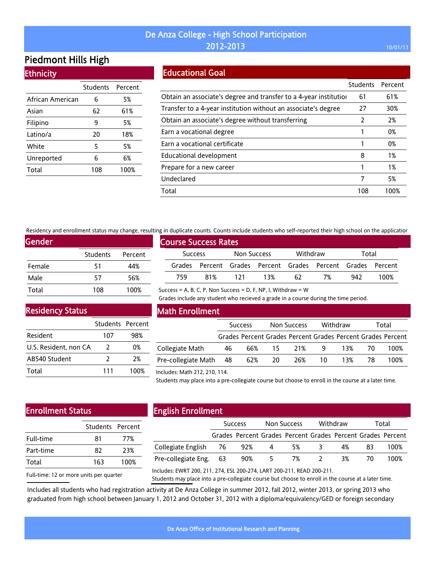# Piedmont Hills High

**Ethnicity** 

|                  | Students | Percent |
|------------------|----------|---------|
| African American | 6        | 5%      |
| Asian            | 62       | 61%     |
| Filipino         | 9        | 5%      |
| Latino/a         | 20       | 18%     |
| White            | 5        | 5%      |
| Unreported       | 6        | 6%      |
| Total            | 108      | 100%    |

## Educational Goal

|                                                                   | Students | Percent |
|-------------------------------------------------------------------|----------|---------|
| Obtain an associate's degree and transfer to a 4-year institution | 61       | 61%     |
| Transfer to a 4-year institution without an associate's degree    | 27       | 30%     |
| Obtain an associate's degree without transferring                 | 2        | 2%      |
| Earn a vocational degree                                          |          | 0%      |
| Earn a vocational certificate                                     |          | 0%      |
| Educational development                                           | 8        | 1%      |
| Prepare for a new career                                          |          | 1%      |
| Undeclared                                                        | 7        | 5%      |
| Total                                                             | 108      | 100%    |

Residency and enrollment status may change, resulting in duplicate counts. Counts include students who self-reported their high school on the application

Success = A, B, C, P, Non Success = D, F, NP, I, Withdraw =  $W$ 

| <b>Gender</b> |                 |         |  |  |  |  |  |  |
|---------------|-----------------|---------|--|--|--|--|--|--|
|               | <b>Students</b> | Percent |  |  |  |  |  |  |
| Female        | 51              | 44%     |  |  |  |  |  |  |
| Male          | 57              | 56%     |  |  |  |  |  |  |
| Total         | 108             | 100%    |  |  |  |  |  |  |

| <b>Course Success Rates</b> |     |             |     |          |                                                             |       |      |  |  |
|-----------------------------|-----|-------------|-----|----------|-------------------------------------------------------------|-------|------|--|--|
| <b>Success</b>              |     | Non Success |     | Withdraw |                                                             | Total |      |  |  |
|                             |     |             |     |          | Grades Percent Grades Percent Grades Percent Grades Percent |       |      |  |  |
| 759                         | 81% | 171         | 13% | 62       | 7%                                                          | 942   | 100% |  |  |

Grades include any student who recieved a grade in a course during the time period.

### Residency Status

|                       | Students Percent |      |
|-----------------------|------------------|------|
| Resident              | 107              | 98%  |
| U.S. Resident, non CA | $\mathcal{L}$    | 0%   |
| AB540 Student         | 2                | 2%   |
| Total                 | 111              | 100% |

### Math Enrollment

|                        | <b>Success</b> |     | Non Success |                                                             | Withdraw     |     | Total |      |
|------------------------|----------------|-----|-------------|-------------------------------------------------------------|--------------|-----|-------|------|
|                        |                |     |             | Grades Percent Grades Percent Grades Percent Grades Percent |              |     |       |      |
| Collegiate Math        | 46             |     | 66% 15 21%  |                                                             | $\mathsf{q}$ | 13% | -70   | 100% |
| Pre-collegiate Math 48 |                | 62% | -20         | 26%                                                         | 10           | 13% | 78    | 100% |

#### Includes: Math 212, 210, 114.

Students may place into a pre-collegiate course but choose to enroll in the course at a later time.

### Enrollment Status

|           | Students Percent |      |  |  |
|-----------|------------------|------|--|--|
| Full-time | 81               | 77%  |  |  |
| Part-time | 82               | 23%  |  |  |
| Total     | 163              | 100% |  |  |
|           |                  |      |  |  |

# English Enrollment

|                        | <b>Success</b> |                                                             | <b>Non Success</b> |    | Withdraw |    | Total |      |
|------------------------|----------------|-------------------------------------------------------------|--------------------|----|----------|----|-------|------|
|                        |                | Grades Percent Grades Percent Grades Percent Grades Percent |                    |    |          |    |       |      |
| Collegiate English 76  |                | 92%                                                         | - 4                | 5% | - 3      | 4% | 83    | 100% |
| Pre-collegiate Eng. 63 |                | 90%                                                         | 5.                 | 7% |          | 3% | 70.   | 100% |
|                        |                |                                                             |                    |    |          |    |       |      |

Full-time: 12 or more units per quarter

Includes: EWRT 200, 211, 274, ESL 200-274, LART 200-211, READ 200-211.

Students may place into a pre-collegiate course but choose to enroll in the course at a later time.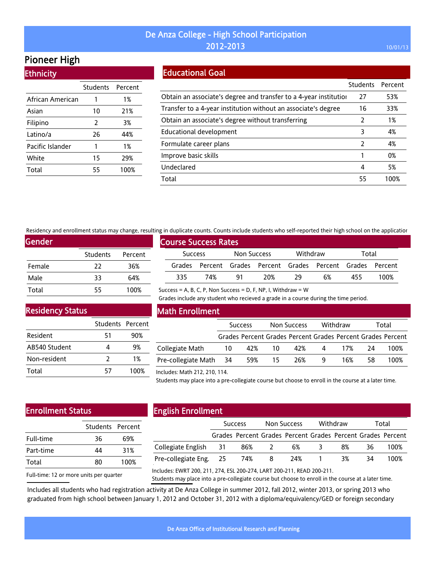# Pioneer High

**Ethnicity** 

|                  | Students Percent |      |
|------------------|------------------|------|
| African American | 1                | 1%   |
| Asian            | 10               | 21%  |
| Filipino         | 2                | 3%   |
| Latino/a         | 26               | 44%  |
| Pacific Islander | 1                | 1%   |
| White            | 15               | 29%  |
| Total            | 55               | 100% |

## Educational Goal

|                                                                   | Students | Percent |
|-------------------------------------------------------------------|----------|---------|
| Obtain an associate's degree and transfer to a 4-year institution | 27       | 53%     |
| Transfer to a 4-year institution without an associate's degree    | 16       | 33%     |
| Obtain an associate's degree without transferring                 | 2        | 1%      |
| Educational development                                           | 3        | 4%      |
| Formulate career plans                                            | 2        | 4%      |
| Improve basic skills                                              |          | 0%      |
| Undeclared                                                        | 4        | 5%      |
| Total                                                             | 55       | 100%    |

Residency and enrollment status may change, resulting in duplicate counts. Counts include students who self-reported their high school on the application

Success = A, B, C, P, Non Success = D, F, NP, I, Withdraw =  $W$ 

| <b>Gender</b> |                 |         |
|---------------|-----------------|---------|
|               | <b>Students</b> | Percent |
| Female        | 22              | 36%     |
| Male          | 33              | 64%     |
| Total         | 55              | 100%    |

| <b>Course Success Rates</b> |     |             |                                                             |          |    |       |      |  |  |  |
|-----------------------------|-----|-------------|-------------------------------------------------------------|----------|----|-------|------|--|--|--|
| <b>Success</b>              |     | Non Success |                                                             | Withdraw |    | Total |      |  |  |  |
|                             |     |             | Grades Percent Grades Percent Grades Percent Grades Percent |          |    |       |      |  |  |  |
| २२५                         | 74% | 91          | 20%                                                         | 79       | 6% | 455   | 100% |  |  |  |

Grades include any student who recieved a grade in a course during the time period.

# Residency Status

|               | Students Percent |      |
|---------------|------------------|------|
| Resident      | 51               | 90%  |
| AB540 Student | 4                | 9%   |
| Non-resident  | 7                | 1%   |
| Total         | 57               | 100% |

### Math Enrollment

|                        | <b>Success</b> |           | Non Success |     | Withdraw |     | Total |                                                             |
|------------------------|----------------|-----------|-------------|-----|----------|-----|-------|-------------------------------------------------------------|
|                        |                |           |             |     |          |     |       | Grades Percent Grades Percent Grades Percent Grades Percent |
| Collegiate Math        |                | 10 42% 10 |             | 42% | 4        | 17% | - 24  | 100%                                                        |
| Pre-collegiate Math 34 |                | 59% 15    |             | 26% |          | 16% | 58.   | 100%                                                        |

#### Includes: Math 212, 210, 114.

Students may place into a pre-collegiate course but choose to enroll in the course at a later time.

# Enrollment Status

| 36 | 69%              |  |  |
|----|------------------|--|--|
| ΔΔ | 31%              |  |  |
| 80 | 100%             |  |  |
|    | Students Percent |  |  |

# English Enrollment

|                        | <b>Success</b> |                                                             | Non Success  |     | Withdraw |    | Total |      |
|------------------------|----------------|-------------------------------------------------------------|--------------|-----|----------|----|-------|------|
|                        |                | Grades Percent Grades Percent Grades Percent Grades Percent |              |     |          |    |       |      |
| Collegiate English 31  |                | 86%                                                         | <sup>2</sup> | 6%  | -3       | 8% | 36.   | 100% |
| Pre-collegiate Eng. 25 |                | 74%                                                         | -8           | 24% |          | 3% | 34    | 100% |
|                        |                |                                                             |              |     |          |    |       |      |

Full-time: 12 or more units per quarter

Includes: EWRT 200, 211, 274, ESL 200-274, LART 200-211, READ 200-211.

Students may place into a pre-collegiate course but choose to enroll in the course at a later time.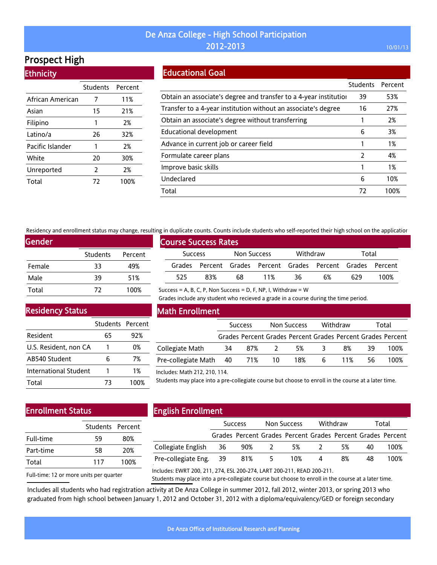# Prospect High

**Ethnicity** 

|                  | Students       | Percent |
|------------------|----------------|---------|
| African American | 7              | 11%     |
| Asian            | 15             | 21%     |
| Filipino         | 1              | 2%      |
| Latino/a         | 26             | 32%     |
| Pacific Islander | 1              | 2%      |
| White            | 20             | 30%     |
| Unreported       | $\overline{2}$ | 2%      |
| Total            | 72             | 100%    |

## Educational Goal

|                                                                   | Students      | Percent |
|-------------------------------------------------------------------|---------------|---------|
| Obtain an associate's degree and transfer to a 4-year institution | 39            | 53%     |
| Transfer to a 4-year institution without an associate's degree    | 16            | 27%     |
| Obtain an associate's degree without transferring                 |               | 2%      |
| Educational development                                           | 6             | 3%      |
| Advance in current job or career field                            |               | 1%      |
| Formulate career plans                                            | $\mathcal{P}$ | 4%      |
| Improve basic skills                                              |               | 1%      |
| Undeclared                                                        | 6             | 10%     |
| Total                                                             | 72            | 100%    |

Residency and enrollment status may change, resulting in duplicate counts. Counts include students who self-reported their high school on the application

Success = A, B, C, P, Non Success = D, F, NP, I, Withdraw =  $W$ 

| Gender |                 |         |
|--------|-----------------|---------|
|        | <b>Students</b> | Percent |
| Female | 33              | 49%     |
| Male   | 39              | 51%     |
| Total  | 72              | 100%    |

| <b>Course Success Rates</b> |                |     |             |     |          |                                                             |       |      |  |  |
|-----------------------------|----------------|-----|-------------|-----|----------|-------------------------------------------------------------|-------|------|--|--|
|                             | <b>Success</b> |     | Non Success |     | Withdraw |                                                             | Total |      |  |  |
|                             |                |     |             |     |          | Grades Percent Grades Percent Grades Percent Grades Percent |       |      |  |  |
|                             | 525            | 83% | 68          | 11% | 36       | 6%                                                          | 629   | 100% |  |  |

Grades include any student who recieved a grade in a course during the time period.

Residency Status

|                       | Students Percent |      |
|-----------------------|------------------|------|
| Resident              | 65               | 92%  |
| U.S. Resident, non CA |                  | 0%   |
| AB540 Student         | 6                | 7%   |
| International Student |                  | 1%   |
| Total                 | 73               | 100% |

### Math Enrollment

|                               | <b>Success</b> |     | Non Success |                                                             | Withdraw |     | Total |      |
|-------------------------------|----------------|-----|-------------|-------------------------------------------------------------|----------|-----|-------|------|
|                               |                |     |             | Grades Percent Grades Percent Grades Percent Grades Percent |          |     |       |      |
| Collegiate Math               | 34             | 87% |             | .5%                                                         | -3       | 8%  | 39.   | 100% |
| Pre-collegiate Math 40 71% 10 |                |     |             | 18%                                                         | 6        | 11% | 56.   | 100% |

#### Includes: Math 212, 210, 114.

Students may place into a pre-collegiate course but choose to enroll in the course at a later time.

## Enrollment Status

| 59  | 80%              |  |  |
|-----|------------------|--|--|
| 58  | 20%              |  |  |
| 117 | 100%             |  |  |
|     | Students Percent |  |  |

# English Enrollment

|                        | <b>Success</b> |                                                             | Non Success |     | Withdraw       |    | Total |      |
|------------------------|----------------|-------------------------------------------------------------|-------------|-----|----------------|----|-------|------|
|                        |                | Grades Percent Grades Percent Grades Percent Grades Percent |             |     |                |    |       |      |
| Collegiate English 36  |                | 90% 2                                                       |             | 5%  | $\overline{2}$ | 5% | 40    | 100% |
| Pre-collegiate Eng. 39 |                | 81%                                                         | $5^{\circ}$ | 10% | 4              | 8% | 48    | 100% |
|                        |                |                                                             |             |     |                |    |       |      |

Full-time: 12 or more units per quarter

Includes: EWRT 200, 211, 274, ESL 200-274, LART 200-211, READ 200-211.

Students may place into a pre-collegiate course but choose to enroll in the course at a later time.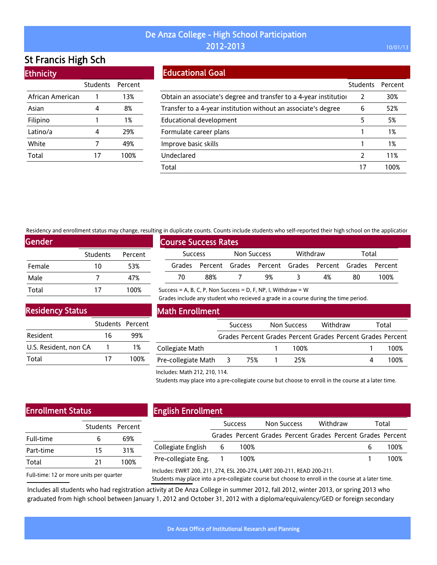# St Francis High Sch

| <b>Ethnicity</b> |          |         |  |  |  |  |  |
|------------------|----------|---------|--|--|--|--|--|
|                  | Students | Percent |  |  |  |  |  |
| African American |          | 13%     |  |  |  |  |  |
| Asian            | 4        | 8%      |  |  |  |  |  |
| Filipino         | 1        | 1%      |  |  |  |  |  |
| Latino/a         | 4        | 29%     |  |  |  |  |  |
| White            | 7        | 49%     |  |  |  |  |  |
| Total            | 17       | 100%    |  |  |  |  |  |
|                  |          |         |  |  |  |  |  |

### Educational Goal

|                                                                   | <b>Students</b> | Percent |
|-------------------------------------------------------------------|-----------------|---------|
| Obtain an associate's degree and transfer to a 4-year institution | 2               | 30%     |
| Transfer to a 4-year institution without an associate's degree    | 6               | 52%     |
| Educational development                                           | 5               | 5%      |
| Formulate career plans                                            |                 | 1%      |
| Improve basic skills                                              |                 | 1%      |
| Undeclared                                                        | $\mathcal{L}$   | 11%     |
| Total                                                             |                 | 1በበ%    |

Residency and enrollment status may change, resulting in duplicate counts. Counts include students who self-reported their high school on the application

Success = A, B, C, P, Non Success = D, F, NP, I, Withdraw =  $W$ 

| Gender |          |         |
|--------|----------|---------|
|        | Students | Percent |
| Female | 10       | 53%     |
| Male   |          | 47%     |
| Total  | 17       | 100%    |

|                             | , או סטאנוכטנכ כסטוונא. כסטוונא אוכנטטכ אנטטכוונא זוווס אכנו דכאסו נכט נווכח ווואָח אכווסטנ סודנווכ מאאונטנוס |     |             |    |          |                                                             |       |      |  |  |
|-----------------------------|---------------------------------------------------------------------------------------------------------------|-----|-------------|----|----------|-------------------------------------------------------------|-------|------|--|--|
| <b>Course Success Rates</b> |                                                                                                               |     |             |    |          |                                                             |       |      |  |  |
|                             | Success                                                                                                       |     | Non Success |    | Withdraw |                                                             | Total |      |  |  |
|                             |                                                                                                               |     |             |    |          | Grades Percent Grades Percent Grades Percent Grades Percent |       |      |  |  |
|                             | 70                                                                                                            | 88% |             | 9% |          | 4%                                                          | 80    | 100% |  |  |

### Residency Status

|                       | Students Percent |      |
|-----------------------|------------------|------|
| Resident              | 16               | 99%  |
| U.S. Resident, non CA |                  | 1%   |
| Total                 | 17               | 100% |

### Math Enrollment

|                     | <b>Success</b>          |     | Non Success |      | Withdraw |  | Total     |                                                             |
|---------------------|-------------------------|-----|-------------|------|----------|--|-----------|-------------------------------------------------------------|
|                     |                         |     |             |      |          |  |           | Grades Percent Grades Percent Grades Percent Grades Percent |
| Collegiate Math     |                         |     |             | 100% |          |  |           | 100%                                                        |
| Pre-collegiate Math | $\overline{\mathbf{3}}$ | 75% |             | 25%  |          |  | $\Lambda$ | 100%                                                        |

Grades include any student who recieved a grade in a course during the time period.

#### Includes: Math 212, 210, 114.

Students may place into a pre-collegiate course but choose to enroll in the course at a later time.

### Enrollment Status

| 6  | 69%              |  |  |
|----|------------------|--|--|
| 15 | 31%              |  |  |
| 21 | 100%             |  |  |
|    | Students Percent |  |  |

Full-time: 12 or more units per quarter

# English Enrollment

|                       | <b>Success</b> |                                                             | Non Success |  | Withdraw |  | Total |      |
|-----------------------|----------------|-------------------------------------------------------------|-------------|--|----------|--|-------|------|
|                       |                | Grades Percent Grades Percent Grades Percent Grades Percent |             |  |          |  |       |      |
| Collegiate English 6  |                | 100%                                                        |             |  |          |  |       | 100% |
| Pre-collegiate Eng. 1 |                | 100%                                                        |             |  |          |  |       | 100% |
|                       |                |                                                             |             |  |          |  |       |      |

Includes: EWRT 200, 211, 274, ESL 200-274, LART 200-211, READ 200-211.

Students may place into a pre-collegiate course but choose to enroll in the course at a later time.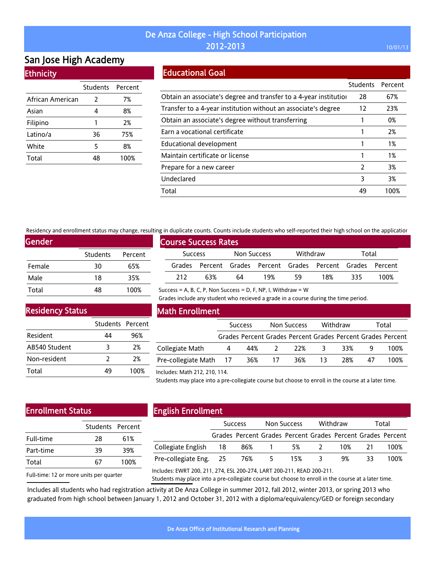# San Jose High Academy **Ethnicity**

|                  | Students Percent |      |  |  |
|------------------|------------------|------|--|--|
| African American | 2                | 7%   |  |  |
| Asian            | 4                | 8%   |  |  |
| Filipino         |                  | 2%   |  |  |
| Latino/a         | 36               | 75%  |  |  |
| White            | 5                | 8%   |  |  |
| Total            |                  | 100% |  |  |

### Educational Goal

|                                                                   | Students      | Percent |
|-------------------------------------------------------------------|---------------|---------|
| Obtain an associate's degree and transfer to a 4-year institution | 28            | 67%     |
| Transfer to a 4-year institution without an associate's degree    | 12            | 23%     |
| Obtain an associate's degree without transferring                 |               | 0%      |
| Earn a vocational certificate                                     |               | 2%      |
| Educational development                                           |               | 1%      |
| Maintain certificate or license                                   |               | 1%      |
| Prepare for a new career                                          | $\mathcal{P}$ | 3%      |
| Undeclared                                                        | 3             | 3%      |
| Total                                                             | 49            | 100%    |

Residency and enrollment status may change, resulting in duplicate counts. Counts include students who self-reported their high school on the application

Success = A, B, C, P, Non Success = D, F, NP, I, Withdraw =  $W$ 

| Gender |                 |         |
|--------|-----------------|---------|
|        | <b>Students</b> | Percent |
| Female | 30              | 65%     |
| Male   | 18              | 35%     |
| Total  | 48              | 100%    |

|                             | an additioned codings coding member searchies microsem reported enem man sensor on end approach |     |             |                                                             |          |     |       |      |  |  |
|-----------------------------|-------------------------------------------------------------------------------------------------|-----|-------------|-------------------------------------------------------------|----------|-----|-------|------|--|--|
| <b>Course Success Rates</b> |                                                                                                 |     |             |                                                             |          |     |       |      |  |  |
|                             | <b>Success</b>                                                                                  |     | Non Success |                                                             | Withdraw |     | Total |      |  |  |
|                             |                                                                                                 |     |             | Grades Percent Grades Percent Grades Percent Grades Percent |          |     |       |      |  |  |
|                             | 212                                                                                             | 63% | 64          | 19%                                                         | 59       | 18% | 335   | 100% |  |  |

Grades include any student who recieved a grade in a course during the time period.

Residency Status

|               | Students Percent |      |
|---------------|------------------|------|
| Resident      | 44               | 96%  |
| AB540 Student | 3                | 2%   |
| Non-resident  | 7                | 2%   |
| Total         | 49               | 100% |

### Math Enrollment

|                        | <b>Success</b> |     | Non Success    |                                                             | Withdraw |     | Total |      |
|------------------------|----------------|-----|----------------|-------------------------------------------------------------|----------|-----|-------|------|
|                        |                |     |                | Grades Percent Grades Percent Grades Percent Grades Percent |          |     |       |      |
| Collegiate Math        | 4              | 44% |                | 22%                                                         | -3       | 33% |       | 100% |
| Pre-collegiate Math 17 |                | 36% | $\frac{17}{2}$ | 36%                                                         | 13       | 28% | 47    | 100% |

#### Includes: Math 212, 210, 114.

Students may place into a pre-collegiate course but choose to enroll in the course at a later time.

# Enrollment Status

|           | Students Percent |      |  |  |
|-----------|------------------|------|--|--|
| Full-time | 28               | 61%  |  |  |
| Part-time | 39               | 39%  |  |  |
| Total     | 67               | 100% |  |  |
|           |                  |      |  |  |

# English Enrollment

|                        | <b>Success</b> |                                                             | Non Success |     | Withdraw       |     | Total |      |
|------------------------|----------------|-------------------------------------------------------------|-------------|-----|----------------|-----|-------|------|
|                        |                | Grades Percent Grades Percent Grades Percent Grades Percent |             |     |                |     |       |      |
| Collegiate English 18  |                | 86% 1                                                       |             | 5%  | $\overline{2}$ | 10% | 21    | 100% |
| Pre-collegiate Eng. 25 |                | 76%                                                         | $-5$        | 15% |                | 9%  | 33.   | 100% |
|                        |                |                                                             |             |     |                |     |       |      |

Full-time: 12 or more units per quarter

Includes: EWRT 200, 211, 274, ESL 200-274, LART 200-211, READ 200-211.

Students may place into a pre-collegiate course but choose to enroll in the course at a later time.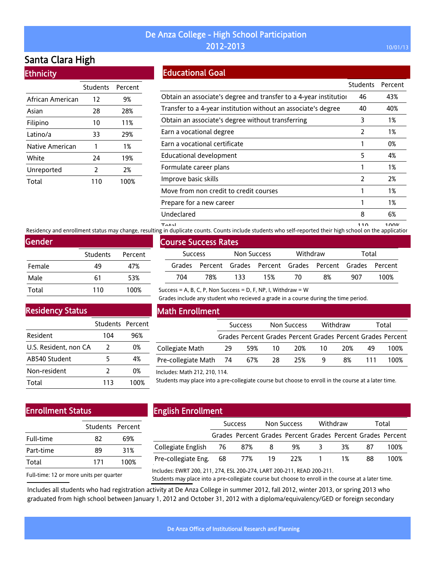# Santa Clara High

| <b>Ethnicity</b> |  |  |
|------------------|--|--|
|                  |  |  |

|                  | <b>Students</b> | Percent |
|------------------|-----------------|---------|
| African American | 12              | 9%      |
| Asian            | 28              | 28%     |
| Filipino         | 10              | 11%     |
| Latino/a         | 33              | 29%     |
| Native American  | 1               | 1%      |
| White            | 24              | 19%     |
| Unreported       | 2               | 2%      |
| Total            | 110             | 100%    |

Educational Goal

|                                                                   | <b>Students</b> | Percent |
|-------------------------------------------------------------------|-----------------|---------|
| Obtain an associate's degree and transfer to a 4-year institution | 46              | 43%     |
| Transfer to a 4-year institution without an associate's degree    | 40              | 40%     |
| Obtain an associate's degree without transferring                 | 3               | 1%      |
| Earn a vocational degree                                          | 2               | 1%      |
| Earn a vocational certificate                                     |                 | 0%      |
| Educational development                                           | 5               | 4%      |
| Formulate career plans                                            | 1               | 1%      |
| Improve basic skills                                              | 2               | 2%      |
| Move from non credit to credit courses                            |                 | 1%      |
| Prepare for a new career                                          | 1               | 1%      |
| Undeclared                                                        | 8               | 6%      |
|                                                                   | 44 A            | 1.001   |

noom 110 110 110 110<br>Residency and enrollment status may change, resulting in duplicate counts. Counts include students who self-reported their high school on the applicatior

| Gender |                 |         |
|--------|-----------------|---------|
|        | <b>Students</b> | Percent |
| Female | 49              | 47%     |
| Male   | 61              | 53%     |
| Total  | 110             | 100%    |

# Course Success Rates Success Non Success Withdraw Total Grades Percent Grades Percent Grades Percent Grades Percent 704 78% 133 15% 70 8% 907 100%

Success = A, B, C, P, Non Success = D, F, NP, I, Withdraw =  $W$ 

Grades include any student who recieved a grade in a course during the time period.

### Residency Status

|                       | Students Percent |      |
|-----------------------|------------------|------|
| Resident              | 104              | 96%  |
| U.S. Resident, non CA | 2                | 0%   |
| AB540 Student         | 5                | 4%   |
| Non-resident          | $\mathcal{P}$    | 0%   |
| Total                 | 113              | 100% |

### Math Enrollment

|                            | <b>Success</b> |        | Non Success |     | Withdraw |     | Total |                                                             |
|----------------------------|----------------|--------|-------------|-----|----------|-----|-------|-------------------------------------------------------------|
|                            |                |        |             |     |          |     |       | Grades Percent Grades Percent Grades Percent Grades Percent |
| Collegiate Math            | 29             | 59% 10 |             | 20% | 10       | 20% | 49    | 100%                                                        |
| Pre-collegiate Math 74 67% |                |        | - 28        | 25% | 9        | 8%  |       | 100%                                                        |

#### Includes: Math 212, 210, 114.

Students may place into a pre-collegiate course but choose to enroll in the course at a later time.

## Enrollment Status

| Students Percent |      |
|------------------|------|
|                  |      |
| 82               | 69%  |
| 89               | 31%  |
| 171              | 100% |
|                  |      |

# English Enrollment

|                            | <b>Success</b> |  | Non Success |                                                             | Withdraw |    | Total |      |
|----------------------------|----------------|--|-------------|-------------------------------------------------------------|----------|----|-------|------|
|                            |                |  |             | Grades Percent Grades Percent Grades Percent Grades Percent |          |    |       |      |
| Collegiate English 76 87%  |                |  | -8          | 9%                                                          |          | 3% | 87    | 100% |
| Pre-collegiate Eng. 68 77% |                |  | -19         |                                                             | 22% 1    | 1% | 88    | 100% |
|                            |                |  |             |                                                             |          |    |       |      |

Full-time: 12 or more units per quarter

Includes: EWRT 200, 211, 274, ESL 200-274, LART 200-211, READ 200-211.

Students may place into a pre-collegiate course but choose to enroll in the course at a later time.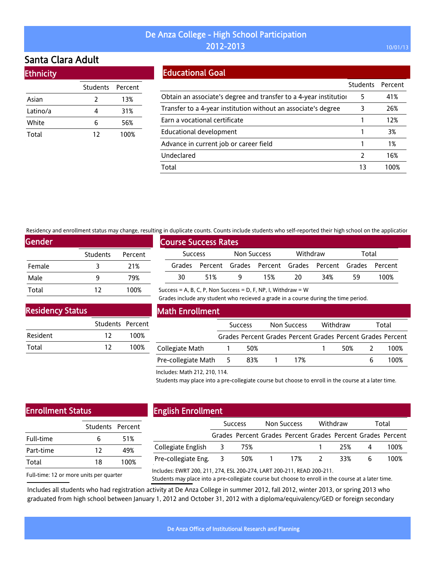# Santa Clara Adult

**Ethnicity** 

| еспосо   |                  |      |  |  |  |  |  |
|----------|------------------|------|--|--|--|--|--|
|          | Students Percent |      |  |  |  |  |  |
| Asian    | 2                | 13%  |  |  |  |  |  |
| Latino/a | 4                | 31%  |  |  |  |  |  |
| White    | 6                | 56%  |  |  |  |  |  |
| Total    | 12               | 100% |  |  |  |  |  |
|          |                  |      |  |  |  |  |  |

### Educational Goal

|                                                                   | <b>Students</b> | Percent |
|-------------------------------------------------------------------|-----------------|---------|
| Obtain an associate's degree and transfer to a 4-year institution | 5               | 41%     |
| Transfer to a 4-year institution without an associate's degree    | 3               | 26%     |
| Earn a vocational certificate                                     |                 | 12%     |
| Educational development                                           |                 | 3%      |
| Advance in current job or career field                            |                 | 1%      |
| Undeclared                                                        | 7               | 16%     |
| Total                                                             | 13              | 100%    |

Residency and enrollment status may change, resulting in duplicate counts. Counts include students who self-reported their high school on the application

Success = A, B, C, P, Non Success = D, F, NP, I, Withdraw =  $W$ 

| Gender |                 |         |
|--------|-----------------|---------|
|        | <b>Students</b> | Percent |
| Female | २               | 21%     |
| Male   | q               | 79%     |
| Total  | 12              | 100%    |

| <b>Course Success Rates</b> |                |     |             |     |          |                                                             |       |      |  |
|-----------------------------|----------------|-----|-------------|-----|----------|-------------------------------------------------------------|-------|------|--|
|                             | <b>Success</b> |     | Non Success |     | Withdraw |                                                             | Total |      |  |
|                             |                |     |             |     |          | Grades Percent Grades Percent Grades Percent Grades Percent |       |      |  |
|                             | 30             | 51% |             | 15% | -20      | 34%                                                         | 59    | 100% |  |

Residency Status

|          | Students Percent |      |
|----------|------------------|------|
| Resident | 12               | 100% |
| Total    | 12               | 100% |

|  | <b>Math Enrollment</b> |  |  |
|--|------------------------|--|--|
|  |                        |  |  |

|                       | <b>Success</b> |     | Non Success |     | Withdraw |     | Total |                                                             |
|-----------------------|----------------|-----|-------------|-----|----------|-----|-------|-------------------------------------------------------------|
|                       |                |     |             |     |          |     |       | Grades Percent Grades Percent Grades Percent Grades Percent |
| Collegiate Math       |                | 50% |             |     |          | 50% |       | 100%                                                        |
| Pre-collegiate Math 5 |                | 83% |             | 17% |          |     | h     | 100%                                                        |

Grades include any student who recieved a grade in a course during the time period.

Includes: Math 212, 210, 114.

Students may place into a pre-collegiate course but choose to enroll in the course at a later time.

# Enrollment Status

| ь  | 51%              |
|----|------------------|
| 12 | 49%              |
| 18 | 100%             |
|    | Students Percent |

### English Enrollment

| .                     |                |       |             |             |          |       |       |                                                             |
|-----------------------|----------------|-------|-------------|-------------|----------|-------|-------|-------------------------------------------------------------|
|                       | <b>Success</b> |       | Non Success |             | Withdraw |       | Total |                                                             |
|                       |                |       |             |             |          |       |       | Grades Percent Grades Percent Grades Percent Grades Percent |
| Collegiate English 3  |                | - 75% |             |             |          | 25% 4 |       | 100%                                                        |
| Pre-collegiate Eng. 3 |                |       |             | 50% 1 17% 2 |          | 33%   | -6    | 100%                                                        |
|                       |                |       |             |             |          |       |       |                                                             |

Full-time: 12 or more units per quarter

Includes: EWRT 200, 211, 274, ESL 200-274, LART 200-211, READ 200-211.

Students may place into a pre-collegiate course but choose to enroll in the course at a later time.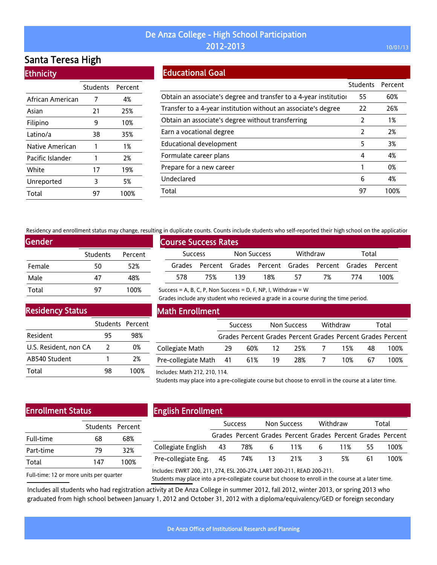# Santa Teresa High

| <b>Ethnich</b> |  |  |
|----------------|--|--|
|                |  |  |

|                  | Students Percent |      |
|------------------|------------------|------|
| African American | 7                | 4%   |
| Asian            | 21               | 25%  |
| Filipino         | 9                | 10%  |
| Latino/a         | 38               | 35%  |
| Native American  | 1                | 1%   |
| Pacific Islander | 1                | 2%   |
| White            | 17               | 19%  |
| Unreported       | 3                | 5%   |
| Total            | 97               | 100% |

# Educational Goal

|                                                                   | <b>Students</b> | Percent |
|-------------------------------------------------------------------|-----------------|---------|
| Obtain an associate's degree and transfer to a 4-year institution | 55              | 60%     |
| Transfer to a 4-year institution without an associate's degree    | 22              | 26%     |
| Obtain an associate's degree without transferring                 | 2               | 1%      |
| Earn a vocational degree                                          | 2               | 2%      |
| Educational development                                           | 5               | 3%      |
| Formulate career plans                                            | 4               | 4%      |
| Prepare for a new career                                          |                 | 0%      |
| Undeclared                                                        | 6               | 4%      |
| Total                                                             | 97              | 100%    |

Residency and enrollment status may change, resulting in duplicate counts. Counts include students who self-reported their high school on the application

Success = A, B, C, P, Non Success = D, F, NP, I, Withdraw =  $W$ 

| Gender |          |         |
|--------|----------|---------|
|        | Students | Percent |
| Female | 50       | 52%     |
| Male   | 47       | 48%     |
| Total  | 97       | 100%    |

|                | <b>Course Success Rates</b> |             |                                                             |          |    |       |      |
|----------------|-----------------------------|-------------|-------------------------------------------------------------|----------|----|-------|------|
| <b>Success</b> |                             | Non Success |                                                             | Withdraw |    | Total |      |
|                |                             |             | Grades Percent Grades Percent Grades Percent Grades Percent |          |    |       |      |
| 578            | 75%                         | 139         | 18%                                                         | 57       | 7% | 774   | 100% |

Grades include any student who recieved a grade in a course during the time period.

Residency Status

|                       | Students Percent |      |
|-----------------------|------------------|------|
| Resident              | 95               | 98%  |
| U.S. Resident, non CA | 2                | በ%   |
| AB540 Student         |                  | 2%   |
| Total                 | 98               | 100% |

### Math Enrollment

|                        | <b>Success</b> |     | Non Success |                                                             | Withdraw |     | Total |      |
|------------------------|----------------|-----|-------------|-------------------------------------------------------------|----------|-----|-------|------|
|                        |                |     |             | Grades Percent Grades Percent Grades Percent Grades Percent |          |     |       |      |
| Collegiate Math        | 29             | 60% | -12         | 25%                                                         |          | 15% | 48    | 100% |
| Pre-collegiate Math 41 |                | 61% | - 19        | 28%                                                         |          | 10% | 67    | 100% |

#### Includes: Math 212, 210, 114.

Students may place into a pre-collegiate course but choose to enroll in the course at a later time.

# Enrollment Status

|           | Students Percent |      |
|-----------|------------------|------|
| Full-time | 68               | 68%  |
| Part-time | 79               | 32%  |
| Total     | 147              | 100% |

# English Enrollment

|                        | <b>Success</b> |  | Non Success |                                                             | Withdraw                |    | Total |      |
|------------------------|----------------|--|-------------|-------------------------------------------------------------|-------------------------|----|-------|------|
|                        |                |  |             | Grades Percent Grades Percent Grades Percent Grades Percent |                         |    |       |      |
| Collegiate English 43  |                |  |             | 78% 6 11% 6 11%                                             |                         |    | -55 - | 100% |
| Pre-collegiate Eng. 45 |                |  | 74% 13 21%  |                                                             | $\overline{\mathbf{3}}$ | 5% | 61    | 100% |
|                        |                |  |             |                                                             |                         |    |       |      |

Full-time: 12 or more units per quarter

Includes: EWRT 200, 211, 274, ESL 200-274, LART 200-211, READ 200-211.

Students may place into a pre-collegiate course but choose to enroll in the course at a later time.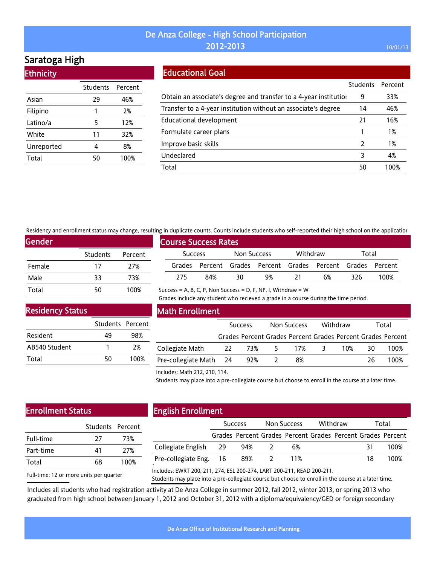# Saratoga High

**Ethnicity** 

|            | Students Percent |      |
|------------|------------------|------|
| Asian      | 29               | 46%  |
| Filipino   | 1                | 2%   |
| Latino/a   | 5                | 12%  |
| White      | 11               | 32%  |
| Unreported | 4                | 8%   |
| Total      | 50               | 100% |

### Educational Goal

|                                                                   | <b>Students</b> | Percent |
|-------------------------------------------------------------------|-----------------|---------|
| Obtain an associate's degree and transfer to a 4-year institution | 9               | 33%     |
| Transfer to a 4-year institution without an associate's degree    | 14              | 46%     |
| Educational development                                           | 21              | 16%     |
| Formulate career plans                                            |                 | 1%      |
| Improve basic skills                                              | $\mathcal{P}$   | 1%      |
| Undeclared                                                        | 3               | 4%      |
| Total                                                             | 50              | 100%    |

Residency and enrollment status may change, resulting in duplicate counts. Counts include students who self-reported their high school on the application

Success = A, B, C, P, Non Success = D, F, NP, I, Withdraw =  $W$ 

| <b>Gender</b> |                 |         |
|---------------|-----------------|---------|
|               | <b>Students</b> | Percent |
| Female        | 17              | 27%     |
| Male          | 33              | 73%     |
| Total         | 50              | 100%    |

|                | <b>Course Success Rates</b> |             |    |          |                                                             |       |      |  |
|----------------|-----------------------------|-------------|----|----------|-------------------------------------------------------------|-------|------|--|
| <b>Success</b> |                             | Non Success |    | Withdraw |                                                             | Total |      |  |
|                |                             |             |    |          | Grades Percent Grades Percent Grades Percent Grades Percent |       |      |  |
| 275            | 84%                         | 30          | 9% | -21      | 6%                                                          | 326   | 100% |  |

### Residency Status

|               | Students Percent |      |
|---------------|------------------|------|
| Resident      | 49               | 98%  |
| AB540 Student |                  | 2%   |
| Total         | 50               | 100% |

#### Math Enrollment

|                        | <b>Success</b> |        | Non Success |                                                             | Withdraw |     | Total |      |
|------------------------|----------------|--------|-------------|-------------------------------------------------------------|----------|-----|-------|------|
|                        |                |        |             | Grades Percent Grades Percent Grades Percent Grades Percent |          |     |       |      |
| Collegiate Math        |                | 22 73% | 5           | 17%                                                         | - 3 -    | 10% | 30    | 100% |
| Pre-collegiate Math 24 |                | 92%    |             | 8%                                                          |          |     | 26    | 100% |

Grades include any student who recieved a grade in a course during the time period.

#### Includes: Math 212, 210, 114.

Students may place into a pre-collegiate course but choose to enroll in the course at a later time.

# Enrollment Status

|           | Students Percent |      |
|-----------|------------------|------|
| Full-time | 27               | 73%  |
| Part-time | 41               | 27%  |
| Total     | 68               | 100% |
|           |                  |      |

# English Enrollment

|                        | <b>Success</b> |                                                             | Non Success |     | Withdraw |  | Total |      |
|------------------------|----------------|-------------------------------------------------------------|-------------|-----|----------|--|-------|------|
|                        |                | Grades Percent Grades Percent Grades Percent Grades Percent |             |     |          |  |       |      |
| Collegiate English 29  |                | 94%                                                         |             | 6%  |          |  |       | 100% |
| Pre-collegiate Eng. 16 |                | 89% 2                                                       |             | 11% |          |  | 18    | 100% |
|                        |                |                                                             |             |     |          |  |       |      |

Full-time: 12 or more units per quarter

Includes: EWRT 200, 211, 274, ESL 200-274, LART 200-211, READ 200-211.

Students may place into a pre-collegiate course but choose to enroll in the course at a later time.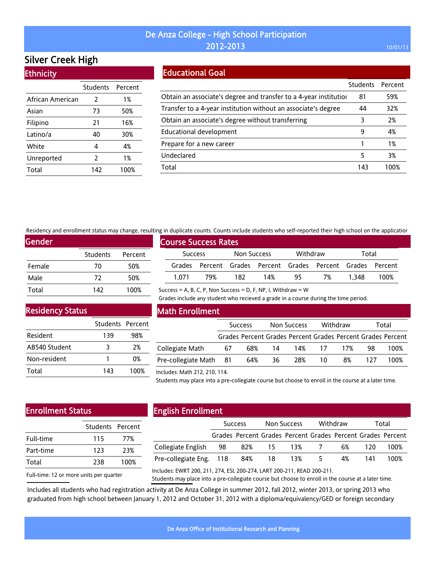# Silver Creek High

| <b>Ethnicity</b> |          |         |
|------------------|----------|---------|
|                  | Students | Percent |
| African American | 2        | 1%      |
| Asian            | 73       | 50%     |
| Filipino         | 21       | 16%     |
| Latino/a         | 40       | 30%     |
| White            | 4        | 4%      |
| Unreported       | 2        | 1%      |
| Total            | 142      | 100%    |

## Educational Goal

|                                                                   | <b>Students</b> | Percent |
|-------------------------------------------------------------------|-----------------|---------|
| Obtain an associate's degree and transfer to a 4-year institution | 81              | 59%     |
| Transfer to a 4-year institution without an associate's degree    | 44              | 32%     |
| Obtain an associate's degree without transferring                 | 3               | 2%      |
| Educational development                                           | 9               | 4%      |
| Prepare for a new career                                          |                 | 1%      |
| Undeclared                                                        | 5               | 3%      |
| Total                                                             | 143             | 100%    |

Residency and enrollment status may change, resulting in duplicate counts. Counts include students who self-reported their high school on the application

Success = A, B, C, P, Non Success = D, F, NP, I, Withdraw =  $W$ 

| Gender, |                 |         |
|---------|-----------------|---------|
|         | <b>Students</b> | Percent |
| Female  | 70              | 50%     |
| Male    | 72              | 50%     |
| Total   | 142             | 100%    |

| <b>Course Success Rates</b> |     |             |                                                             |          |    |       |      |  |  |  |  |
|-----------------------------|-----|-------------|-------------------------------------------------------------|----------|----|-------|------|--|--|--|--|
| <b>Success</b>              |     | Non Success |                                                             | Withdraw |    | Total |      |  |  |  |  |
|                             |     |             | Grades Percent Grades Percent Grades Percent Grades Percent |          |    |       |      |  |  |  |  |
| 1 071                       | 79% | 182         | 14%                                                         | 95       | 7% | 1.348 | 100% |  |  |  |  |

Grades include any student who recieved a grade in a course during the time period.

Residency Status

|               | Students Percent |      |
|---------------|------------------|------|
| Resident      | 139              | 98%  |
| AB540 Student | ર                | 2%   |
| Non-resident  |                  | 0%   |
| Total         | 143              | 100% |

### Math Enrollment

|                        | <b>Success</b> |     | Non Success |                                                             | Withdraw |     | Total |      |
|------------------------|----------------|-----|-------------|-------------------------------------------------------------|----------|-----|-------|------|
|                        |                |     |             | Grades Percent Grades Percent Grades Percent Grades Percent |          |     |       |      |
| Collegiate Math        | 67             | 68% | 14          |                                                             | 14% 17   | 17% | 98    | 100% |
| Pre-collegiate Math 81 |                | 64% | 36          | 28%                                                         | 10       | 8%  | 177   | 100% |

#### Includes: Math 212, 210, 114.

Students may place into a pre-collegiate course but choose to enroll in the course at a later time.

## Enrollment Status

| Students Percent |      |  |  |
|------------------|------|--|--|
| 115              | 77%  |  |  |
| 123              | 23%  |  |  |
| 238              | 100% |  |  |
|                  |      |  |  |

# English Enrollment

|                                | <b>Success</b> |                                                             | Non Success |              | Withdraw |    | Total |      |
|--------------------------------|----------------|-------------------------------------------------------------|-------------|--------------|----------|----|-------|------|
|                                |                | Grades Percent Grades Percent Grades Percent Grades Percent |             |              |          |    |       |      |
| Collegiate English 98          |                |                                                             |             | 82% 15 13% 7 |          | 6% | 120   | 100% |
| Pre-collegiate Eng. 118 84% 18 |                |                                                             |             | 13% 5        |          | 4% | 141   | 100% |
|                                |                |                                                             |             |              |          |    |       |      |

Full-time: 12 or more units per quarter

Includes: EWRT 200, 211, 274, ESL 200-274, LART 200-211, READ 200-211.

Students may place into a pre-collegiate course but choose to enroll in the course at a later time.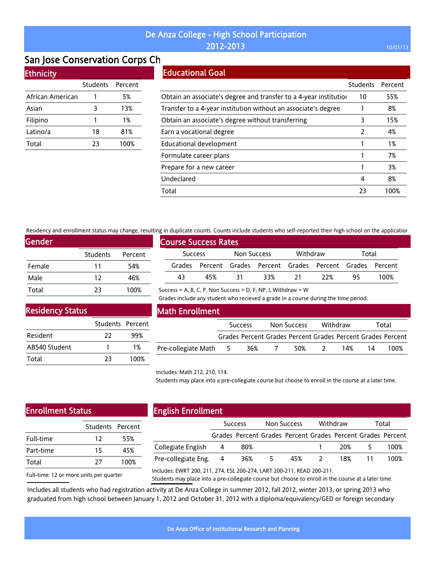# San Jose Conservation Corps Ch

### **Ethnicity**

|                  | Students | Percent |
|------------------|----------|---------|
| African American |          | 5%      |
| Asian            | 3        | 13%     |
| Filipino         | 1        | 1%      |
| Latino/a         | 18       | 81%     |
| Total            | 23       | 100%    |

# Educational Goal

|                                                                   | Students      | Percent |
|-------------------------------------------------------------------|---------------|---------|
| Obtain an associate's degree and transfer to a 4-year institution | 10            | 55%     |
| Transfer to a 4-year institution without an associate's degree    |               | 8%      |
| Obtain an associate's degree without transferring                 | 3             | 15%     |
| Earn a vocational degree                                          | $\mathcal{P}$ | 4%      |
| Educational development                                           |               | 1%      |
| Formulate career plans                                            |               | 7%      |
| Prepare for a new career                                          |               | 3%      |
| Undeclared                                                        | 4             | 8%      |
| Total                                                             | 23            | 100%    |

Residency and enrollment status may change, resulting in duplicate counts. Counts include students who self-reported their high school on the application

| <b>Gender</b> |                 |         |
|---------------|-----------------|---------|
|               | <b>Students</b> | Percent |
| Female        | 11              | 54%     |
| Male          | 12              | 46%     |
| Total         | 23              | 100%    |

|                | <b>Course Success Rates</b> |             |      |          |      |                                                             |     |      |  |  |  |  |
|----------------|-----------------------------|-------------|------|----------|------|-------------------------------------------------------------|-----|------|--|--|--|--|
| <b>Success</b> |                             | Non Success |      | Withdraw |      | Total                                                       |     |      |  |  |  |  |
|                |                             |             |      |          |      | Grades Percent Grades Percent Grades Percent Grades Percent |     |      |  |  |  |  |
|                | 43                          | 45%         | - 31 | 33%      | - 21 | -22%                                                        | -95 | 100% |  |  |  |  |
|                |                             |             |      |          |      |                                                             |     |      |  |  |  |  |

Success = A, B, C, P, Non Success = D, F, NP, I, Withdraw =  $W$ 

Grades include any student who recieved a grade in a course during the time period.

### Residency Status

|               | Students Percent |       |
|---------------|------------------|-------|
| Resident      | 22               | 99%   |
| AB540 Student |                  | $1\%$ |
| Total         | 23               | 100%  |

#### Math Enrollment

|                       | <b>Success</b> |     | Non Success              |     | Withdraw  |     | Total |                                                             |
|-----------------------|----------------|-----|--------------------------|-----|-----------|-----|-------|-------------------------------------------------------------|
|                       |                |     |                          |     |           |     |       | Grades Percent Grades Percent Grades Percent Grades Percent |
| Pre-collegiate Math 5 |                | 36% | $\overline{\phantom{a}}$ | 50% | $\lambda$ | 14% | 14    | 100%                                                        |

#### Includes: Math 212, 210, 114.

Students may place into a pre-collegiate course but choose to enroll in the course at a later time.

# Enrollment Status

| 12 | 55%              |
|----|------------------|
| 15 | 45%              |
| 77 | 100%             |
|    | Students Percent |

### English Enrollment

|                     | <b>Success</b> |                                                             | Non Success |     | Withdraw      |     | Total |      |
|---------------------|----------------|-------------------------------------------------------------|-------------|-----|---------------|-----|-------|------|
|                     |                | Grades Percent Grades Percent Grades Percent Grades Percent |             |     |               |     |       |      |
| Collegiate English  | - 4            | 80%                                                         |             |     |               | 20% |       | 100% |
| Pre-collegiate Eng. | -4             | 36%                                                         | 5.          | 45% | $\mathcal{L}$ | 18% |       | 100% |
|                     |                |                                                             |             |     |               |     |       |      |

Full-time: 12 or more units per quarter

Includes: EWRT 200, 211, 274, ESL 200-274, LART 200-211, READ 200-211.

Students may place into a pre-collegiate course but choose to enroll in the course at a later time.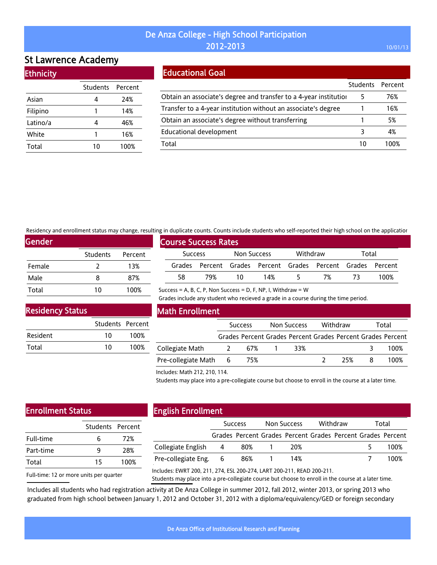# St Lawrence Academy

| <b>Ethnicity</b> |  |
|------------------|--|
|                  |  |
|                  |  |

|          | Students Percent |      |
|----------|------------------|------|
| Asian    | 4                | 24%  |
| Filipino | 1                | 14%  |
| Latino/a | 4                | 46%  |
| White    | 1                | 16%  |
| Total    | 10               | 100% |

# Educational Goal

|                                                                   | Students Percent |      |
|-------------------------------------------------------------------|------------------|------|
| Obtain an associate's degree and transfer to a 4-year institution | 5                | 76%  |
| Transfer to a 4-year institution without an associate's degree    |                  | 16%  |
| Obtain an associate's degree without transferring                 |                  | 5%   |
| <b>Educational development</b>                                    |                  | 4%   |
| Total                                                             | 10               | 100% |

Residency and enrollment status may change, resulting in duplicate counts. Counts include students who self-reported their high school on the application

Success = A, B, C, P, Non Success = D, F, NP, I, Withdraw =  $W$ 

| <b>Gender</b> |          |         |
|---------------|----------|---------|
|               | Students | Percent |
| Female        | 7        | 13%     |
| Male          | 8        | 87%     |
| Total         | 10       | 100%    |

| , ווי סטאוכטנכ כסטוונז. כסטוונז וווכוטטכ זנטטכוונז אווס זכנו דכאסונכט נווכוו ווואוו זכווסטנ סודנווכ טאאונטוסו |     |             |     |          |                                                             |       |      |  |
|---------------------------------------------------------------------------------------------------------------|-----|-------------|-----|----------|-------------------------------------------------------------|-------|------|--|
| <b>Course Success Rates</b>                                                                                   |     |             |     |          |                                                             |       |      |  |
| <b>Success</b>                                                                                                |     | Non Success |     | Withdraw |                                                             | Total |      |  |
|                                                                                                               |     |             |     |          | Grades Percent Grades Percent Grades Percent Grades Percent |       |      |  |
| 58                                                                                                            | 79% | 10          | 14% | 5.       | 7%                                                          | -73   | 100% |  |

Residency Status

|          | Students Percent |      |
|----------|------------------|------|
| Resident | 10               | 100% |
| Total    | 10               | 100% |

### Math Enrollment

|                     |                 | <b>Success</b> | Non Success | Withdraw | Total                                                       |
|---------------------|-----------------|----------------|-------------|----------|-------------------------------------------------------------|
|                     |                 |                |             |          | Grades Percent Grades Percent Grades Percent Grades Percent |
| Collegiate Math     |                 | 67%            | 33%         |          | 100%                                                        |
| Pre-collegiate Math | $6\overline{6}$ | 75%            |             | 25%      | 100%                                                        |

Grades include any student who recieved a grade in a course during the time period.

Includes: Math 212, 210, 114.

Students may place into a pre-collegiate course but choose to enroll in the course at a later time.

# Enrollment Status

|           | Students Percent |      |  |
|-----------|------------------|------|--|
| Full-time | h                | 72%  |  |
| Part-time | q                | 28%  |  |
| Total     | 15               | 100% |  |
|           |                  |      |  |

## English Enrollment

| .                   |                |     |             |     |          |  |       |                                                             |
|---------------------|----------------|-----|-------------|-----|----------|--|-------|-------------------------------------------------------------|
|                     | <b>Success</b> |     | Non Success |     | Withdraw |  | Total |                                                             |
|                     |                |     |             |     |          |  |       | Grades Percent Grades Percent Grades Percent Grades Percent |
| Collegiate English  | - 4            | 80% |             | 20% |          |  |       | 100%                                                        |
| Pre-collegiate Eng. | - 6            | 86% |             | 14% |          |  |       | 100%                                                        |
|                     |                |     |             |     |          |  |       |                                                             |

Full-time: 12 or more units per quarter

Includes: EWRT 200, 211, 274, ESL 200-274, LART 200-211, READ 200-211.

Students may place into a pre-collegiate course but choose to enroll in the course at a later time.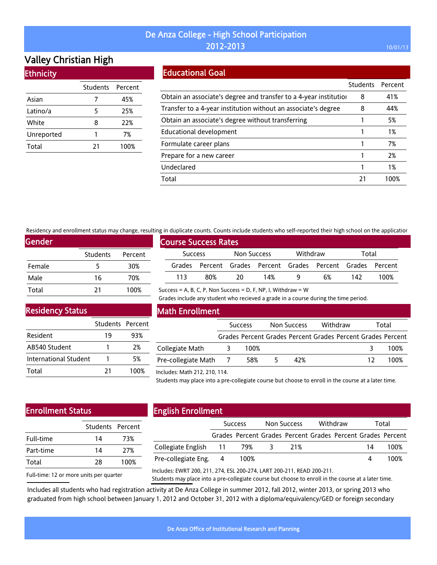# Valley Christian High

|  | <b>Ethnicity</b> |
|--|------------------|
|  |                  |

|            | Students Percent |      |
|------------|------------------|------|
| Asian      |                  | 45%  |
| Latino/a   | 5                | 25%  |
| White      | 8                | 22%  |
| Unreported | 1                | 7%   |
| Total      | 21               | 100% |

## Educational Goal

|                                                                   | <b>Students</b> | Percent |
|-------------------------------------------------------------------|-----------------|---------|
| Obtain an associate's degree and transfer to a 4-year institution | 8               | 41%     |
| Transfer to a 4-year institution without an associate's degree    | 8               | 44%     |
| Obtain an associate's degree without transferring                 |                 | 5%      |
| Educational development                                           |                 | 1%      |
| Formulate career plans                                            |                 | 7%      |
| Prepare for a new career                                          |                 | 2%      |
| Undeclared                                                        |                 | 1%      |
| Total                                                             | 21              | 100%    |

Residency and enrollment status may change, resulting in duplicate counts. Counts include students who self-reported their high school on the application

Success = A, B, C, P, Non Success = D, F, NP, I, Withdraw =  $W$ 

| <b>Gender</b> |                 |         |
|---------------|-----------------|---------|
|               | <b>Students</b> | Percent |
| Female        | 5               | 30%     |
| Male          | 16              | 70%     |
| Total         | 21              | 100%    |

| <b>Course Success Rates</b> |                |     |             |                                                             |          |    |       |      |
|-----------------------------|----------------|-----|-------------|-------------------------------------------------------------|----------|----|-------|------|
|                             | <b>Success</b> |     | Non Success |                                                             | Withdraw |    | Total |      |
|                             |                |     |             | Grades Percent Grades Percent Grades Percent Grades Percent |          |    |       |      |
|                             | 113            | 80% | 20          | 14%                                                         |          | 6% | 142   | 100% |

Grades include any student who recieved a grade in a course during the time period.

Residency Status

|                       | Students Percent |      |
|-----------------------|------------------|------|
| Resident              | 19               | 93%  |
| AB540 Student         |                  | 2%   |
| International Student |                  | 5%   |
| Total                 | 21               | 100% |

### Math Enrollment

|                     | <b>Success</b> |    | Non Success | Withdraw                                                    |    | Total |
|---------------------|----------------|----|-------------|-------------------------------------------------------------|----|-------|
|                     |                |    |             | Grades Percent Grades Percent Grades Percent Grades Percent |    |       |
| Collegiate Math     | 100%           |    |             |                                                             |    | 100%  |
| Pre-collegiate Math | 58%            | ъ. | 42%         |                                                             | 12 | 100%  |

#### Includes: Math 212, 210, 114.

Students may place into a pre-collegiate course but choose to enroll in the course at a later time.

# Enrollment Status

| Students Percent |      |
|------------------|------|
| 14               | 73%  |
| 14               | 27%  |
| 28               | 100% |
|                  |      |

Full-time: 12 or more units per quarter

# English Enrollment

|                             | Success |      | Non Success |                                                             | Withdraw |  | Total |      |
|-----------------------------|---------|------|-------------|-------------------------------------------------------------|----------|--|-------|------|
|                             |         |      |             | Grades Percent Grades Percent Grades Percent Grades Percent |          |  |       |      |
| Collegiate English 11 79% 3 |         |      |             | 21%                                                         |          |  | 14    | 100% |
| Pre-collegiate Eng. 4       |         | 100% |             |                                                             |          |  |       | 100% |
|                             |         |      |             |                                                             |          |  |       |      |

Includes: EWRT 200, 211, 274, ESL 200-274, LART 200-211, READ 200-211.

Students may place into a pre-collegiate course but choose to enroll in the course at a later time.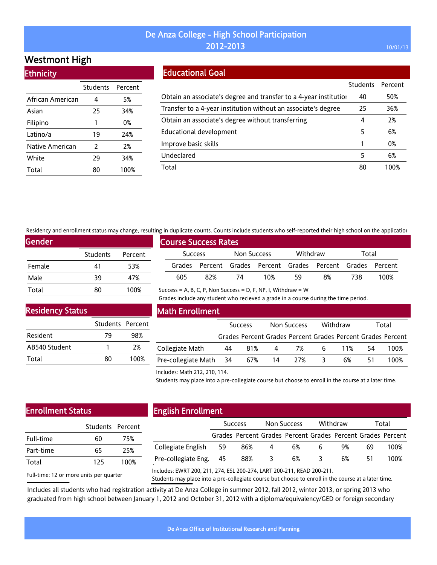# Westmont High

| <b>Ethnicity</b> |  |
|------------------|--|
|                  |  |
|                  |  |

|                  | Students Percent |      |
|------------------|------------------|------|
| African American | 4                | 5%   |
| Asian            | 25               | 34%  |
| Filipino         | 1                | 0%   |
| Latino/a         | 19               | 24%  |
| Native American  | 2                | 2%   |
| White            | 29               | 34%  |
| Total            | 80               | 100% |

# Educational Goal

|                                                                   | <b>Students</b> | Percent |
|-------------------------------------------------------------------|-----------------|---------|
| Obtain an associate's degree and transfer to a 4-year institution | 40              | 50%     |
| Transfer to a 4-year institution without an associate's degree    | 25              | 36%     |
| Obtain an associate's degree without transferring                 | 4               | 2%      |
| Educational development                                           | 5               | 6%      |
| Improve basic skills                                              |                 | 0%      |
| Undeclared                                                        | 5               | 6%      |
| Total                                                             | 80              | 100%    |

Residency and enrollment status may change, resulting in duplicate counts. Counts include students who self-reported their high school on the application

Success = A, B, C, P, Non Success = D, F, NP, I, Withdraw =  $W$ 

| <b>Gender</b> |                 |         |
|---------------|-----------------|---------|
|               | <b>Students</b> | Percent |
| Female        | 41              | 53%     |
| Male          | 39              | 47%     |
| Total         | 80              | 100%    |

|                | <b>Course Success Rates</b> |             |     |          |                                                             |       |      |  |  |  |
|----------------|-----------------------------|-------------|-----|----------|-------------------------------------------------------------|-------|------|--|--|--|
| <b>Success</b> |                             | Non Success |     | Withdraw |                                                             | Total |      |  |  |  |
|                |                             |             |     |          | Grades Percent Grades Percent Grades Percent Grades Percent |       |      |  |  |  |
| 605            | 82%                         | 74          | 10% | 59       | 8%                                                          | 738.  | 100% |  |  |  |

Residency Status

|               | Students Percent |      |
|---------------|------------------|------|
| Resident      | 79               | 98%  |
| AB540 Student |                  | 2%   |
| Total         | 80               | 100% |

### Math Enrollment

|                        | <b>Success</b> |     |     | Non Success |   | Withdraw | Total |                                                             |
|------------------------|----------------|-----|-----|-------------|---|----------|-------|-------------------------------------------------------------|
|                        |                |     |     |             |   |          |       | Grades Percent Grades Percent Grades Percent Grades Percent |
| Collegiate Math        | 44             | 81% | 4   | 7%          | 6 | 11%      | 54    | 100%                                                        |
| Pre-collegiate Math 34 |                | 67% | -14 | 27%         |   | 6%       |       | 100%                                                        |

Grades include any student who recieved a grade in a course during the time period.

#### Includes: Math 212, 210, 114.

Students may place into a pre-collegiate course but choose to enroll in the course at a later time.

# Enrollment Status

| 60  | 75%              |
|-----|------------------|
| 65  | 25%              |
| 125 | 100%             |
|     | Students Percent |

# English Enrollment

|                        | <b>Success</b> |                                                             |   | Non Success | Withdraw |    | Total |      |
|------------------------|----------------|-------------------------------------------------------------|---|-------------|----------|----|-------|------|
|                        |                | Grades Percent Grades Percent Grades Percent Grades Percent |   |             |          |    |       |      |
| Collegiate English     | -59            | 86%                                                         | 4 | 6%          | b        | 9% | 69    | 100% |
| Pre-collegiate Eng. 45 |                | 88%                                                         |   | 6%          |          | 6% | 51    | 100% |
|                        |                |                                                             |   |             |          |    |       |      |

Full-time: 12 or more units per quarter

Includes: EWRT 200, 211, 274, ESL 200-274, LART 200-211, READ 200-211.

Students may place into a pre-collegiate course but choose to enroll in the course at a later time.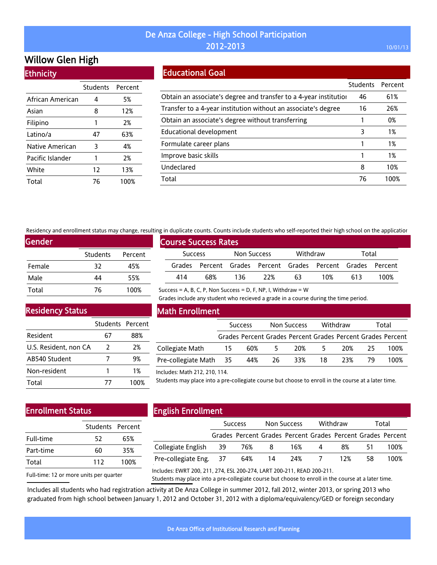# Willow Glen High

**Ethnicity** 

|                  | <b>Students</b> | Percent |
|------------------|-----------------|---------|
| African American | 4               | 5%      |
| Asian            | 8               | 12%     |
| Filipino         | 1               | 2%      |
| Latino/a         | 47              | 63%     |
| Native American  | 3               | 4%      |
| Pacific Islander | 1               | 2%      |
| White            | 12              | 13%     |
| Total            | 76              | 100%    |

### Educational Goal

|                                                                   | <b>Students</b> | Percent |
|-------------------------------------------------------------------|-----------------|---------|
| Obtain an associate's degree and transfer to a 4-year institution | 46              | 61%     |
| Transfer to a 4-year institution without an associate's degree    | 16              | 26%     |
| Obtain an associate's degree without transferring                 |                 | 0%      |
| Educational development                                           | 3               | 1%      |
| Formulate career plans                                            |                 | 1%      |
| Improve basic skills                                              |                 | 1%      |
| Undeclared                                                        | 8               | 10%     |
| Total                                                             | 76              | 100%    |

Residency and enrollment status may change, resulting in duplicate counts. Counts include students who self-reported their high school on the application

Success = A, B, C, P, Non Success = D, F, NP, I, Withdraw =  $W$ 

| Gender |          |         |  |  |  |  |  |
|--------|----------|---------|--|--|--|--|--|
|        | Students | Percent |  |  |  |  |  |
| Female | 32       | 45%     |  |  |  |  |  |
| Male   | 44       | 55%     |  |  |  |  |  |
| Total  | 76       | 100%    |  |  |  |  |  |

| <b>Course Success Rates</b> |     |             |                                                             |          |     |       |      |
|-----------------------------|-----|-------------|-------------------------------------------------------------|----------|-----|-------|------|
| <b>Success</b>              |     | Non Success |                                                             | Withdraw |     | Total |      |
|                             |     |             | Grades Percent Grades Percent Grades Percent Grades Percent |          |     |       |      |
| 414                         | 68% | 136         | 22%                                                         | 63       | 10% | 613   | 100% |

Grades include any student who recieved a grade in a course during the time period.

Residency Status

|                       | Students Percent |      |
|-----------------------|------------------|------|
| Resident              | 67               | 88%  |
| U.S. Resident, non CA | $\mathcal{L}$    | 2%   |
| AB540 Student         |                  | 9%   |
| Non-resident          |                  | 1%   |
| Total                 | 77               | 100% |

### Math Enrollment

|                        | <b>Success</b> |     |               | Non Success                                                 |       | Withdraw | Total |      |
|------------------------|----------------|-----|---------------|-------------------------------------------------------------|-------|----------|-------|------|
|                        |                |     |               | Grades Percent Grades Percent Grades Percent Grades Percent |       |          |       |      |
| Collegiate Math        | 15             | 60% | $\mathcal{P}$ | 20%                                                         | - 5 - | 20%      | -25   | 100% |
| Pre-collegiate Math 35 |                | 44% | - 26          | 33%                                                         | 18    | 23%      | -79   | 100% |

#### Includes: Math 212, 210, 114.

Students may place into a pre-collegiate course but choose to enroll in the course at a later time.

# Enrollment Status

| 52  | 65%              |
|-----|------------------|
| 60  | 35%              |
| 112 | 100%             |
|     | Students Percent |

# English Enrollment

|                        | <b>Success</b> |                                                             | Non Success |     | Withdraw |     | Total |      |
|------------------------|----------------|-------------------------------------------------------------|-------------|-----|----------|-----|-------|------|
|                        |                | Grades Percent Grades Percent Grades Percent Grades Percent |             |     |          |     |       |      |
| Collegiate English 39  |                | 76%                                                         | -8          | 16% | -4       | 8%  | 51    | 100% |
| Pre-collegiate Eng. 37 |                | 64%                                                         | -14         |     | 24% 7    | 12% | 58.   | 100% |
|                        |                |                                                             |             |     |          |     |       |      |

Full-time: 12 or more units per quarter

Includes: EWRT 200, 211, 274, ESL 200-274, LART 200-211, READ 200-211.

Students may place into a pre-collegiate course but choose to enroll in the course at a later time.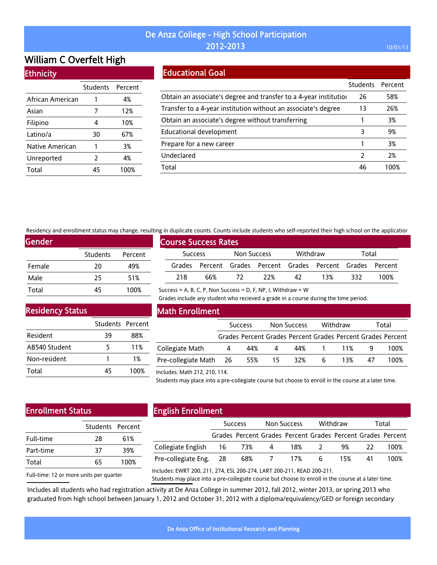# William C Overfelt High

### **Ethnicity**

|                  | Students Percent |      |
|------------------|------------------|------|
| African American | 1                | 4%   |
| Asian            | 7                | 12%  |
| Filipino         | 4                | 10%  |
| Latino/a         | 30               | 67%  |
| Native American  | 1                | 3%   |
| Unreported       | $\mathcal{P}$    | 4%   |
| Total            | 45               | 100% |

# Educational Goal

|                                                                   | <b>Students</b> | Percent |
|-------------------------------------------------------------------|-----------------|---------|
| Obtain an associate's degree and transfer to a 4-year institution | 26              | 58%     |
| Transfer to a 4-year institution without an associate's degree    | 13              | 26%     |
| Obtain an associate's degree without transferring                 |                 | 3%      |
| <b>Educational development</b>                                    | 3               | 9%      |
| Prepare for a new career                                          |                 | 3%      |
| Undeclared                                                        | $\mathcal{P}$   | 2%      |
| Total                                                             | 46              | 100%    |

Residency and enrollment status may change, resulting in duplicate counts. Counts include students who self-reported their high school on the application

Success = A, B, C, P, Non Success = D, F, NP, I, Withdraw =  $W$ 

| Gender, |                 |         |
|---------|-----------------|---------|
|         | <b>Students</b> | Percent |
| Female  | 20              | 49%     |
| Male    | 25              | 51%     |
| Total   | 45              | 100%    |

|                             | A 111 daphcate counts. Counts include students who self-reported their man senon on the applicatio |     |                |     |          |                                                             |       |      |  |
|-----------------------------|----------------------------------------------------------------------------------------------------|-----|----------------|-----|----------|-------------------------------------------------------------|-------|------|--|
| <b>Course Success Rates</b> |                                                                                                    |     |                |     |          |                                                             |       |      |  |
|                             | Success                                                                                            |     | Non Success    |     | Withdraw |                                                             | Total |      |  |
|                             |                                                                                                    |     |                |     |          | Grades Percent Grades Percent Grades Percent Grades Percent |       |      |  |
|                             | 218                                                                                                | 66% | $\frac{12}{2}$ | 22% | 42       | 13%                                                         | 332.  | 100% |  |

Grades include any student who recieved a grade in a course during the time period.

Residency Status

|               | Students Percent |      |
|---------------|------------------|------|
| Resident      | 39               | 88%  |
| AB540 Student | 5                | 11%  |
| Non-resident  |                  | 1%   |
| Total         | 45               | 100% |

### Math Enrollment

|                        | <b>Success</b> |     | Non Success |                                                             | Withdraw |     | Total |      |
|------------------------|----------------|-----|-------------|-------------------------------------------------------------|----------|-----|-------|------|
|                        |                |     |             | Grades Percent Grades Percent Grades Percent Grades Percent |          |     |       |      |
| Collegiate Math        | 4              | 44% | 4           | 44%                                                         | 1 11%    |     |       | 100% |
| Pre-collegiate Math 26 |                | 55% | 15          | 32%                                                         | 6.       | 13% | 47    | 100% |
|                        |                |     |             |                                                             |          |     |       |      |

#### Includes: Math 212, 210, 114.

Students may place into a pre-collegiate course but choose to enroll in the course at a later time.

# Enrollment Status

| 28 | 61%              |
|----|------------------|
| 37 | 39%              |
| 65 | 100%             |
|    | Students Percent |

# English Enrollment

|                             | <b>Success</b> |                                                             | Non Success    |     | Withdraw        |     | Total |      |
|-----------------------------|----------------|-------------------------------------------------------------|----------------|-----|-----------------|-----|-------|------|
|                             |                | Grades Percent Grades Percent Grades Percent Grades Percent |                |     |                 |     |       |      |
| Collegiate English 16 73% 4 |                |                                                             |                | 18% | -2              | 9%  |       | 100% |
| Pre-collegiate Eng. 28      |                | 68%                                                         | $\overline{7}$ | 17% | $6\overline{6}$ | 15% | 41    | 100% |
|                             |                |                                                             |                |     |                 |     |       |      |

Full-time: 12 or more units per quarter

Includes: EWRT 200, 211, 274, ESL 200-274, LART 200-211, READ 200-211.

Students may place into a pre-collegiate course but choose to enroll in the course at a later time.